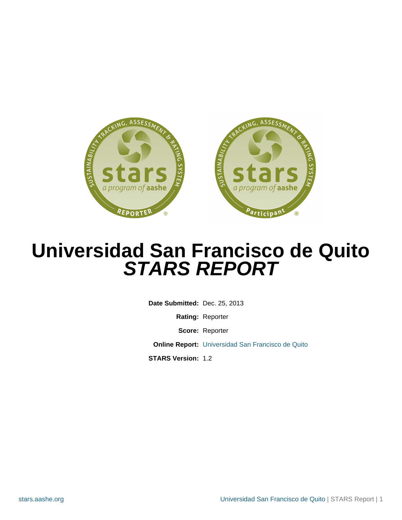

# **Universidad San Francisco de Quito STARS REPORT**

**Date Submitted:** Dec. 25, 2013 **Rating:** Reporter **Score:** Reporter **Online Report:** [Universidad San Francisco de Quito](http://stars.aashe.org/institutions/universidad-san-francisco-de-quito/report/2013-12-25/) **STARS Version:** 1.2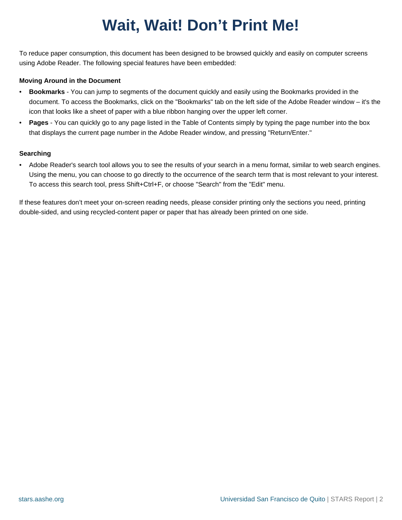# **Wait, Wait! Don't Print Me!**

To reduce paper consumption, this document has been designed to be browsed quickly and easily on computer screens using Adobe Reader. The following special features have been embedded:

#### **Moving Around in the Document**

- **Bookmarks** You can jump to segments of the document quickly and easily using the Bookmarks provided in the document. To access the Bookmarks, click on the "Bookmarks" tab on the left side of the Adobe Reader window – it's the icon that looks like a sheet of paper with a blue ribbon hanging over the upper left corner.
- **Pages** You can quickly go to any page listed in the Table of Contents simply by typing the page number into the box that displays the current page number in the Adobe Reader window, and pressing "Return/Enter."

#### **Searching**

• Adobe Reader's search tool allows you to see the results of your search in a menu format, similar to web search engines. Using the menu, you can choose to go directly to the occurrence of the search term that is most relevant to your interest. To access this search tool, press Shift+Ctrl+F, or choose "Search" from the "Edit" menu.

If these features don't meet your on-screen reading needs, please consider printing only the sections you need, printing double-sided, and using recycled-content paper or paper that has already been printed on one side.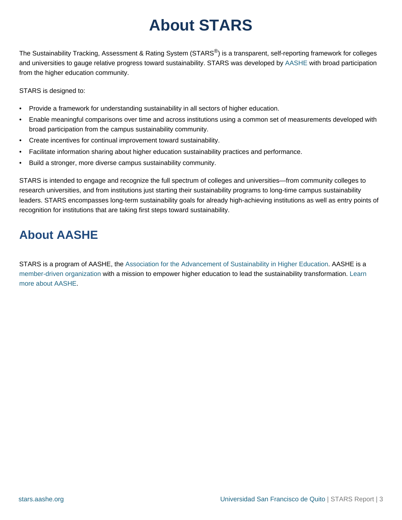## **About STARS**

The Sustainability Tracking, Assessment & Rating System (STARS®) is a transparent, self-reporting framework for colleges and universities to gauge relative progress toward sustainability. STARS was developed by [AASHE](http://www.aashe.org) with broad participation from the higher education community.

STARS is designed to:

- Provide a framework for understanding sustainability in all sectors of higher education.
- Enable meaningful comparisons over time and across institutions using a common set of measurements developed with broad participation from the campus sustainability community.
- Create incentives for continual improvement toward sustainability.
- Facilitate information sharing about higher education sustainability practices and performance.
- Build a stronger, more diverse campus sustainability community.

STARS is intended to engage and recognize the full spectrum of colleges and universities—from community colleges to research universities, and from institutions just starting their sustainability programs to long-time campus sustainability leaders. STARS encompasses long-term sustainability goals for already high-achieving institutions as well as entry points of recognition for institutions that are taking first steps toward sustainability.

## **About AASHE**

STARS is a program of AASHE, th[e Association for the Advancement of Sustainability in Higher Education](http://www.aashe.org). AASHE is a [member-driven organization](http://www.aashe.org/membership/description.php) with a mission to empower higher education to lead the sustainability transformation[. Learn](http://www.aashe.org/about/about.php) [more about AASHE.](http://www.aashe.org/about/about.php)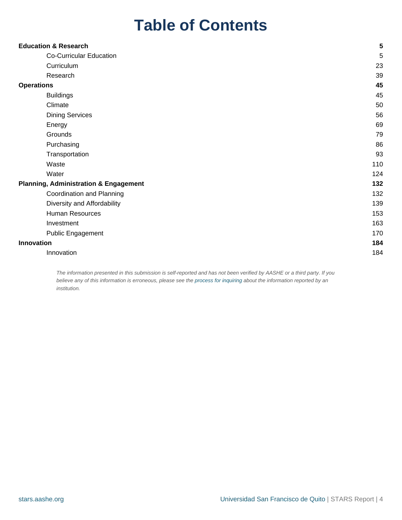## **Table of Contents**

| <b>Education &amp; Research</b>                  | 5   |
|--------------------------------------------------|-----|
| <b>Co-Curricular Education</b>                   | 5   |
| Curriculum                                       | 23  |
| Research                                         | 39  |
| <b>Operations</b>                                | 45  |
| <b>Buildings</b>                                 | 45  |
| Climate                                          | 50  |
| <b>Dining Services</b>                           | 56  |
| Energy                                           | 69  |
| Grounds                                          | 79  |
| Purchasing                                       | 86  |
| Transportation                                   | 93  |
| Waste                                            | 110 |
| Water                                            | 124 |
| <b>Planning, Administration &amp; Engagement</b> | 132 |
| Coordination and Planning                        | 132 |
| Diversity and Affordability                      | 139 |
| Human Resources                                  | 153 |
| Investment                                       | 163 |
| Public Engagement                                | 170 |
| Innovation                                       | 184 |
| Innovation                                       | 184 |

The information presented in this submission is self-reported and has not been verified by AASHE or a third party. If you believe any of this information is erroneous, please see the [process for inquiring](http://stars.aashe.org/pages/faqs/4105/?root_category=about#Erroneous_Data) about the information reported by an institution.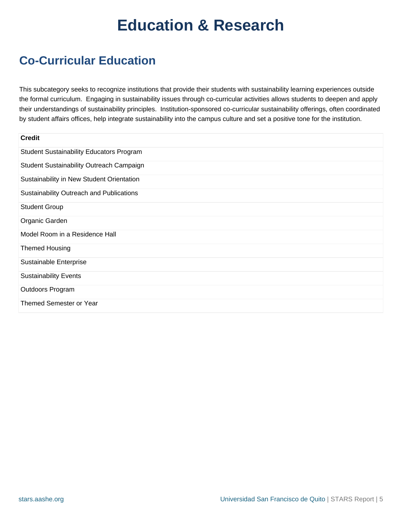## **Education & Research**

## **Co-Curricular Education**

This subcategory seeks to recognize institutions that provide their students with sustainability learning experiences outside the formal curriculum. Engaging in sustainability issues through co-curricular activities allows students to deepen and apply their understandings of sustainability principles. Institution-sponsored co-curricular sustainability offerings, often coordinated by student affairs offices, help integrate sustainability into the campus culture and set a positive tone for the institution.

| <b>Credit</b>                                   |
|-------------------------------------------------|
| <b>Student Sustainability Educators Program</b> |
| Student Sustainability Outreach Campaign        |
| Sustainability in New Student Orientation       |
| Sustainability Outreach and Publications        |
| <b>Student Group</b>                            |
| Organic Garden                                  |
| Model Room in a Residence Hall                  |
| <b>Themed Housing</b>                           |
| Sustainable Enterprise                          |
| <b>Sustainability Events</b>                    |
| Outdoors Program                                |
| Themed Semester or Year                         |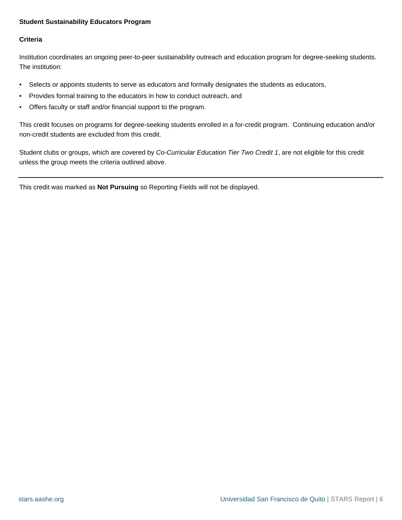## <span id="page-5-0"></span>**Student Sustainability Educators Program**

## **Criteria**

Institution coordinates an ongoing peer-to-peer sustainability outreach and education program for degree-seeking students. The institution:

- Selects or appoints students to serve as educators and formally designates the students as educators,
- Provides formal training to the educators in how to conduct outreach, and
- Offers faculty or staff and/or financial support to the program.

This credit focuses on programs for degree-seeking students enrolled in a for-credit program. Continuing education and/or non-credit students are excluded from this credit.

Student clubs or groups, which are covered by Co-Curricular Education Tier Two Credit 1, are not eligible for this credit unless the group meets the criteria outlined above.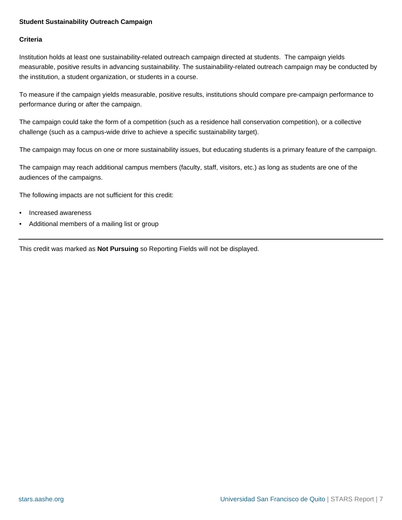## <span id="page-6-0"></span>**Student Sustainability Outreach Campaign**

## **Criteria**

Institution holds at least one sustainability-related outreach campaign directed at students. The campaign yields measurable, positive results in advancing sustainability. The sustainability-related outreach campaign may be conducted by the institution, a student organization, or students in a course.

To measure if the campaign yields measurable, positive results, institutions should compare pre-campaign performance to performance during or after the campaign.

The campaign could take the form of a competition (such as a residence hall conservation competition), or a collective challenge (such as a campus-wide drive to achieve a specific sustainability target).

The campaign may focus on one or more sustainability issues, but educating students is a primary feature of the campaign.

The campaign may reach additional campus members (faculty, staff, visitors, etc.) as long as students are one of the audiences of the campaigns.

The following impacts are not sufficient for this credit:

- Increased awareness
- Additional members of a mailing list or group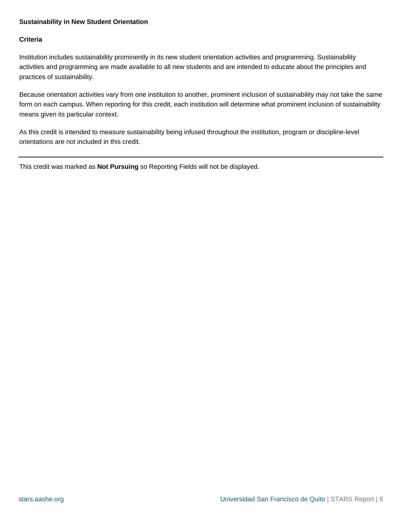## <span id="page-7-0"></span>**Sustainability in New Student Orientation**

## **Criteria**

Institution includes sustainability prominently in its new student orientation activities and programming. Sustainability activities and programming are made available to all new students and are intended to educate about the principles and practices of sustainability.

Because orientation activities vary from one institution to another, prominent inclusion of sustainability may not take the same form on each campus. When reporting for this credit, each institution will determine what prominent inclusion of sustainability means given its particular context.

As this credit is intended to measure sustainability being infused throughout the institution, program or discipline-level orientations are not included in this credit.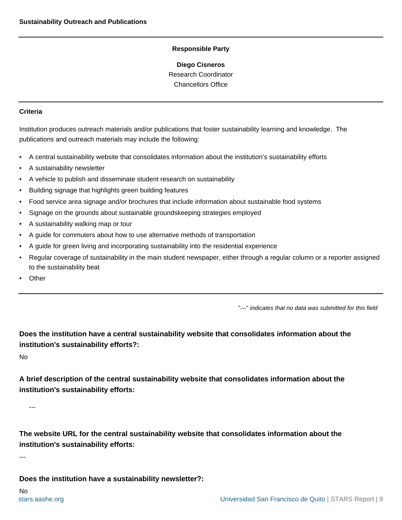**Diego Cisneros** Research Coordinator Chancellors Office

#### <span id="page-8-0"></span>**Criteria**

Institution produces outreach materials and/or publications that foster sustainability learning and knowledge. The publications and outreach materials may include the following:

- A central sustainability website that consolidates information about the institution's sustainability efforts
- A sustainability newsletter
- A vehicle to publish and disseminate student research on sustainability
- Building signage that highlights green building features
- Food service area signage and/or brochures that include information about sustainable food systems
- Signage on the grounds about sustainable groundskeeping strategies employed
- A sustainability walking map or tour
- A guide for commuters about how to use alternative methods of transportation
- A guide for green living and incorporating sustainability into the residential experience
- Regular coverage of sustainability in the main student newspaper, either through a regular column or a reporter assigned to the sustainability beat
- **Other**

"---" indicates that no data was submitted for this field

**Does the institution have a central sustainability website that consolidates information about the institution's sustainability efforts?:**

No

**A brief description of the central sustainability website that consolidates information about the institution's sustainability efforts:**

---

**The website URL for the central sustainability website that consolidates information about the institution's sustainability efforts:**

---

**Does the institution have a sustainability newsletter?:**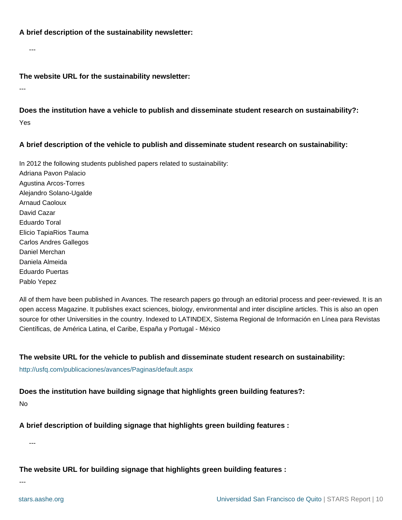## **A brief description of the sustainability newsletter:**

---

**The website URL for the sustainability newsletter:**

---

**Does the institution have a vehicle to publish and disseminate student research on sustainability?:** Yes

## **A brief description of the vehicle to publish and disseminate student research on sustainability:**

In 2012 the following students published papers related to sustainability: Adriana Pavon Palacio Agustina Arcos-Torres Alejandro Solano-Ugalde Arnaud Caoloux David Cazar Eduardo Toral Elicio TapiaRios Tauma Carlos Andres Gallegos Daniel Merchan Daniela Almeida Eduardo Puertas Pablo Yepez

All of them have been published in Avances. The research papers go through an editorial process and peer-reviewed. It is an open access Magazine. It publishes exact sciences, biology, environmental and inter discipline articles. This is also an open source for other Universities in the country. Indexed to LATINDEX, Sistema Regional de Información en Línea para Revistas Científicas, de América Latina, el Caribe, España y Portugal - México

## **The website URL for the vehicle to publish and disseminate student research on sustainability:**

<http://usfq.com/publicaciones/avances/Paginas/default.aspx>

## **Does the institution have building signage that highlights green building features?:**

No

**A brief description of building signage that highlights green building features :**

---

**The website URL for building signage that highlights green building features :**

---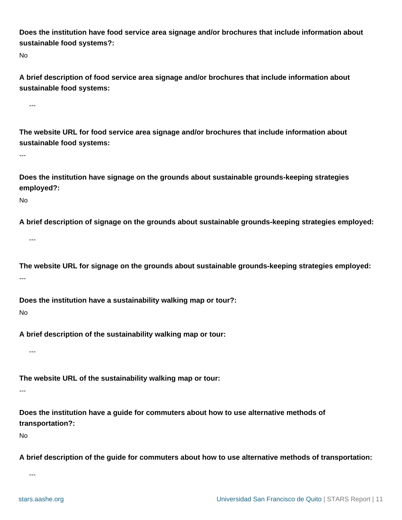**Does the institution have food service area signage and/or brochures that include information about sustainable food systems?:**

No

**A brief description of food service area signage and/or brochures that include information about sustainable food systems:**

---

**The website URL for food service area signage and/or brochures that include information about sustainable food systems:**

---

**Does the institution have signage on the grounds about sustainable grounds-keeping strategies employed?:**

No

**A brief description of signage on the grounds about sustainable grounds-keeping strategies employed:**

---

**The website URL for signage on the grounds about sustainable grounds-keeping strategies employed:** ---

**Does the institution have a sustainability walking map or tour?:**

No

**A brief description of the sustainability walking map or tour:**

---

**The website URL of the sustainability walking map or tour:**

---

**Does the institution have a guide for commuters about how to use alternative methods of transportation?:**

No

**A brief description of the guide for commuters about how to use alternative methods of transportation:**

---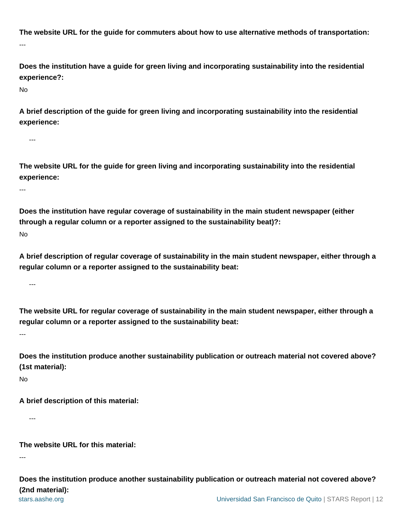**The website URL for the guide for commuters about how to use alternative methods of transportation:** ---

**Does the institution have a guide for green living and incorporating sustainability into the residential experience?:**

No

**A brief description of the guide for green living and incorporating sustainability into the residential experience:**

---

**The website URL for the guide for green living and incorporating sustainability into the residential experience:**

---

**Does the institution have regular coverage of sustainability in the main student newspaper (either through a regular column or a reporter assigned to the sustainability beat)?:**

No

**A brief description of regular coverage of sustainability in the main student newspaper, either through a regular column or a reporter assigned to the sustainability beat:**

---

**The website URL for regular coverage of sustainability in the main student newspaper, either through a regular column or a reporter assigned to the sustainability beat:**

---

**Does the institution produce another sustainability publication or outreach material not covered above? (1st material):**

No

**A brief description of this material:**

---

**The website URL for this material:**

---

[stars.aashe.org](http://stars.aashe.org) [Universidad San Francisco de Quito](http://stars.aashe.org/institutions/universidad-san-francisco-de-quito/report/2013-12-25/) | STARS Report | 12 **Does the institution produce another sustainability publication or outreach material not covered above? (2nd material):**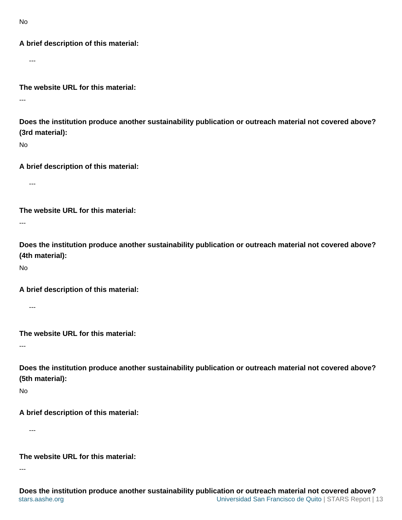No

## **A brief description of this material:**

---

**The website URL for this material:**

---

**Does the institution produce another sustainability publication or outreach material not covered above? (3rd material):**

No

**A brief description of this material:**

---

**The website URL for this material:**

---

**Does the institution produce another sustainability publication or outreach material not covered above? (4th material):**

No

**A brief description of this material:**

---

**The website URL for this material:**

---

**Does the institution produce another sustainability publication or outreach material not covered above? (5th material):**

No

**A brief description of this material:**

---

**The website URL for this material:**

---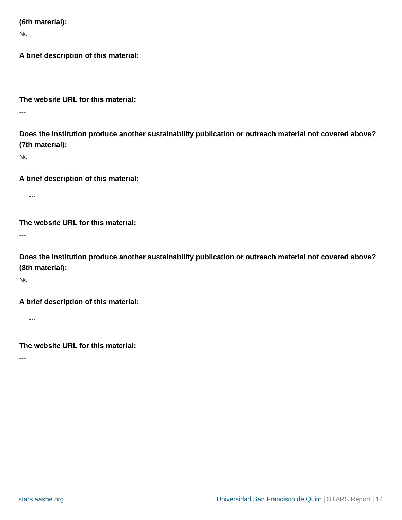**(6th material):**

No

**A brief description of this material:**

---

**The website URL for this material:**

---

**Does the institution produce another sustainability publication or outreach material not covered above? (7th material):**

No

**A brief description of this material:**

---

**The website URL for this material:**

---

**Does the institution produce another sustainability publication or outreach material not covered above? (8th material):**

No

**A brief description of this material:**

---

**The website URL for this material:**

---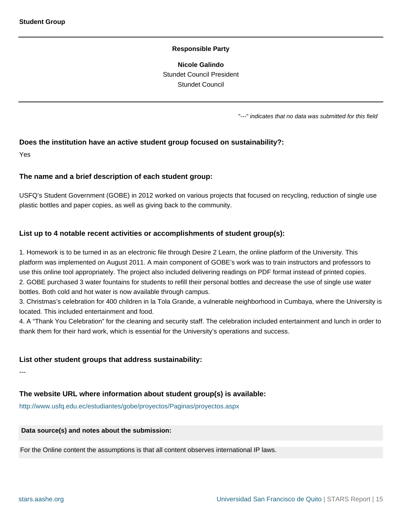**Nicole Galindo** Stundet Council President Stundet Council

"---" indicates that no data was submitted for this field

## <span id="page-14-0"></span>**Does the institution have an active student group focused on sustainability?:**

Yes

#### **The name and a brief description of each student group:**

USFQ's Student Government (GOBE) in 2012 worked on various projects that focused on recycling, reduction of single use plastic bottles and paper copies, as well as giving back to the community.

#### **List up to 4 notable recent activities or accomplishments of student group(s):**

1. Homework is to be turned in as an electronic file through Desire 2 Learn, the online platform of the University. This platform was implemented on August 2011. A main component of GOBE's work was to train instructors and professors to use this online tool appropriately. The project also included delivering readings on PDF format instead of printed copies. 2. GOBE purchased 3 water fountains for students to refill their personal bottles and decrease the use of single use water bottles. Both cold and hot water is now available through campus.

3. Christmas's celebration for 400 children in la Tola Grande, a vulnerable neighborhood in Cumbaya, where the University is located. This included entertainment and food.

4. A "Thank You Celebration" for the cleaning and security staff. The celebration included entertainment and lunch in order to thank them for their hard work, which is essential for the University's operations and success.

#### **List other student groups that address sustainability:**

---

## **The website URL where information about student group(s) is available:**

<http://www.usfq.edu.ec/estudiantes/gobe/proyectos/Paginas/proyectos.aspx>

#### **Data source(s) and notes about the submission:**

For the Online content the assumptions is that all content observes international IP laws.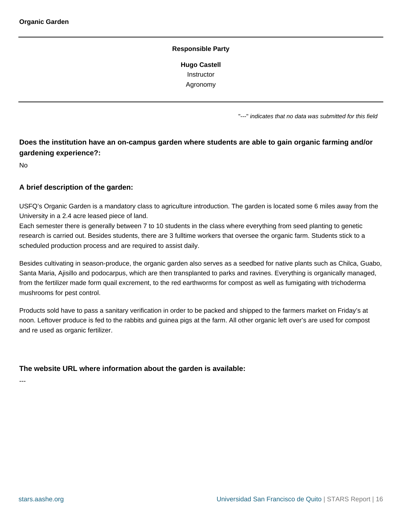**Hugo Castell Instructor** Agronomy

"---" indicates that no data was submitted for this field

## <span id="page-15-0"></span>**Does the institution have an on-campus garden where students are able to gain organic farming and/or gardening experience?:**

No

## **A brief description of the garden:**

USFQ's Organic Garden is a mandatory class to agriculture introduction. The garden is located some 6 miles away from the University in a 2.4 acre leased piece of land.

Each semester there is generally between 7 to 10 students in the class where everything from seed planting to genetic research is carried out. Besides students, there are 3 fulltime workers that oversee the organic farm. Students stick to a scheduled production process and are required to assist daily.

Besides cultivating in season-produce, the organic garden also serves as a seedbed for native plants such as Chilca, Guabo, Santa Maria, Ajisillo and podocarpus, which are then transplanted to parks and ravines. Everything is organically managed, from the fertilizer made form quail excrement, to the red earthworms for compost as well as fumigating with trichoderma mushrooms for pest control.

Products sold have to pass a sanitary verification in order to be packed and shipped to the farmers market on Friday's at noon. Leftover produce is fed to the rabbits and guinea pigs at the farm. All other organic left over's are used for compost and re used as organic fertilizer.

## **The website URL where information about the garden is available:**

---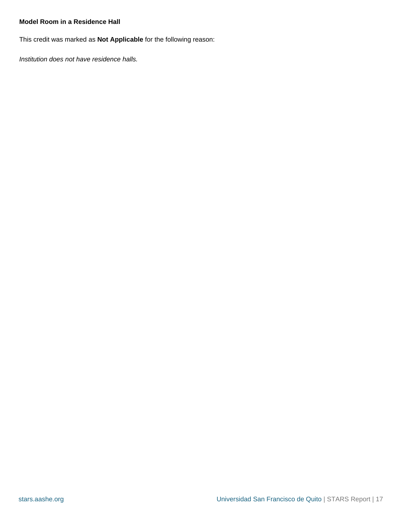## <span id="page-16-0"></span>**Model Room in a Residence Hall**

This credit was marked as **Not Applicable** for the following reason:

Institution does not have residence halls.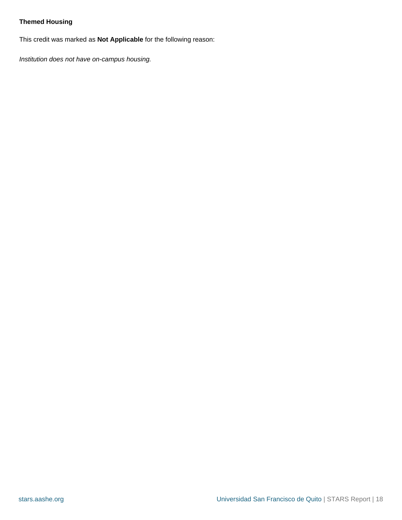## <span id="page-17-0"></span>**Themed Housing**

This credit was marked as **Not Applicable** for the following reason:

Institution does not have on-campus housing.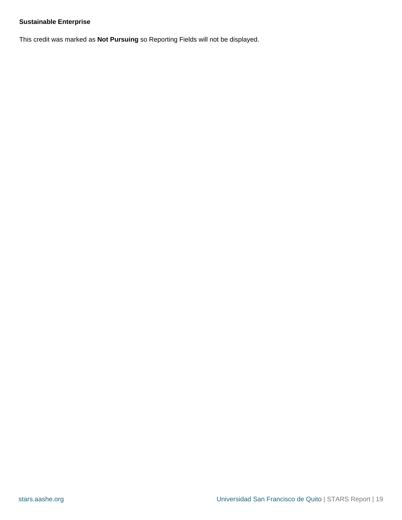## <span id="page-18-0"></span>**Sustainable Enterprise**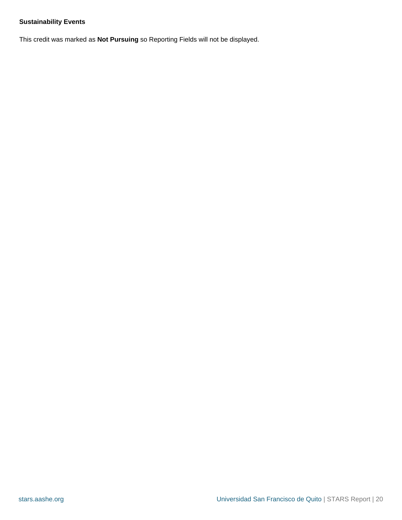## <span id="page-19-0"></span>**Sustainability Events**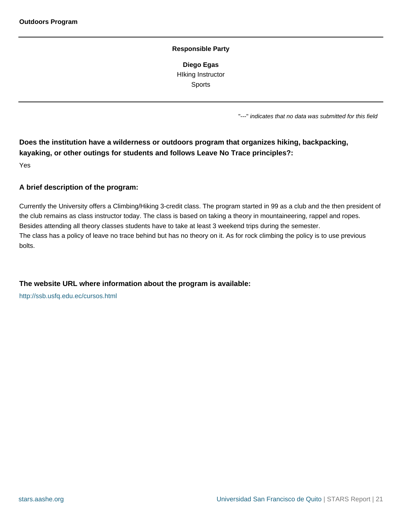**Diego Egas** HIking Instructor Sports

"---" indicates that no data was submitted for this field

<span id="page-20-0"></span>**Does the institution have a wilderness or outdoors program that organizes hiking, backpacking, kayaking, or other outings for students and follows Leave No Trace principles?:** Yes

## **A brief description of the program:**

Currently the University offers a Climbing/Hiking 3-credit class. The program started in 99 as a club and the then president of the club remains as class instructor today. The class is based on taking a theory in mountaineering, rappel and ropes. Besides attending all theory classes students have to take at least 3 weekend trips during the semester. The class has a policy of leave no trace behind but has no theory on it. As for rock climbing the policy is to use previous bolts.

## **The website URL where information about the program is available:**

<http://ssb.usfq.edu.ec/cursos.html>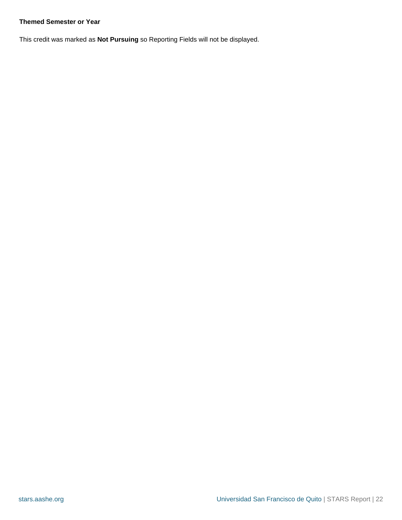## <span id="page-21-0"></span>**Themed Semester or Year**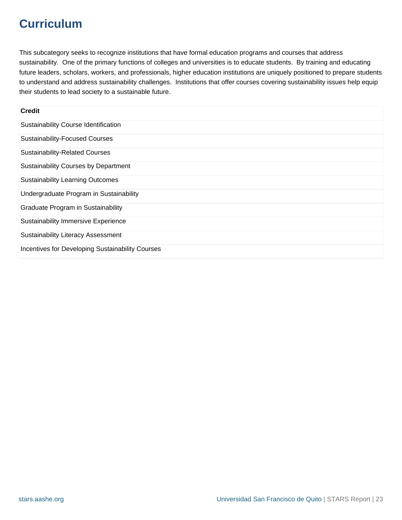## **Curriculum**

This subcategory seeks to recognize institutions that have formal education programs and courses that address sustainability. One of the primary functions of colleges and universities is to educate students. By training and educating future leaders, scholars, workers, and professionals, higher education institutions are uniquely positioned to prepare students to understand and address sustainability challenges. Institutions that offer courses covering sustainability issues help equip their students to lead society to a sustainable future.

| <b>Credit</b>                                    |
|--------------------------------------------------|
| Sustainability Course Identification             |
| <b>Sustainability-Focused Courses</b>            |
| <b>Sustainability-Related Courses</b>            |
| <b>Sustainability Courses by Department</b>      |
| <b>Sustainability Learning Outcomes</b>          |
| Undergraduate Program in Sustainability          |
| Graduate Program in Sustainability               |
| <b>Sustainability Immersive Experience</b>       |
| <b>Sustainability Literacy Assessment</b>        |
| Incentives for Developing Sustainability Courses |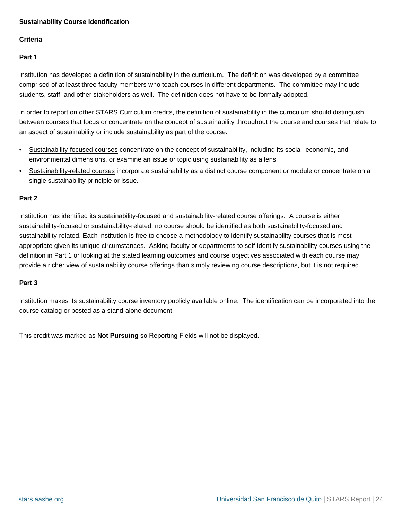## <span id="page-23-0"></span>**Sustainability Course Identification**

## **Criteria**

## **Part 1**

Institution has developed a definition of sustainability in the curriculum. The definition was developed by a committee comprised of at least three faculty members who teach courses in different departments. The committee may include students, staff, and other stakeholders as well. The definition does not have to be formally adopted.

In order to report on other STARS Curriculum credits, the definition of sustainability in the curriculum should distinguish between courses that focus or concentrate on the concept of sustainability throughout the course and courses that relate to an aspect of sustainability or include sustainability as part of the course.

- Sustainability-focused courses concentrate on the concept of sustainability, including its social, economic, and environmental dimensions, or examine an issue or topic using sustainability as a lens.
- Sustainability-related courses incorporate sustainability as a distinct course component or module or concentrate on a single sustainability principle or issue.

## **Part 2**

Institution has identified its sustainability-focused and sustainability-related course offerings. A course is either sustainability-focused or sustainability-related; no course should be identified as both sustainability-focused and sustainability-related. Each institution is free to choose a methodology to identify sustainability courses that is most appropriate given its unique circumstances. Asking faculty or departments to self-identify sustainability courses using the definition in Part 1 or looking at the stated learning outcomes and course objectives associated with each course may provide a richer view of sustainability course offerings than simply reviewing course descriptions, but it is not required.

## **Part 3**

Institution makes its sustainability course inventory publicly available online. The identification can be incorporated into the course catalog or posted as a stand-alone document.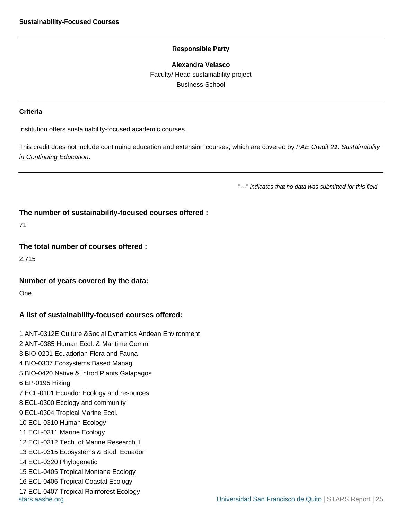**Alexandra Velasco** Faculty/ Head sustainability project Business School

#### <span id="page-24-0"></span>**Criteria**

Institution offers sustainability-focused academic courses.

This credit does not include continuing education and extension courses, which are covered by PAE Credit 21: Sustainability in Continuing Education.

"---" indicates that no data was submitted for this field

#### **The number of sustainability-focused courses offered :**

71

#### **The total number of courses offered :**

2,715

#### **Number of years covered by the data:**

One

## **A list of sustainability-focused courses offered:**

[stars.aashe.org](http://stars.aashe.org) [Universidad San Francisco de Quito](http://stars.aashe.org/institutions/universidad-san-francisco-de-quito/report/2013-12-25/) | STARS Report | 25 1 ANT-0312E Culture &Social Dynamics Andean Environment 2 ANT-0385 Human Ecol. & Maritime Comm 3 BIO-0201 Ecuadorian Flora and Fauna 4 BIO-0307 Ecosystems Based Manag. 5 BIO-0420 Native & Introd Plants Galapagos 6 EP-0195 Hiking 7 ECL-0101 Ecuador Ecology and resources 8 ECL-0300 Ecology and community 9 ECL-0304 Tropical Marine Ecol. 10 ECL-0310 Human Ecology 11 ECL-0311 Marine Ecology 12 ECL-0312 Tech. of Marine Research II 13 ECL-0315 Ecosystems & Biod. Ecuador 14 ECL-0320 Phylogenetic 15 ECL-0405 Tropical Montane Ecology 16 ECL-0406 Tropical Coastal Ecology 17 ECL-0407 Tropical Rainforest Ecology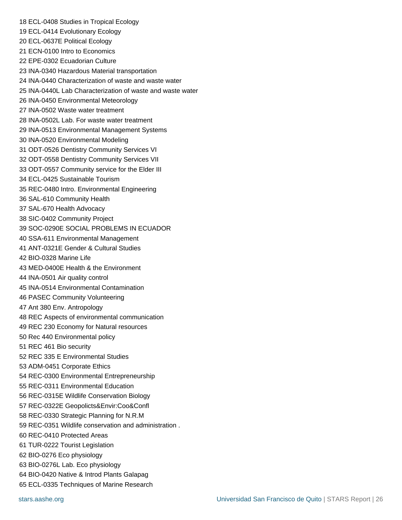18 ECL-0408 Studies in Tropical Ecology 19 ECL-0414 Evolutionary Ecology 20 ECL-0637E Political Ecology 21 ECN-0100 Intro to Economics 22 EPE-0302 Ecuadorian Culture 23 INA-0340 Hazardous Material transportation 24 INA-0440 Characterization of waste and waste water 25 INA-0440L Lab Characterization of waste and waste water 26 INA-0450 Environmental Meteorology 27 INA-0502 Waste water treatment 28 INA-0502L Lab. For waste water treatment 29 INA-0513 Environmental Management Systems 30 INA-0520 Environmental Modeling 31 ODT-0526 Dentistry Community Services VI 32 ODT-0558 Dentistry Community Services VII 33 ODT-0557 Community service for the Elder III 34 ECL-0425 Sustainable Tourism 35 REC-0480 Intro. Environmental Engineering 36 SAL-610 Community Health 37 SAL-670 Health Advocacy 38 SIC-0402 Community Project 39 SOC-0290E SOCIAL PROBLEMS IN ECUADOR 40 SSA-611 Environmental Management 41 ANT-0321E Gender & Cultural Studies 42 BIO-0328 Marine Life 43 MED-0400E Health & the Environment 44 INA-0501 Air quality control 45 INA-0514 Environmental Contamination 46 PASEC Community Volunteering 47 Ant 380 Env. Antropology 48 REC Aspects of environmental communication 49 REC 230 Economy for Natural resources 50 Rec 440 Environmental policy 51 REC 461 Bio security 52 REC 335 E Environmental Studies 53 ADM-0451 Corporate Ethics 54 REC-0300 Environmental Entrepreneurship 55 REC-0311 Environmental Education 56 REC-0315E Wildlife Conservation Biology 57 REC-0322E Geopolicts&Envir:Coo&Confl 58 REC-0330 Strategic Planning for N.R.M 59 REC-0351 Wildlife conservation and administration . 60 REC-0410 Protected Areas 61 TUR-0222 Tourist Legislation 62 BIO-0276 Eco physiology 63 BIO-0276L Lab. Eco physiology 64 BIO-0420 Native & Introd Plants Galapag 65 ECL-0335 Techniques of Marine Research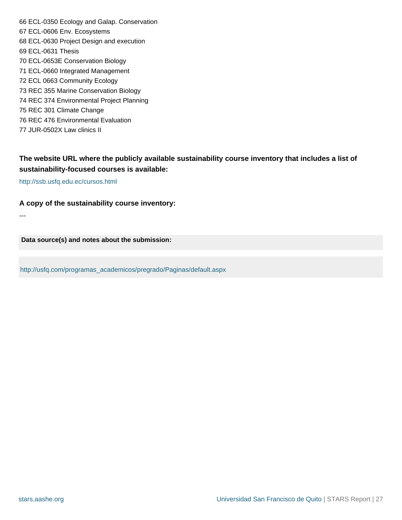66 ECL-0350 Ecology and Galap. Conservation 67 ECL-0606 Env. Ecosystems 68 ECL-0630 Project Design and execution 69 ECL-0631 Thesis 70 ECL-0653E Conservation Biology 71 ECL-0660 Integrated Management 72 ECL 0663 Community Ecology 73 REC 355 Marine Conservation Biology 74 REC 374 Environmental Project Planning 75 REC 301 Climate Change 76 REC 476 Environmental Evaluation 77 JUR-0502X Law clinics II

## **The website URL where the publicly available sustainability course inventory that includes a list of sustainability-focused courses is available:**

<http://ssb.usfq.edu.ec/cursos.html>

---

## **A copy of the sustainability course inventory:**

**Data source(s) and notes about the submission:**

[http://usfq.com/programas\\_academicos/pregrado/Paginas/default.aspx](http://usfq.com/programas_academicos/pregrado/Paginas/default.aspx)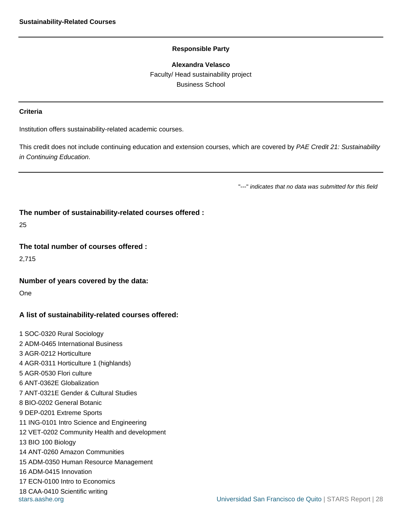**Alexandra Velasco** Faculty/ Head sustainability project Business School

#### <span id="page-27-0"></span>**Criteria**

Institution offers sustainability-related academic courses.

This credit does not include continuing education and extension courses, which are covered by PAE Credit 21: Sustainability in Continuing Education.

"---" indicates that no data was submitted for this field

## **The number of sustainability-related courses offered :**

25

#### **The total number of courses offered :**

2,715

## **Number of years covered by the data:**

One

## **A list of sustainability-related courses offered:**

1 SOC-0320 Rural Sociology 2 ADM-0465 International Business 3 AGR-0212 Horticulture 4 AGR-0311 Horticulture 1 (highlands) 5 AGR-0530 Flori culture 6 ANT-0362E Globalization 7 ANT-0321E Gender & Cultural Studies 8 BIO-0202 General Botanic 9 DEP-0201 Extreme Sports 11 ING-0101 Intro Science and Engineering 12 VET-0202 Community Health and development 13 BIO 100 Biology 14 ANT-0260 Amazon Communities 15 ADM-0350 Human Resource Management 16 ADM-0415 Innovation 17 ECN-0100 Intro to Economics 18 CAA-0410 Scientific writing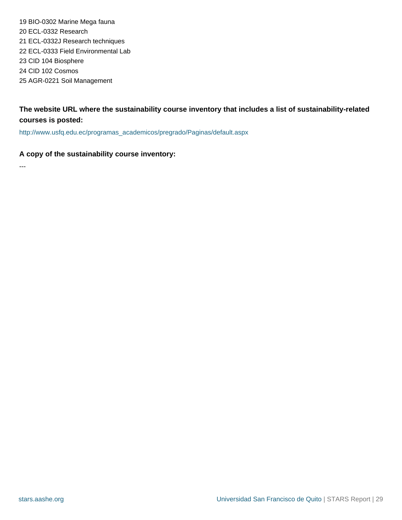19 BIO-0302 Marine Mega fauna 20 ECL-0332 Research 21 ECL-0332J Research techniques 22 ECL-0333 Field Environmental Lab 23 CID 104 Biosphere 24 CID 102 Cosmos 25 AGR-0221 Soil Management

## **The website URL where the sustainability course inventory that includes a list of sustainability-related courses is posted:**

[http://www.usfq.edu.ec/programas\\_academicos/pregrado/Paginas/default.aspx](http://www.usfq.edu.ec/programas_academicos/pregrado/Paginas/default.aspx)

## **A copy of the sustainability course inventory:**

---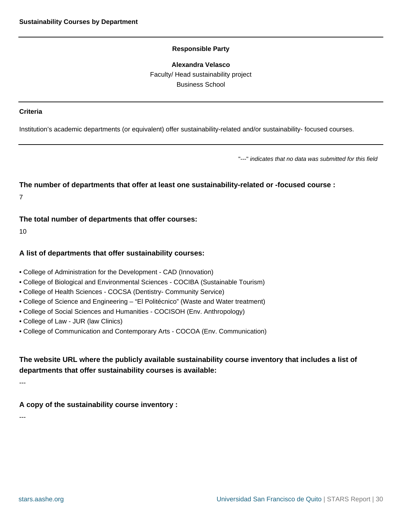#### **Alexandra Velasco**

Faculty/ Head sustainability project Business School

#### <span id="page-29-0"></span>**Criteria**

Institution's academic departments (or equivalent) offer sustainability-related and/or sustainability- focused courses.

"---" indicates that no data was submitted for this field

## **The number of departments that offer at least one sustainability-related or -focused course :**

7

## **The total number of departments that offer courses:**

10

## **A list of departments that offer sustainability courses:**

- College of Administration for the Development CAD (Innovation)
- College of Biological and Environmental Sciences COCIBA (Sustainable Tourism)
- College of Health Sciences COCSA (Dentistry- Community Service)
- College of Science and Engineering "El Politécnico" (Waste and Water treatment)
- College of Social Sciences and Humanities COCISOH (Env. Anthropology)
- College of Law JUR (law Clinics)
- College of Communication and Contemporary Arts COCOA (Env. Communication)

## **The website URL where the publicly available sustainability course inventory that includes a list of departments that offer sustainability courses is available:**

---

**A copy of the sustainability course inventory :**

---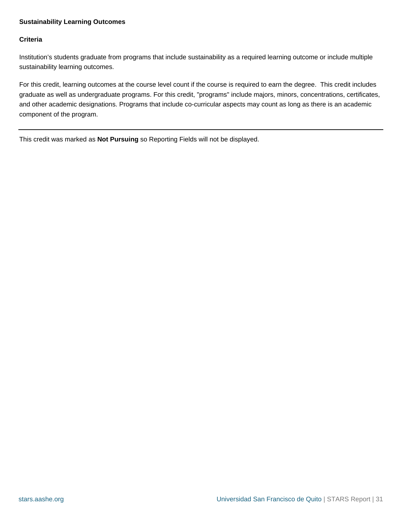## <span id="page-30-0"></span>**Sustainability Learning Outcomes**

## **Criteria**

Institution's students graduate from programs that include sustainability as a required learning outcome or include multiple sustainability learning outcomes.

For this credit, learning outcomes at the course level count if the course is required to earn the degree. This credit includes graduate as well as undergraduate programs. For this credit, "programs" include majors, minors, concentrations, certificates, and other academic designations. Programs that include co-curricular aspects may count as long as there is an academic component of the program.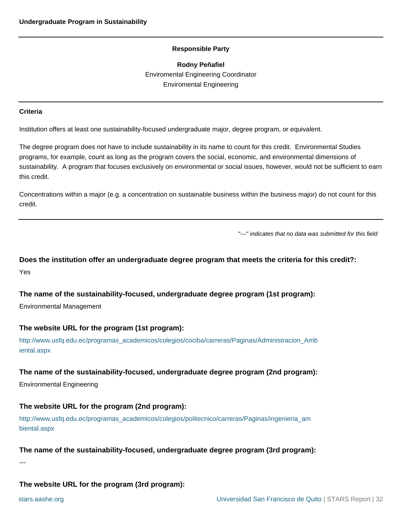**Rodny Peñafiel** Enviromental Engineering Coordinator Enviromental Engineering

#### <span id="page-31-0"></span>**Criteria**

Institution offers at least one sustainability-focused undergraduate major, degree program, or equivalent.

The degree program does not have to include sustainability in its name to count for this credit. Environmental Studies programs, for example, count as long as the program covers the social, economic, and environmental dimensions of sustainability. A program that focuses exclusively on environmental or social issues, however, would not be sufficient to earn this credit.

Concentrations within a major (e.g. a concentration on sustainable business within the business major) do not count for this credit.

"---" indicates that no data was submitted for this field

**Does the institution offer an undergraduate degree program that meets the criteria for this credit?:** Yes

**The name of the sustainability-focused, undergraduate degree program (1st program):**

Environmental Management

## **The website URL for the program (1st program):**

[http://www.usfq.edu.ec/programas\\_academicos/colegios/cociba/carreras/Paginas/Administracion\\_Amb](http://www.usfq.edu.ec/programas_academicos/colegios/cociba/carreras/Paginas/Administracion_Ambiental.aspx) [iental.aspx](http://www.usfq.edu.ec/programas_academicos/colegios/cociba/carreras/Paginas/Administracion_Ambiental.aspx)

## **The name of the sustainability-focused, undergraduate degree program (2nd program):**

Environmental Engineering

## **The website URL for the program (2nd program):**

[http://www.usfq.edu.ec/programas\\_academicos/colegios/politecnico/carreras/Paginas/ingenieria\\_am](http://www.usfq.edu.ec/programas_academicos/colegios/politecnico/carreras/Paginas/ingenieria_ambiental.aspx) [biental.aspx](http://www.usfq.edu.ec/programas_academicos/colegios/politecnico/carreras/Paginas/ingenieria_ambiental.aspx)

#### **The name of the sustainability-focused, undergraduate degree program (3rd program):**

---

## **The website URL for the program (3rd program):**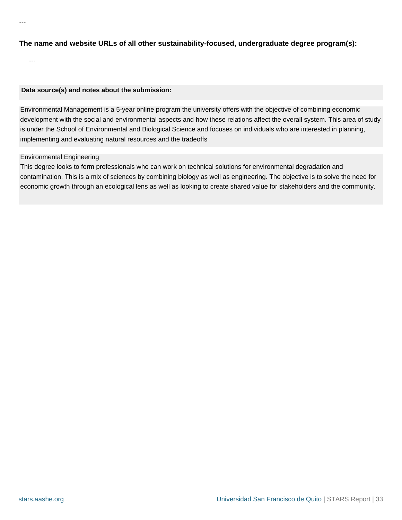---

---

## **Data source(s) and notes about the submission:**

Environmental Management is a 5-year online program the university offers with the objective of combining economic development with the social and environmental aspects and how these relations affect the overall system. This area of study is under the School of Environmental and Biological Science and focuses on individuals who are interested in planning, implementing and evaluating natural resources and the tradeoffs

## Environmental Engineering

This degree looks to form professionals who can work on technical solutions for environmental degradation and contamination. This is a mix of sciences by combining biology as well as engineering. The objective is to solve the need for economic growth through an ecological lens as well as looking to create shared value for stakeholders and the community.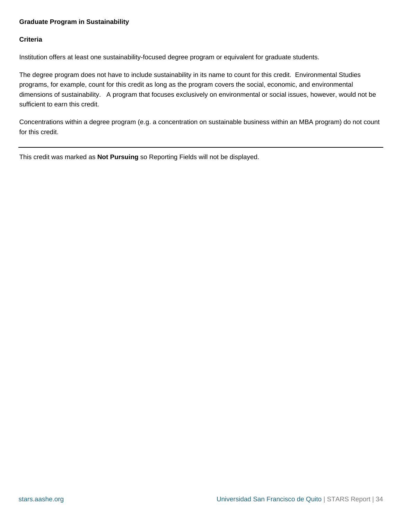## <span id="page-33-0"></span>**Graduate Program in Sustainability**

## **Criteria**

Institution offers at least one sustainability-focused degree program or equivalent for graduate students.

The degree program does not have to include sustainability in its name to count for this credit. Environmental Studies programs, for example, count for this credit as long as the program covers the social, economic, and environmental dimensions of sustainability. A program that focuses exclusively on environmental or social issues, however, would not be sufficient to earn this credit.

Concentrations within a degree program (e.g. a concentration on sustainable business within an MBA program) do not count for this credit.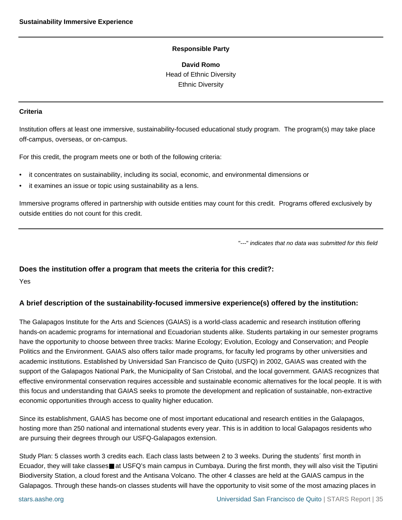**David Romo** Head of Ethnic Diversity Ethnic Diversity

#### <span id="page-34-0"></span>**Criteria**

Institution offers at least one immersive, sustainability-focused educational study program. The program(s) may take place off-campus, overseas, or on-campus.

For this credit, the program meets one or both of the following criteria:

- it concentrates on sustainability, including its social, economic, and environmental dimensions or
- it examines an issue or topic using sustainability as a lens.

Immersive programs offered in partnership with outside entities may count for this credit. Programs offered exclusively by outside entities do not count for this credit.

"---" indicates that no data was submitted for this field

#### **Does the institution offer a program that meets the criteria for this credit?:**

Yes

## **A brief description of the sustainability-focused immersive experience(s) offered by the institution:**

The Galapagos Institute for the Arts and Sciences (GAIAS) is a world-class academic and research institution offering hands-on academic programs for international and Ecuadorian students alike. Students partaking in our semester programs have the opportunity to choose between three tracks: Marine Ecology; Evolution, Ecology and Conservation; and People Politics and the Environment. GAIAS also offers tailor made programs, for faculty led programs by other universities and academic institutions. Established by Universidad San Francisco de Quito (USFQ) in 2002, GAIAS was created with the support of the Galapagos National Park, the Municipality of San Cristobal, and the local government. GAIAS recognizes that effective environmental conservation requires accessible and sustainable economic alternatives for the local people. It is with this focus and understanding that GAIAS seeks to promote the development and replication of sustainable, non-extractive economic opportunities through access to quality higher education.

Since its establishment, GAIAS has become one of most important educational and research entities in the Galapagos, hosting more than 250 national and international students every year. This is in addition to local Galapagos residents who are pursuing their degrees through our USFQ-Galapagos extension.

Study Plan: 5 classes worth 3 credits each. Each class lasts between 2 to 3 weeks. During the students´ first month in Ecuador, they will take classes■ at USFQ's main campus in Cumbaya. During the first month, they will also visit the Tiputini Biodiversity Station, a cloud forest and the Antisana Volcano. The other 4 classes are held at the GAIAS campus in the Galapagos. Through these hands-on classes students will have the opportunity to visit some of the most amazing places in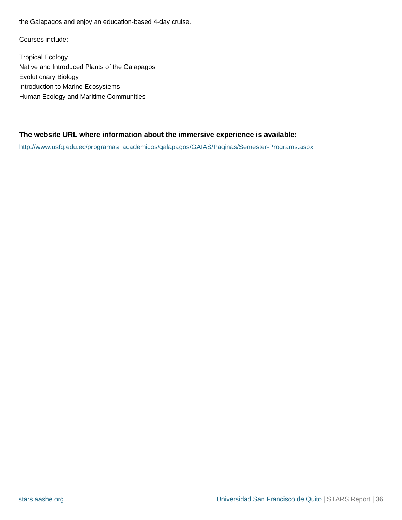the Galapagos and enjoy an education-based 4-day cruise.

Courses include:

Tropical Ecology Native and Introduced Plants of the Galapagos Evolutionary Biology Introduction to Marine Ecosystems Human Ecology and Maritime Communities

## **The website URL where information about the immersive experience is available:**

[http://www.usfq.edu.ec/programas\\_academicos/galapagos/GAIAS/Paginas/Semester-Programs.aspx](http://www.usfq.edu.ec/programas_academicos/galapagos/GAIAS/Paginas/Semester-Programs.aspx)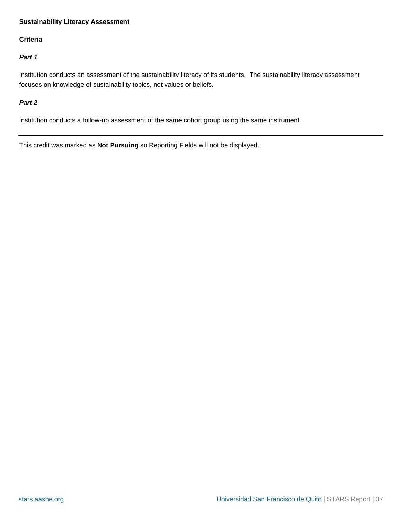#### **Sustainability Literacy Assessment**

#### **Criteria**

#### **Part 1**

Institution conducts an assessment of the sustainability literacy of its students. The sustainability literacy assessment focuses on knowledge of sustainability topics, not values or beliefs.

#### **Part 2**

Institution conducts a follow-up assessment of the same cohort group using the same instrument.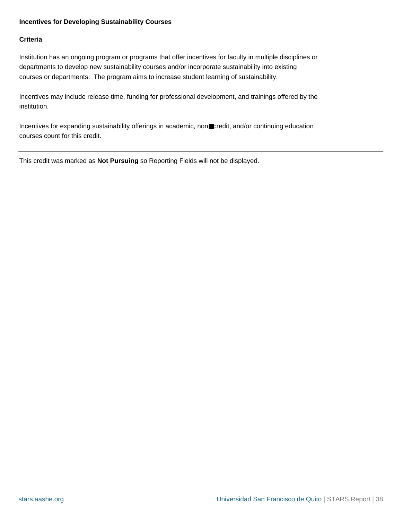#### **Incentives for Developing Sustainability Courses**

#### **Criteria**

Institution has an ongoing program or programs that offer incentives for faculty in multiple disciplines or departments to develop new sustainability courses and/or incorporate sustainability into existing courses or departments. The program aims to increase student learning of sustainability.

Incentives may include release time, funding for professional development, and trainings offered by the institution.

Incentives for expanding sustainability offerings in academic, non■credit, and/or continuing education courses count for this credit.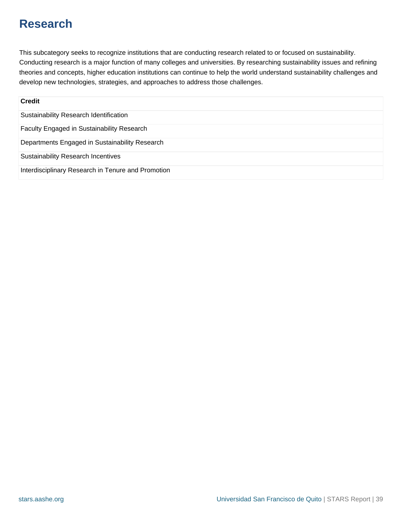### **Research**

This subcategory seeks to recognize institutions that are conducting research related to or focused on sustainability. Conducting research is a major function of many colleges and universities. By researching sustainability issues and refining theories and concepts, higher education institutions can continue to help the world understand sustainability challenges and develop new technologies, strategies, and approaches to address those challenges.

| <b>Credit</b>                                      |
|----------------------------------------------------|
| Sustainability Research Identification             |
| Faculty Engaged in Sustainability Research         |
| Departments Engaged in Sustainability Research     |
| <b>Sustainability Research Incentives</b>          |
| Interdisciplinary Research in Tenure and Promotion |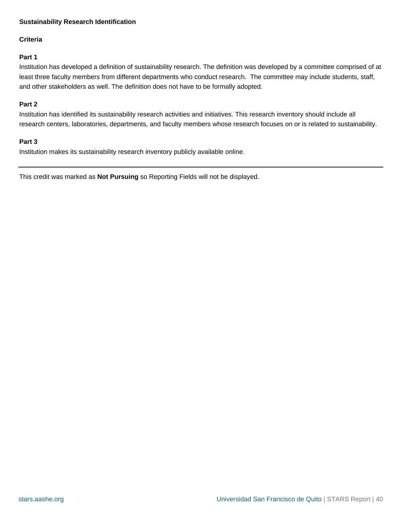#### <span id="page-39-0"></span>**Sustainability Research Identification**

#### **Criteria**

#### **Part 1**

Institution has developed a definition of sustainability research. The definition was developed by a committee comprised of at least three faculty members from different departments who conduct research. The committee may include students, staff, and other stakeholders as well. The definition does not have to be formally adopted.

#### **Part 2**

Institution has identified its sustainability research activities and initiatives. This research inventory should include all research centers, laboratories, departments, and faculty members whose research focuses on or is related to sustainability.

#### **Part 3**

Institution makes its sustainability research inventory publicly available online.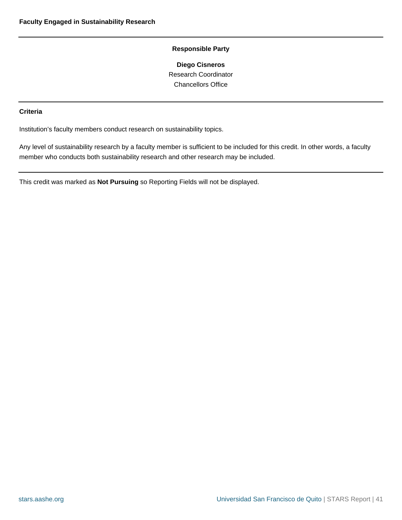**Diego Cisneros** Research Coordinator Chancellors Office

#### <span id="page-40-0"></span>**Criteria**

Institution's faculty members conduct research on sustainability topics.

Any level of sustainability research by a faculty member is sufficient to be included for this credit. In other words, a faculty member who conducts both sustainability research and other research may be included.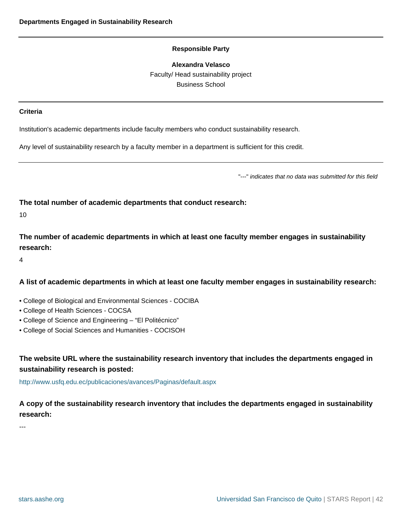#### **Alexandra Velasco**

Faculty/ Head sustainability project Business School

#### <span id="page-41-0"></span>**Criteria**

Institution's academic departments include faculty members who conduct sustainability research.

Any level of sustainability research by a faculty member in a department is sufficient for this credit.

"---" indicates that no data was submitted for this field

**The total number of academic departments that conduct research:**

10

**The number of academic departments in which at least one faculty member engages in sustainability research:**

4

#### **A list of academic departments in which at least one faculty member engages in sustainability research:**

- College of Biological and Environmental Sciences COCIBA
- College of Health Sciences COCSA
- College of Science and Engineering "El Politécnico"
- College of Social Sciences and Humanities COCISOH

#### **The website URL where the sustainability research inventory that includes the departments engaged in sustainability research is posted:**

<http://www.usfq.edu.ec/publicaciones/avances/Paginas/default.aspx>

**A copy of the sustainability research inventory that includes the departments engaged in sustainability research:**

---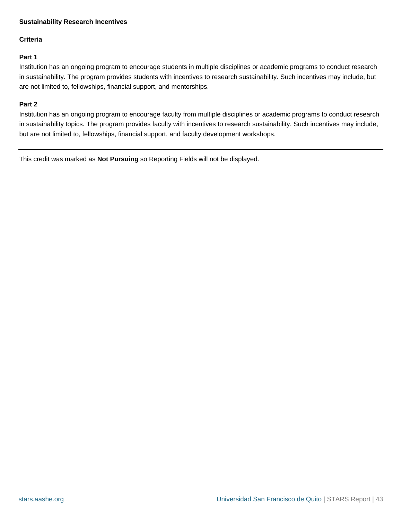#### <span id="page-42-0"></span>**Sustainability Research Incentives**

#### **Criteria**

#### **Part 1**

Institution has an ongoing program to encourage students in multiple disciplines or academic programs to conduct research in sustainability. The program provides students with incentives to research sustainability. Such incentives may include, but are not limited to, fellowships, financial support, and mentorships.

#### **Part 2**

Institution has an ongoing program to encourage faculty from multiple disciplines or academic programs to conduct research in sustainability topics. The program provides faculty with incentives to research sustainability. Such incentives may include, but are not limited to, fellowships, financial support, and faculty development workshops.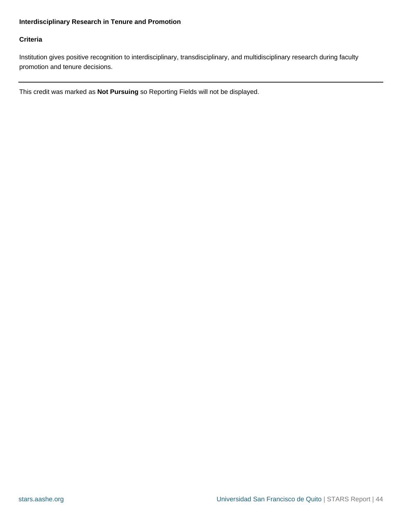#### <span id="page-43-0"></span>**Interdisciplinary Research in Tenure and Promotion**

#### **Criteria**

Institution gives positive recognition to interdisciplinary, transdisciplinary, and multidisciplinary research during faculty promotion and tenure decisions.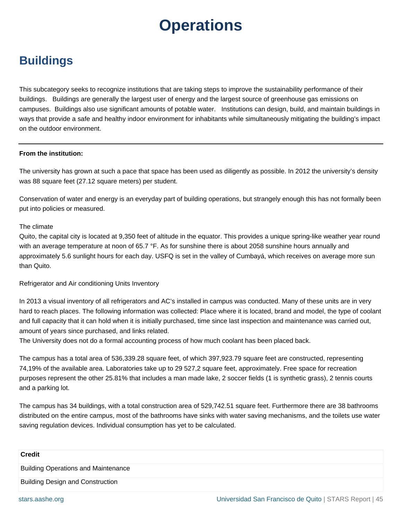# **Operations**

### **Buildings**

This subcategory seeks to recognize institutions that are taking steps to improve the sustainability performance of their buildings. Buildings are generally the largest user of energy and the largest source of greenhouse gas emissions on campuses. Buildings also use significant amounts of potable water. Institutions can design, build, and maintain buildings in ways that provide a safe and healthy indoor environment for inhabitants while simultaneously mitigating the building's impact on the outdoor environment.

#### **From the institution:**

The university has grown at such a pace that space has been used as diligently as possible. In 2012 the university's density was 88 square feet (27.12 square meters) per student.

Conservation of water and energy is an everyday part of building operations, but strangely enough this has not formally been put into policies or measured.

#### The climate

Quito, the capital city is located at 9,350 feet of altitude in the equator. This provides a unique spring-like weather year round with an average temperature at noon of 65.7 °F. As for sunshine there is about 2058 sunshine hours annually and approximately 5.6 sunlight hours for each day. USFQ is set in the valley of Cumbayá, which receives on average more sun than Quito.

#### Refrigerator and Air conditioning Units Inventory

In 2013 a visual inventory of all refrigerators and AC's installed in campus was conducted. Many of these units are in very hard to reach places. The following information was collected: Place where it is located, brand and model, the type of coolant and full capacity that it can hold when it is initially purchased, time since last inspection and maintenance was carried out, amount of years since purchased, and links related.

The University does not do a formal accounting process of how much coolant has been placed back.

The campus has a total area of 536,339.28 square feet, of which 397,923.79 square feet are constructed, representing 74,19% of the available area. Laboratories take up to 29 527,2 square feet, approximately. Free space for recreation purposes represent the other 25.81% that includes a man made lake, 2 soccer fields (1 is synthetic grass), 2 tennis courts and a parking lot.

The campus has 34 buildings, with a total construction area of 529,742.51 square feet. Furthermore there are 38 bathrooms distributed on the entire campus, most of the bathrooms have sinks with water saving mechanisms, and the toilets use water saving regulation devices. Individual consumption has yet to be calculated.

| <b>Credit</b>                              |
|--------------------------------------------|
| <b>Building Operations and Maintenance</b> |
| <b>Building Design and Construction</b>    |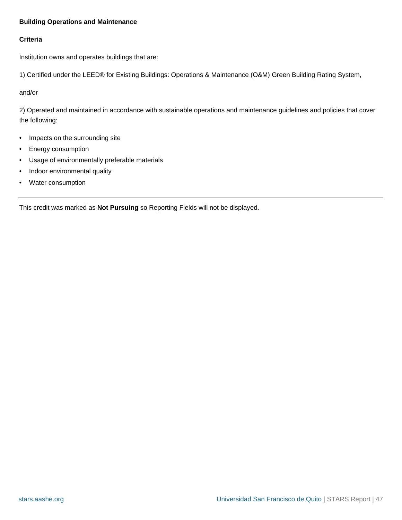#### <span id="page-46-0"></span>**Building Operations and Maintenance**

#### **Criteria**

Institution owns and operates buildings that are:

1) Certified under the LEED® for Existing Buildings: Operations & Maintenance (O&M) Green Building Rating System,

and/or

2) Operated and maintained in accordance with sustainable operations and maintenance guidelines and policies that cover the following:

- Impacts on the surrounding site
- Energy consumption
- Usage of environmentally preferable materials
- Indoor environmental quality
- Water consumption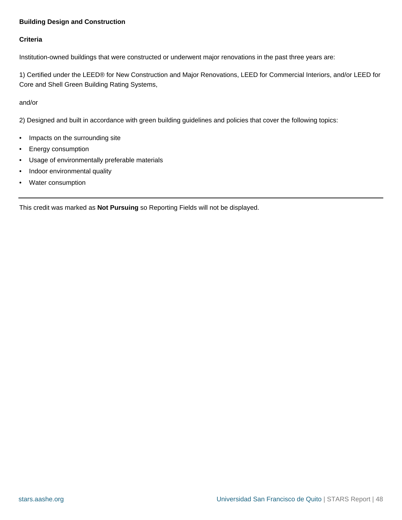#### <span id="page-47-0"></span>**Building Design and Construction**

#### **Criteria**

Institution-owned buildings that were constructed or underwent major renovations in the past three years are:

1) Certified under the LEED® for New Construction and Major Renovations, LEED for Commercial Interiors, and/or LEED for Core and Shell Green Building Rating Systems,

and/or

2) Designed and built in accordance with green building guidelines and policies that cover the following topics:

- Impacts on the surrounding site
- Energy consumption
- Usage of environmentally preferable materials
- Indoor environmental quality
- Water consumption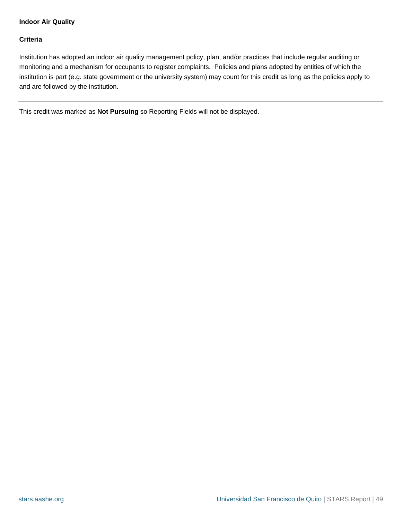#### <span id="page-48-0"></span>**Indoor Air Quality**

#### **Criteria**

Institution has adopted an indoor air quality management policy, plan, and/or practices that include regular auditing or monitoring and a mechanism for occupants to register complaints. Policies and plans adopted by entities of which the institution is part (e.g. state government or the university system) may count for this credit as long as the policies apply to and are followed by the institution.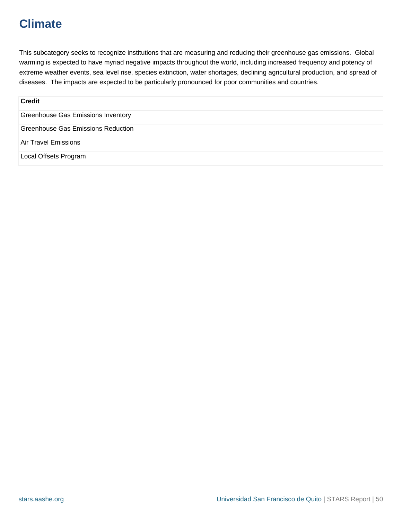### **Climate**

This subcategory seeks to recognize institutions that are measuring and reducing their greenhouse gas emissions. Global warming is expected to have myriad negative impacts throughout the world, including increased frequency and potency of extreme weather events, sea level rise, species extinction, water shortages, declining agricultural production, and spread of diseases. The impacts are expected to be particularly pronounced for poor communities and countries.

| <b>Credit</b>                             |
|-------------------------------------------|
| Greenhouse Gas Emissions Inventory        |
| <b>Greenhouse Gas Emissions Reduction</b> |
| Air Travel Emissions                      |
| Local Offsets Program                     |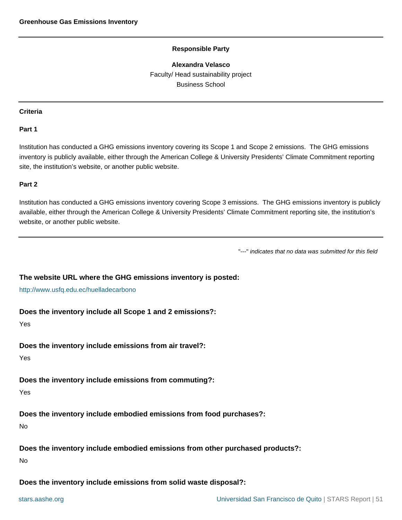#### **Alexandra Velasco**

Faculty/ Head sustainability project Business School

#### <span id="page-50-0"></span>**Criteria**

#### **Part 1**

Institution has conducted a GHG emissions inventory covering its Scope 1 and Scope 2 emissions. The GHG emissions inventory is publicly available, either through the American College & University Presidents' Climate Commitment reporting site, the institution's website, or another public website.

#### **Part 2**

Institution has conducted a GHG emissions inventory covering Scope 3 emissions. The GHG emissions inventory is publicly available, either through the American College & University Presidents' Climate Commitment reporting site, the institution's website, or another public website.

"---" indicates that no data was submitted for this field

#### **The website URL where the GHG emissions inventory is posted:**

<http://www.usfq.edu.ec/huelladecarbono>

#### **Does the inventory include all Scope 1 and 2 emissions?:**

Yes

#### **Does the inventory include emissions from air travel?:**

Yes

#### **Does the inventory include emissions from commuting?:**

Yes

#### **Does the inventory include embodied emissions from food purchases?:**

No

**Does the inventory include embodied emissions from other purchased products?:**

No

**Does the inventory include emissions from solid waste disposal?:**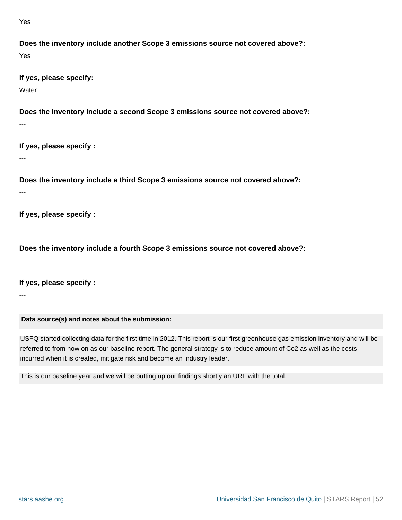Yes

```
Does the inventory include another Scope 3 emissions source not covered above?:
Yes
```
**If yes, please specify:**

**Water** 

**Does the inventory include a second Scope 3 emissions source not covered above?:**

**If yes, please specify :**

---

---

**Does the inventory include a third Scope 3 emissions source not covered above?:**

---

---

**If yes, please specify :**

**Does the inventory include a fourth Scope 3 emissions source not covered above?:**

---

**If yes, please specify :**

---

**Data source(s) and notes about the submission:**

USFQ started collecting data for the first time in 2012. This report is our first greenhouse gas emission inventory and will be referred to from now on as our baseline report. The general strategy is to reduce amount of Co2 as well as the costs incurred when it is created, mitigate risk and become an industry leader.

This is our baseline year and we will be putting up our findings shortly an URL with the total.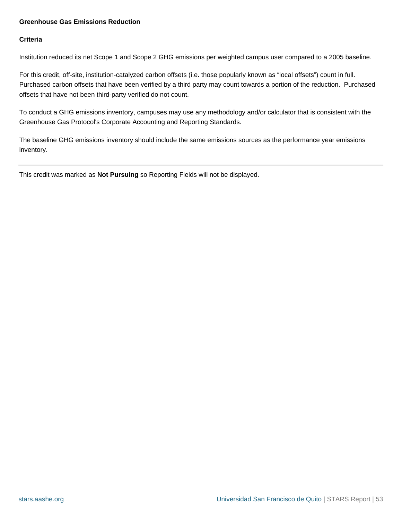#### <span id="page-52-0"></span>**Greenhouse Gas Emissions Reduction**

#### **Criteria**

Institution reduced its net Scope 1 and Scope 2 GHG emissions per weighted campus user compared to a 2005 baseline.

For this credit, off-site, institution-catalyzed carbon offsets (i.e. those popularly known as "local offsets") count in full. Purchased carbon offsets that have been verified by a third party may count towards a portion of the reduction. Purchased offsets that have not been third-party verified do not count.

To conduct a GHG emissions inventory, campuses may use any methodology and/or calculator that is consistent with the Greenhouse Gas Protocol's Corporate Accounting and Reporting Standards.

The baseline GHG emissions inventory should include the same emissions sources as the performance year emissions inventory.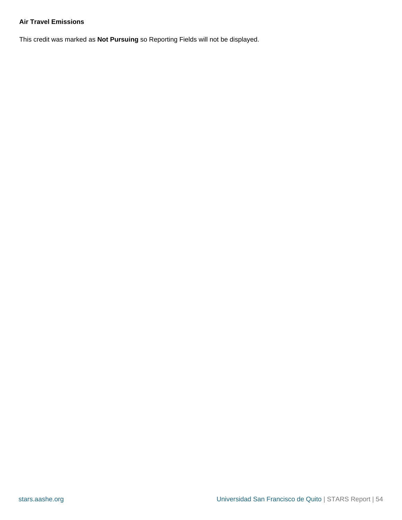#### <span id="page-53-0"></span>**Air Travel Emissions**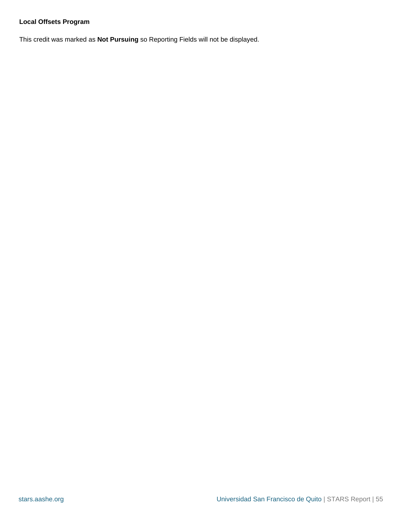#### <span id="page-54-0"></span>**Local Offsets Program**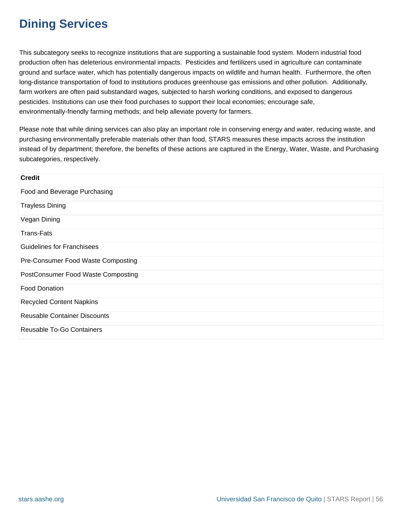### **Dining Services**

This subcategory seeks to recognize institutions that are supporting a sustainable food system. Modern industrial food production often has deleterious environmental impacts. Pesticides and fertilizers used in agriculture can contaminate ground and surface water, which has potentially dangerous impacts on wildlife and human health. Furthermore, the often long-distance transportation of food to institutions produces greenhouse gas emissions and other pollution. Additionally, farm workers are often paid substandard wages, subjected to harsh working conditions, and exposed to dangerous pesticides. Institutions can use their food purchases to support their local economies; encourage safe, environmentally-friendly farming methods; and help alleviate poverty for farmers.

Please note that while dining services can also play an important role in conserving energy and water, reducing waste, and purchasing environmentally preferable materials other than food, STARS measures these impacts across the institution instead of by department; therefore, the benefits of these actions are captured in the Energy, Water, Waste, and Purchasing subcategories, respectively.

| <b>Credit</b>                       |
|-------------------------------------|
| Food and Beverage Purchasing        |
| <b>Trayless Dining</b>              |
| Vegan Dining                        |
| <b>Trans-Fats</b>                   |
| <b>Guidelines for Franchisees</b>   |
| Pre-Consumer Food Waste Composting  |
| PostConsumer Food Waste Composting  |
| <b>Food Donation</b>                |
| <b>Recycled Content Napkins</b>     |
| <b>Reusable Container Discounts</b> |
| Reusable To-Go Containers           |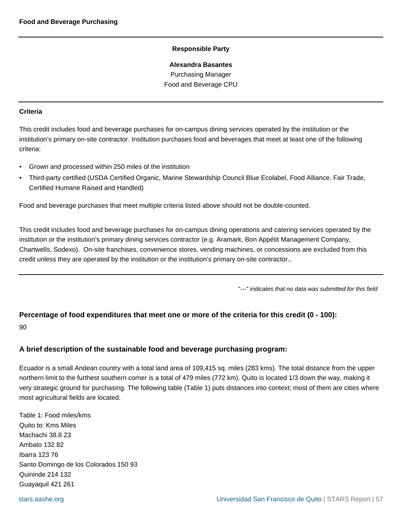**Alexandra Basantes** Purchasing Manager

Food and Beverage CPU

#### <span id="page-56-0"></span>**Criteria**

This credit includes food and beverage purchases for on-campus dining services operated by the institution or the institution's primary on-site contractor. Institution purchases food and beverages that meet at least one of the following criteria:

- Grown and processed within 250 miles of the institution
- Third-party certified (USDA Certified Organic, Marine Stewardship Council Blue Ecolabel, Food Alliance, Fair Trade, Certified Humane Raised and Handled)

Food and beverage purchases that meet multiple criteria listed above should not be double-counted.

This credit includes food and beverage purchases for on-campus dining operations and catering services operated by the institution or the institution's primary dining services contractor (e.g. Aramark, Bon Appétit Management Company, Chartwells, Sodexo). On-site franchises, convenience stores, vending machines, or concessions are excluded from this credit unless they are operated by the institution or the institution's primary on-site contractor..

"---" indicates that no data was submitted for this field

### **Percentage of food expenditures that meet one or more of the criteria for this credit (0 - 100):**

90

#### **A brief description of the sustainable food and beverage purchasing program:**

Ecuador is a small Andean country with a total land area of 109,415 sq. miles (283 kms). The total distance from the upper northern limit to the furthest southern corner is a total of 479 miles (772 km). Quito is located 1/3 down the way, making it very strategic ground for purchasing. The following table (Table 1) puts distances into context; most of them are cities where most agricultural fields are located.

Table 1: Food miles/kms Quito to: Kms Miles Machachi 38.8 23 Ambato 132 82 Ibarra 123 76 Santo Domingo de los Colorados 150 93 Quininde 214 132 Guayaquil 421 261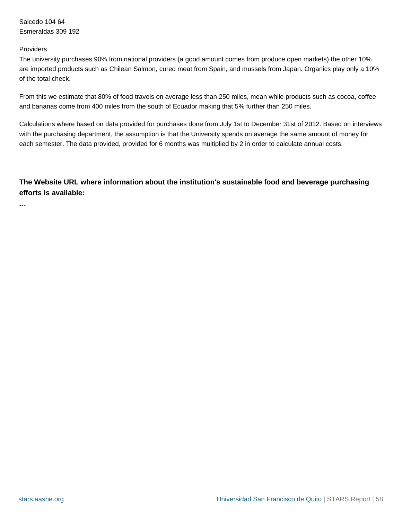Salcedo 104 64 Esmeraldas 309 192

#### Providers

---

The university purchases 90% from national providers (a good amount comes from produce open markets) the other 10% are imported products such as Chilean Salmon, cured meat from Spain, and mussels from Japan. Organics play only a 10% of the total check.

From this we estimate that 80% of food travels on average less than 250 miles, mean while products such as cocoa, coffee and bananas come from 400 miles from the south of Ecuador making that 5% further than 250 miles.

Calculations where based on data provided for purchases done from July 1st to December 31st of 2012. Based on interviews with the purchasing department, the assumption is that the University spends on average the same amount of money for each semester. The data provided, provided for 6 months was multiplied by 2 in order to calculate annual costs.

#### **The Website URL where information about the institution's sustainable food and beverage purchasing efforts is available:**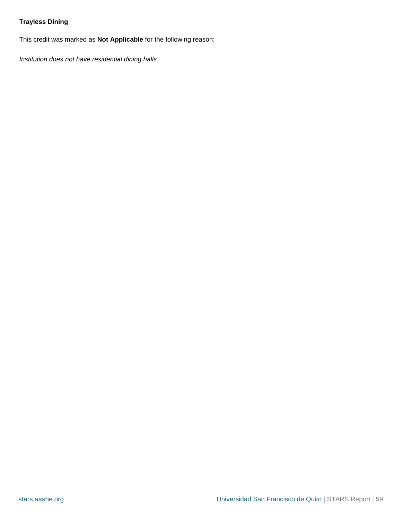#### <span id="page-58-0"></span>**Trayless Dining**

This credit was marked as **Not Applicable** for the following reason:

Institution does not have residential dining halls.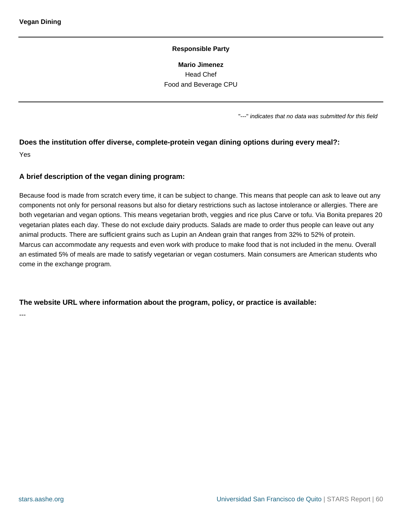**Mario Jimenez** Head Chef Food and Beverage CPU

"---" indicates that no data was submitted for this field

## <span id="page-59-0"></span>**Does the institution offer diverse, complete-protein vegan dining options during every meal?:**

Yes

#### **A brief description of the vegan dining program:**

Because food is made from scratch every time, it can be subject to change. This means that people can ask to leave out any components not only for personal reasons but also for dietary restrictions such as lactose intolerance or allergies. There are both vegetarian and vegan options. This means vegetarian broth, veggies and rice plus Carve or tofu. Via Bonita prepares 20 vegetarian plates each day. These do not exclude dairy products. Salads are made to order thus people can leave out any animal products. There are sufficient grains such as Lupin an Andean grain that ranges from 32% to 52% of protein. Marcus can accommodate any requests and even work with produce to make food that is not included in the menu. Overall an estimated 5% of meals are made to satisfy vegetarian or vegan costumers. Main consumers are American students who come in the exchange program.

#### **The website URL where information about the program, policy, or practice is available:**

---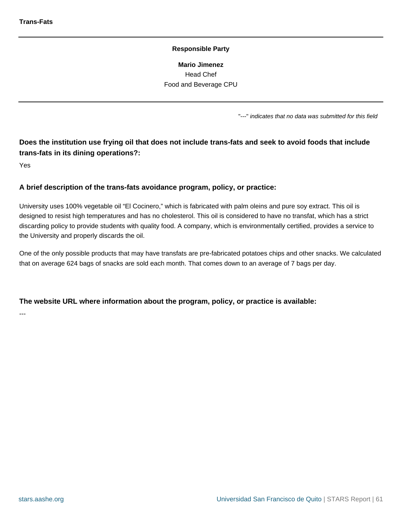**Mario Jimenez** Head Chef Food and Beverage CPU

"---" indicates that no data was submitted for this field

### <span id="page-60-0"></span>**Does the institution use frying oil that does not include trans-fats and seek to avoid foods that include trans-fats in its dining operations?:**

Yes

#### **A brief description of the trans-fats avoidance program, policy, or practice:**

University uses 100% vegetable oil "El Cocinero," which is fabricated with palm oleins and pure soy extract. This oil is designed to resist high temperatures and has no cholesterol. This oil is considered to have no transfat, which has a strict discarding policy to provide students with quality food. A company, which is environmentally certified, provides a service to the University and properly discards the oil.

One of the only possible products that may have transfats are pre-fabricated potatoes chips and other snacks. We calculated that on average 624 bags of snacks are sold each month. That comes down to an average of 7 bags per day.

#### **The website URL where information about the program, policy, or practice is available:**

---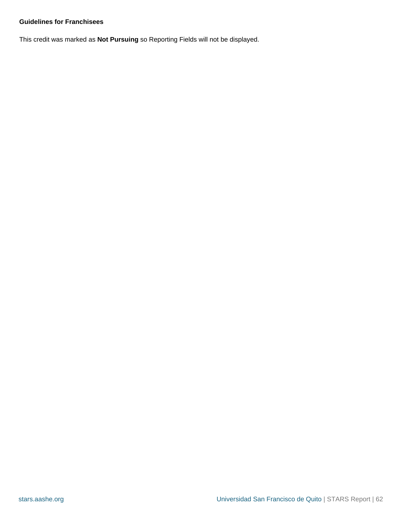#### <span id="page-61-0"></span>**Guidelines for Franchisees**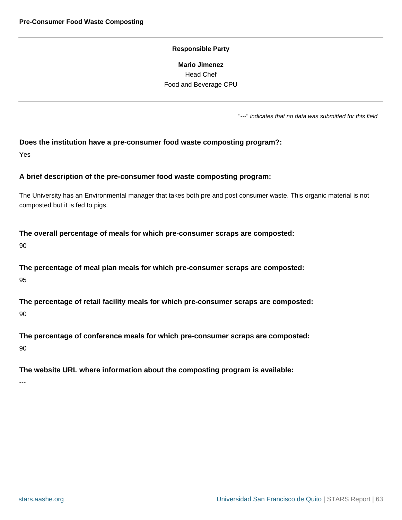**Mario Jimenez** Head Chef Food and Beverage CPU

"---" indicates that no data was submitted for this field

#### <span id="page-62-0"></span>**Does the institution have a pre-consumer food waste composting program?:**

Yes

#### **A brief description of the pre-consumer food waste composting program:**

The University has an Environmental manager that takes both pre and post consumer waste. This organic material is not composted but it is fed to pigs.

#### **The overall percentage of meals for which pre-consumer scraps are composted:**

90

**The percentage of meal plan meals for which pre-consumer scraps are composted:** 95

**The percentage of retail facility meals for which pre-consumer scraps are composted:** 90

**The percentage of conference meals for which pre-consumer scraps are composted:**

90

#### **The website URL where information about the composting program is available:**

---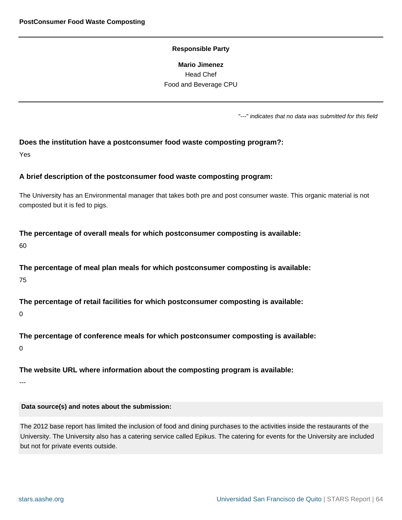**Mario Jimenez** Head Chef Food and Beverage CPU

"---" indicates that no data was submitted for this field

#### <span id="page-63-0"></span>**Does the institution have a postconsumer food waste composting program?:**

Yes

#### **A brief description of the postconsumer food waste composting program:**

The University has an Environmental manager that takes both pre and post consumer waste. This organic material is not composted but it is fed to pigs.

#### **The percentage of overall meals for which postconsumer composting is available:**

60

**The percentage of meal plan meals for which postconsumer composting is available:** 75

**The percentage of retail facilities for which postconsumer composting is available:**

0

**The percentage of conference meals for which postconsumer composting is available:**

0

#### **The website URL where information about the composting program is available:**

---

#### **Data source(s) and notes about the submission:**

The 2012 base report has limited the inclusion of food and dining purchases to the activities inside the restaurants of the University. The University also has a catering service called Epikus. The catering for events for the University are included but not for private events outside.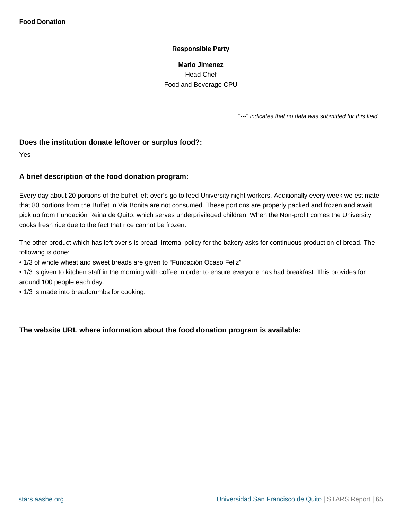**Mario Jimenez** Head Chef Food and Beverage CPU

"---" indicates that no data was submitted for this field

#### <span id="page-64-0"></span>**Does the institution donate leftover or surplus food?:**

Yes

#### **A brief description of the food donation program:**

Every day about 20 portions of the buffet left-over's go to feed University night workers. Additionally every week we estimate that 80 portions from the Buffet in Via Bonita are not consumed. These portions are properly packed and frozen and await pick up from Fundación Reina de Quito, which serves underprivileged children. When the Non-profit comes the University cooks fresh rice due to the fact that rice cannot be frozen.

The other product which has left over's is bread. Internal policy for the bakery asks for continuous production of bread. The following is done:

• 1/3 of whole wheat and sweet breads are given to "Fundación Ocaso Feliz"

• 1/3 is given to kitchen staff in the morning with coffee in order to ensure everyone has had breakfast. This provides for around 100 people each day.

• 1/3 is made into breadcrumbs for cooking.

#### **The website URL where information about the food donation program is available:**

---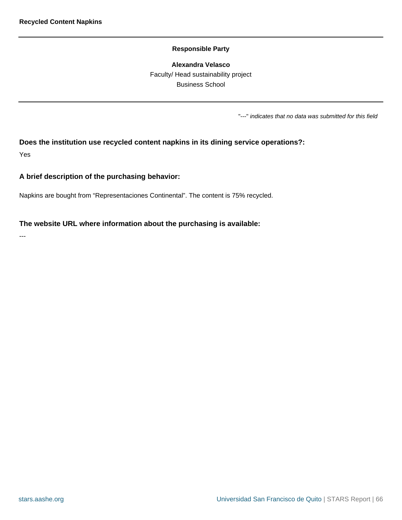#### **Alexandra Velasco**

Faculty/ Head sustainability project Business School

"---" indicates that no data was submitted for this field

### <span id="page-65-0"></span>**Does the institution use recycled content napkins in its dining service operations?:**

Yes

#### **A brief description of the purchasing behavior:**

Napkins are bought from "Representaciones Continental". The content is 75% recycled.

#### **The website URL where information about the purchasing is available:**

---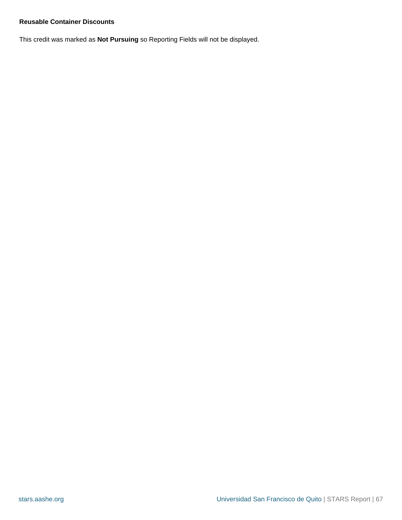#### <span id="page-66-0"></span>**Reusable Container Discounts**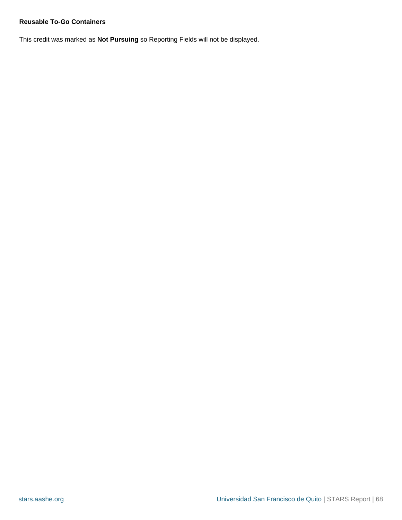#### <span id="page-67-0"></span>**Reusable To-Go Containers**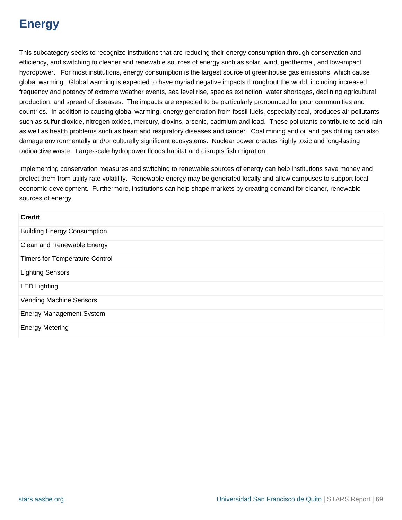### **Energy**

This subcategory seeks to recognize institutions that are reducing their energy consumption through conservation and efficiency, and switching to cleaner and renewable sources of energy such as solar, wind, geothermal, and low-impact hydropower. For most institutions, energy consumption is the largest source of greenhouse gas emissions, which cause global warming. Global warming is expected to have myriad negative impacts throughout the world, including increased frequency and potency of extreme weather events, sea level rise, species extinction, water shortages, declining agricultural production, and spread of diseases. The impacts are expected to be particularly pronounced for poor communities and countries. In addition to causing global warming, energy generation from fossil fuels, especially coal, produces air pollutants such as sulfur dioxide, nitrogen oxides, mercury, dioxins, arsenic, cadmium and lead. These pollutants contribute to acid rain as well as health problems such as heart and respiratory diseases and cancer. Coal mining and oil and gas drilling can also damage environmentally and/or culturally significant ecosystems. Nuclear power creates highly toxic and long-lasting radioactive waste. Large-scale hydropower floods habitat and disrupts fish migration.

Implementing conservation measures and switching to renewable sources of energy can help institutions save money and protect them from utility rate volatility. Renewable energy may be generated locally and allow campuses to support local economic development. Furthermore, institutions can help shape markets by creating demand for cleaner, renewable sources of energy.

| <b>Credit</b>                         |
|---------------------------------------|
| <b>Building Energy Consumption</b>    |
| Clean and Renewable Energy            |
| <b>Timers for Temperature Control</b> |
| <b>Lighting Sensors</b>               |
| <b>LED Lighting</b>                   |
| <b>Vending Machine Sensors</b>        |
| <b>Energy Management System</b>       |
| <b>Energy Metering</b>                |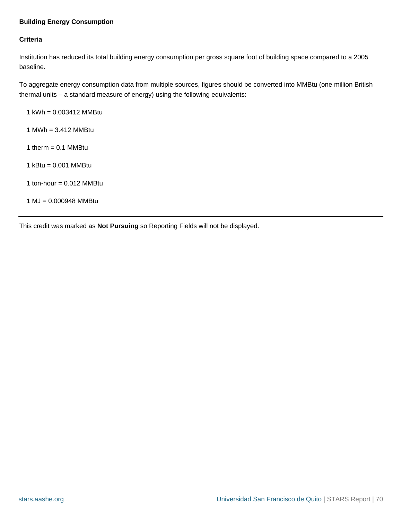#### <span id="page-69-0"></span>**Building Energy Consumption**

#### **Criteria**

Institution has reduced its total building energy consumption per gross square foot of building space compared to a 2005 baseline.

To aggregate energy consumption data from multiple sources, figures should be converted into MMBtu (one million British thermal units – a standard measure of energy) using the following equivalents:

1 kWh = 0.003412 MMBtu

- 1 MWh = 3.412 MMBtu
- 1 therm  $= 0.1$  MMBtu
- 1 kBtu = 0.001 MMBtu
- 1 ton-hour  $= 0.012$  MMBtu

1 MJ = 0.000948 MMBtu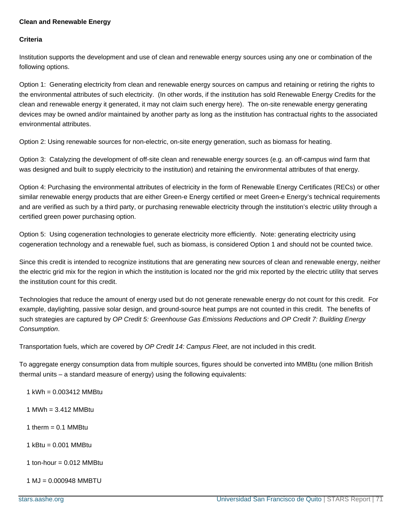#### <span id="page-70-0"></span>**Clean and Renewable Energy**

#### **Criteria**

Institution supports the development and use of clean and renewable energy sources using any one or combination of the following options.

Option 1: Generating electricity from clean and renewable energy sources on campus and retaining or retiring the rights to the environmental attributes of such electricity. (In other words, if the institution has sold Renewable Energy Credits for the clean and renewable energy it generated, it may not claim such energy here). The on-site renewable energy generating devices may be owned and/or maintained by another party as long as the institution has contractual rights to the associated environmental attributes.

Option 2: Using renewable sources for non-electric, on-site energy generation, such as biomass for heating.

Option 3: Catalyzing the development of off-site clean and renewable energy sources (e.g. an off-campus wind farm that was designed and built to supply electricity to the institution) and retaining the environmental attributes of that energy.

Option 4: Purchasing the environmental attributes of electricity in the form of Renewable Energy Certificates (RECs) or other similar renewable energy products that are either Green-e Energy certified or meet Green-e Energy's technical requirements and are verified as such by a third party, or purchasing renewable electricity through the institution's electric utility through a certified green power purchasing option.

Option 5: Using cogeneration technologies to generate electricity more efficiently. Note: generating electricity using cogeneration technology and a renewable fuel, such as biomass, is considered Option 1 and should not be counted twice.

Since this credit is intended to recognize institutions that are generating new sources of clean and renewable energy, neither the electric grid mix for the region in which the institution is located nor the grid mix reported by the electric utility that serves the institution count for this credit.

Technologies that reduce the amount of energy used but do not generate renewable energy do not count for this credit. For example, daylighting, passive solar design, and ground-source heat pumps are not counted in this credit. The benefits of such strategies are captured by OP Credit 5: Greenhouse Gas Emissions Reductions and OP Credit 7: Building Energy Consumption.

Transportation fuels, which are covered by OP Credit 14: Campus Fleet, are not included in this credit.

To aggregate energy consumption data from multiple sources, figures should be converted into MMBtu (one million British thermal units – a standard measure of energy) using the following equivalents:

 $1$  kWh = 0.003412 MMBtu

- 1 MWh = 3.412 MMBtu
- 1 therm  $= 0.1$  MMBtu
- 1 kBtu = 0.001 MMBtu
- 1 ton-hour  $= 0.012$  MMBtu
- 1 MJ = 0.000948 MMBTU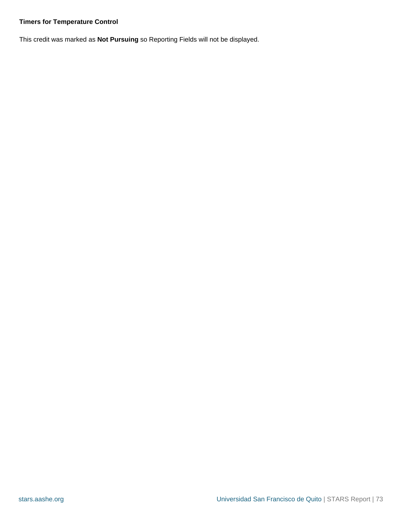# **Timers for Temperature Control**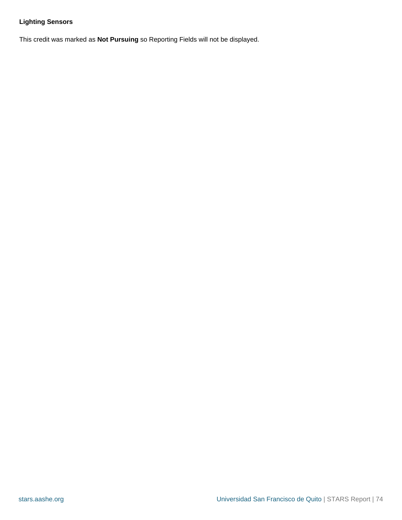# **Lighting Sensors**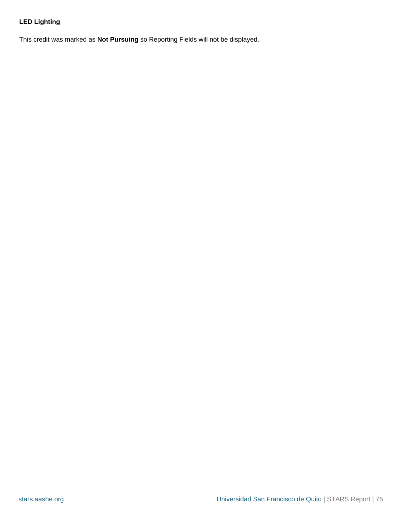# **LED Lighting**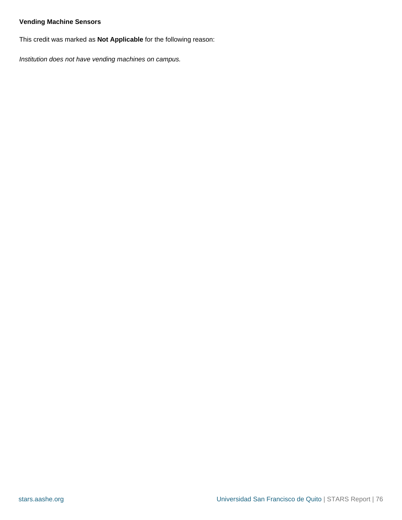#### **Vending Machine Sensors**

This credit was marked as **Not Applicable** for the following reason:

Institution does not have vending machines on campus.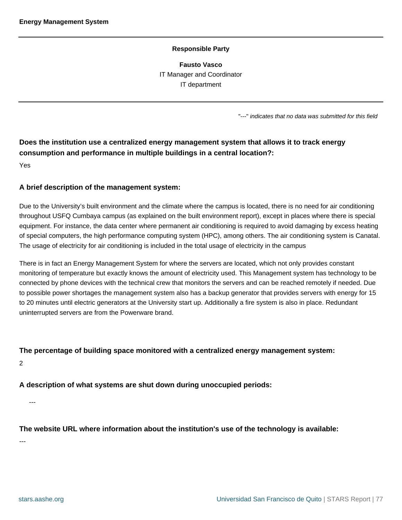#### **Responsible Party**

**Fausto Vasco** IT Manager and Coordinator IT department

"---" indicates that no data was submitted for this field

# **Does the institution use a centralized energy management system that allows it to track energy consumption and performance in multiple buildings in a central location?:**

Yes

#### **A brief description of the management system:**

Due to the University's built environment and the climate where the campus is located, there is no need for air conditioning throughout USFQ Cumbaya campus (as explained on the built environment report), except in places where there is special equipment. For instance, the data center where permanent air conditioning is required to avoid damaging by excess heating of special computers, the high performance computing system (HPC), among others. The air conditioning system is Canatal. The usage of electricity for air conditioning is included in the total usage of electricity in the campus

There is in fact an Energy Management System for where the servers are located, which not only provides constant monitoring of temperature but exactly knows the amount of electricity used. This Management system has technology to be connected by phone devices with the technical crew that monitors the servers and can be reached remotely if needed. Due to possible power shortages the management system also has a backup generator that provides servers with energy for 15 to 20 minutes until electric generators at the University start up. Additionally a fire system is also in place. Redundant uninterrupted servers are from the Powerware brand.

#### **The percentage of building space monitored with a centralized energy management system:**

2

#### **A description of what systems are shut down during unoccupied periods:**

---

#### **The website URL where information about the institution's use of the technology is available:**

---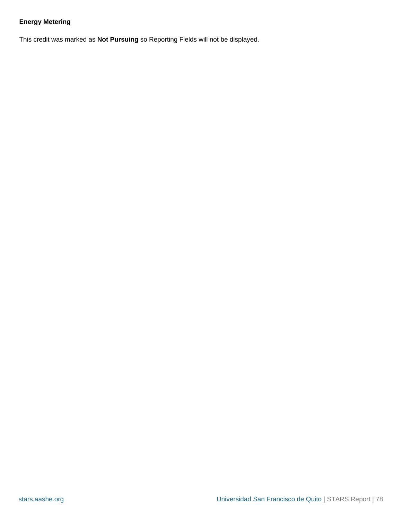# **Energy Metering**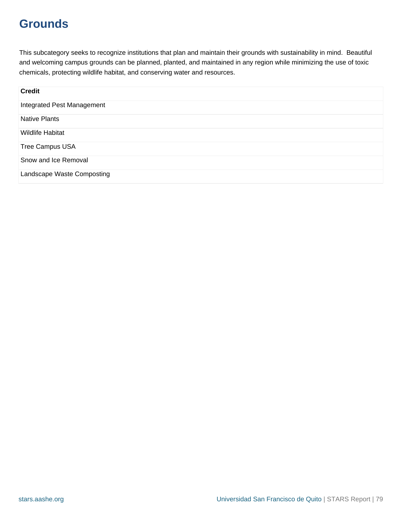# **Grounds**

This subcategory seeks to recognize institutions that plan and maintain their grounds with sustainability in mind. Beautiful and welcoming campus grounds can be planned, planted, and maintained in any region while minimizing the use of toxic chemicals, protecting wildlife habitat, and conserving water and resources.

| <b>Credit</b>              |
|----------------------------|
| Integrated Pest Management |
| <b>Native Plants</b>       |
| <b>Wildlife Habitat</b>    |
| <b>Tree Campus USA</b>     |
| Snow and Ice Removal       |
| Landscape Waste Composting |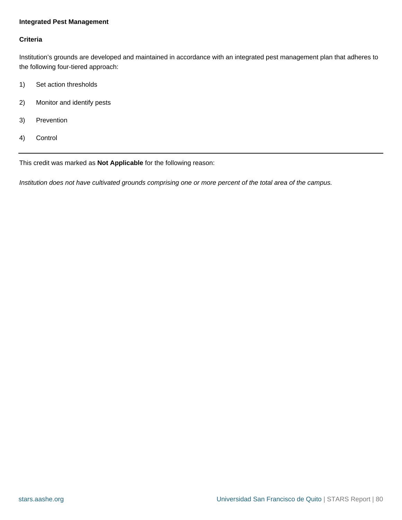#### <span id="page-79-0"></span>**Integrated Pest Management**

#### **Criteria**

Institution's grounds are developed and maintained in accordance with an integrated pest management plan that adheres to the following four-tiered approach:

- 1) Set action thresholds
- 2) Monitor and identify pests
- 3) Prevention
- 4) Control

This credit was marked as **Not Applicable** for the following reason:

Institution does not have cultivated grounds comprising one or more percent of the total area of the campus.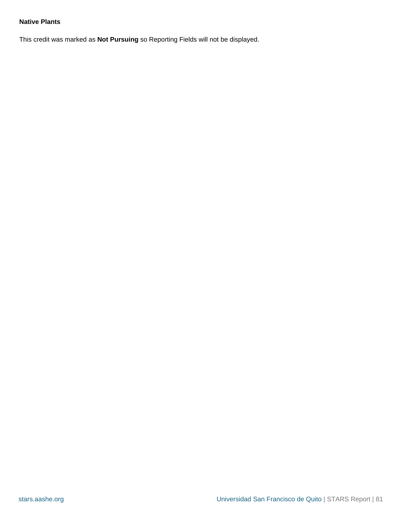#### <span id="page-80-0"></span>**Native Plants**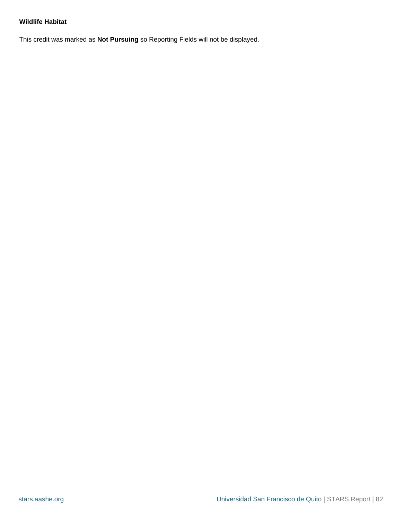#### <span id="page-81-0"></span>**Wildlife Habitat**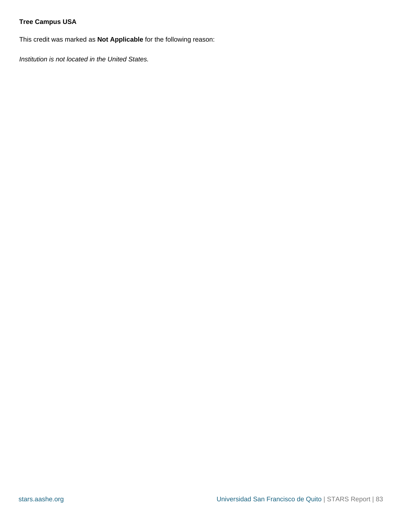# <span id="page-82-0"></span>**Tree Campus USA**

This credit was marked as **Not Applicable** for the following reason:

Institution is not located in the United States.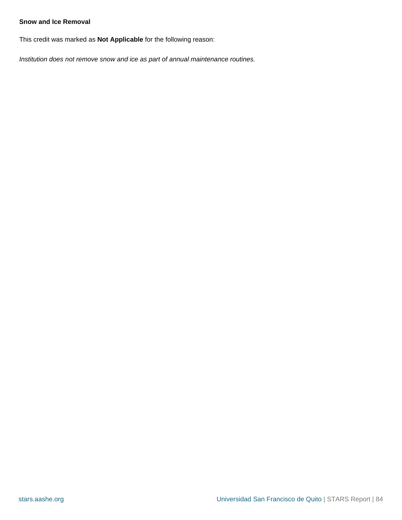#### <span id="page-83-0"></span>**Snow and Ice Removal**

This credit was marked as **Not Applicable** for the following reason:

Institution does not remove snow and ice as part of annual maintenance routines.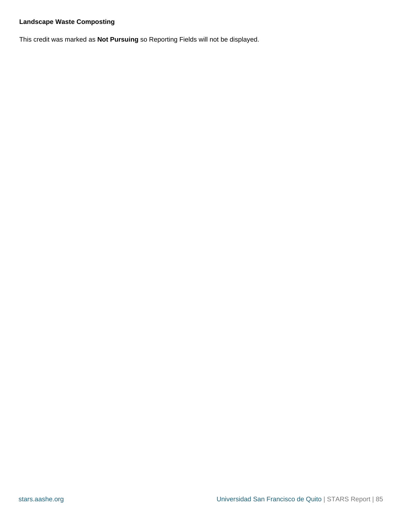### <span id="page-84-0"></span>**Landscape Waste Composting**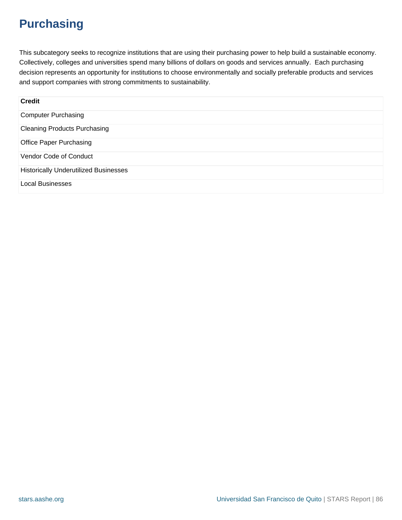# **Purchasing**

This subcategory seeks to recognize institutions that are using their purchasing power to help build a sustainable economy. Collectively, colleges and universities spend many billions of dollars on goods and services annually. Each purchasing decision represents an opportunity for institutions to choose environmentally and socially preferable products and services and support companies with strong commitments to sustainability.

| <b>Credit</b>                                |  |
|----------------------------------------------|--|
| <b>Computer Purchasing</b>                   |  |
| <b>Cleaning Products Purchasing</b>          |  |
| <b>Office Paper Purchasing</b>               |  |
| Vendor Code of Conduct                       |  |
| <b>Historically Underutilized Businesses</b> |  |
| <b>Local Businesses</b>                      |  |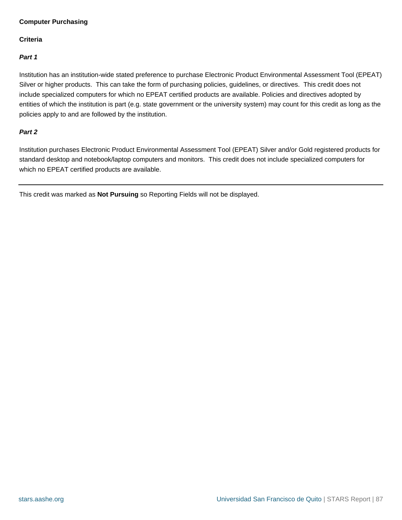### <span id="page-86-0"></span>**Computer Purchasing**

#### **Criteria**

#### **Part 1**

Institution has an institution-wide stated preference to purchase Electronic Product Environmental Assessment Tool (EPEAT) Silver or higher products. This can take the form of purchasing policies, guidelines, or directives. This credit does not include specialized computers for which no EPEAT certified products are available. Policies and directives adopted by entities of which the institution is part (e.g. state government or the university system) may count for this credit as long as the policies apply to and are followed by the institution.

#### **Part 2**

Institution purchases Electronic Product Environmental Assessment Tool (EPEAT) Silver and/or Gold registered products for standard desktop and notebook/laptop computers and monitors. This credit does not include specialized computers for which no EPEAT certified products are available.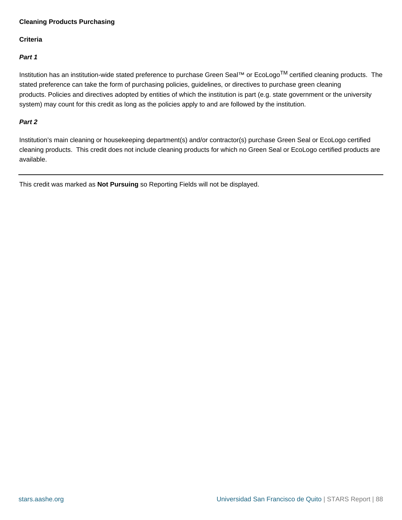#### <span id="page-87-0"></span>**Cleaning Products Purchasing**

#### **Criteria**

#### **Part 1**

Institution has an institution-wide stated preference to purchase Green Seal™ or EcoLogoTM certified cleaning products. The stated preference can take the form of purchasing policies, guidelines, or directives to purchase green cleaning products. Policies and directives adopted by entities of which the institution is part (e.g. state government or the university system) may count for this credit as long as the policies apply to and are followed by the institution.

#### **Part 2**

Institution's main cleaning or housekeeping department(s) and/or contractor(s) purchase Green Seal or EcoLogo certified cleaning products. This credit does not include cleaning products for which no Green Seal or EcoLogo certified products are available.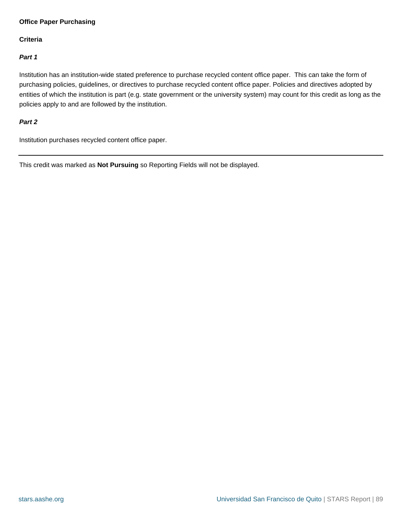#### <span id="page-88-0"></span>**Office Paper Purchasing**

#### **Criteria**

#### **Part 1**

Institution has an institution-wide stated preference to purchase recycled content office paper. This can take the form of purchasing policies, guidelines, or directives to purchase recycled content office paper. Policies and directives adopted by entities of which the institution is part (e.g. state government or the university system) may count for this credit as long as the policies apply to and are followed by the institution.

#### **Part 2**

Institution purchases recycled content office paper.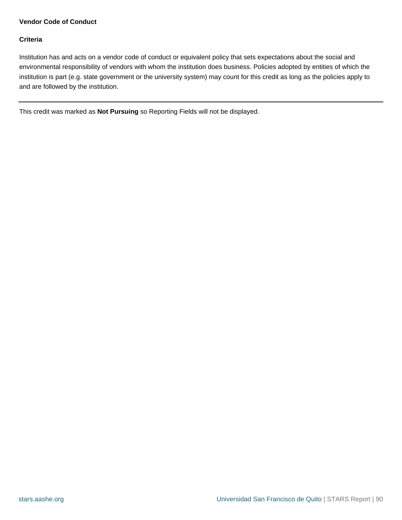### <span id="page-89-0"></span>**Vendor Code of Conduct**

#### **Criteria**

Institution has and acts on a vendor code of conduct or equivalent policy that sets expectations about the social and environmental responsibility of vendors with whom the institution does business. Policies adopted by entities of which the institution is part (e.g. state government or the university system) may count for this credit as long as the policies apply to and are followed by the institution.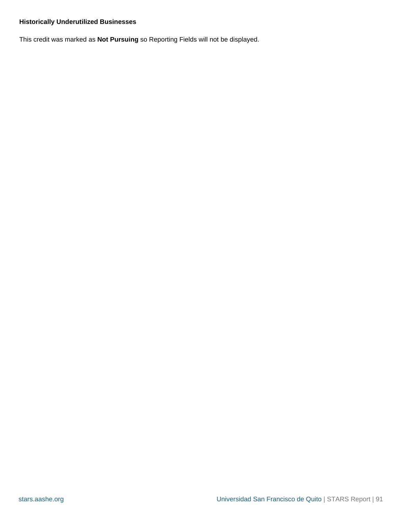# <span id="page-90-0"></span>**Historically Underutilized Businesses**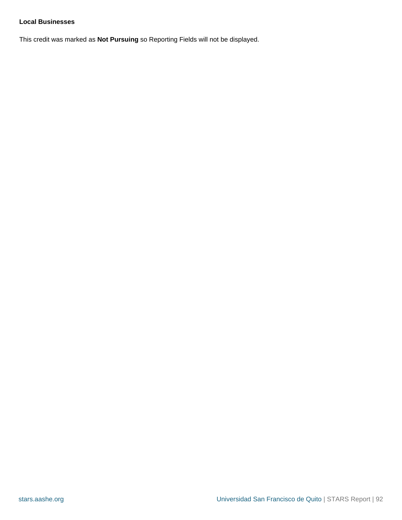#### <span id="page-91-0"></span>**Local Businesses**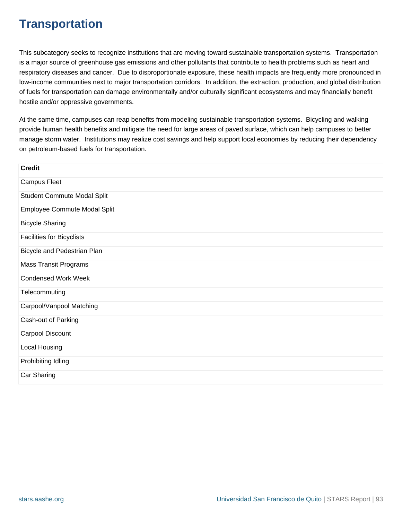# **Transportation**

This subcategory seeks to recognize institutions that are moving toward sustainable transportation systems. Transportation is a major source of greenhouse gas emissions and other pollutants that contribute to health problems such as heart and respiratory diseases and cancer. Due to disproportionate exposure, these health impacts are frequently more pronounced in low-income communities next to major transportation corridors. In addition, the extraction, production, and global distribution of fuels for transportation can damage environmentally and/or culturally significant ecosystems and may financially benefit hostile and/or oppressive governments.

At the same time, campuses can reap benefits from modeling sustainable transportation systems. Bicycling and walking provide human health benefits and mitigate the need for large areas of paved surface, which can help campuses to better manage storm water. Institutions may realize cost savings and help support local economies by reducing their dependency on petroleum-based fuels for transportation.

| <b>Credit</b>                    |
|----------------------------------|
| <b>Campus Fleet</b>              |
| Student Commute Modal Split      |
| Employee Commute Modal Split     |
| <b>Bicycle Sharing</b>           |
| <b>Facilities for Bicyclists</b> |
| Bicycle and Pedestrian Plan      |
| <b>Mass Transit Programs</b>     |
| <b>Condensed Work Week</b>       |
| Telecommuting                    |
| Carpool/Vanpool Matching         |
| Cash-out of Parking              |
| Carpool Discount                 |
| Local Housing                    |
| Prohibiting Idling               |
| Car Sharing                      |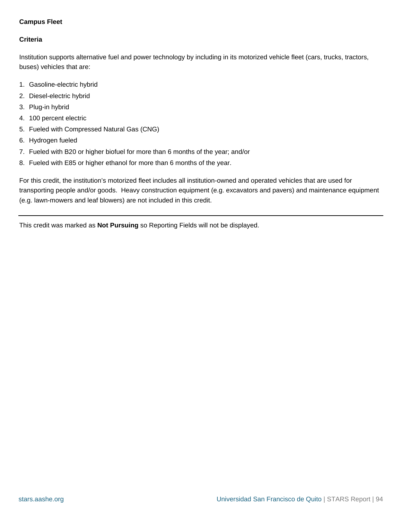## <span id="page-93-0"></span>**Campus Fleet**

### **Criteria**

Institution supports alternative fuel and power technology by including in its motorized vehicle fleet (cars, trucks, tractors, buses) vehicles that are:

- 1. Gasoline-electric hybrid
- 2. Diesel-electric hybrid
- 3. Plug-in hybrid
- 4. 100 percent electric
- 5. Fueled with Compressed Natural Gas (CNG)
- 6. Hydrogen fueled
- 7. Fueled with B20 or higher biofuel for more than 6 months of the year; and/or
- 8. Fueled with E85 or higher ethanol for more than 6 months of the year.

For this credit, the institution's motorized fleet includes all institution-owned and operated vehicles that are used for transporting people and/or goods. Heavy construction equipment (e.g. excavators and pavers) and maintenance equipment (e.g. lawn-mowers and leaf blowers) are not included in this credit.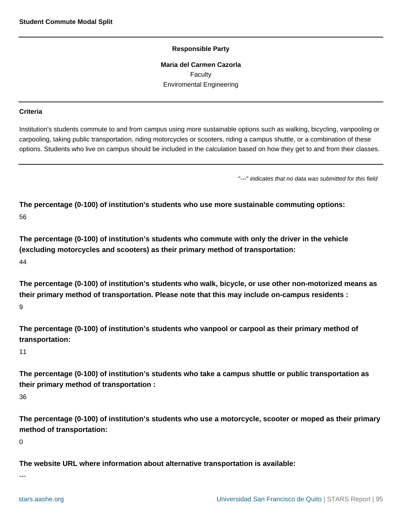#### **Responsible Party**

**Maria del Carmen Cazorla** Faculty Enviromental Engineering

#### <span id="page-94-0"></span>**Criteria**

Institution's students commute to and from campus using more sustainable options such as walking, bicycling, vanpooling or carpooling, taking public transportation, riding motorcycles or scooters, riding a campus shuttle, or a combination of these options. Students who live on campus should be included in the calculation based on how they get to and from their classes.

"---" indicates that no data was submitted for this field

**The percentage (0-100) of institution's students who use more sustainable commuting options:** 56

**The percentage (0-100) of institution's students who commute with only the driver in the vehicle (excluding motorcycles and scooters) as their primary method of transportation:** 44

**The percentage (0-100) of institution's students who walk, bicycle, or use other non-motorized means as their primary method of transportation. Please note that this may include on-campus residents :** 9

**The percentage (0-100) of institution's students who vanpool or carpool as their primary method of transportation:**

#### 11

**The percentage (0-100) of institution's students who take a campus shuttle or public transportation as their primary method of transportation :**

36

**The percentage (0-100) of institution's students who use a motorcycle, scooter or moped as their primary method of transportation:**

0

---

**The website URL where information about alternative transportation is available:**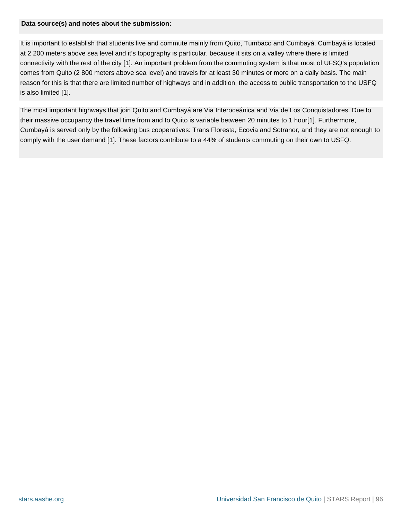#### **Data source(s) and notes about the submission:**

It is important to establish that students live and commute mainly from Quito, Tumbaco and Cumbayá. Cumbayá is located at 2 200 meters above sea level and it's topography is particular. because it sits on a valley where there is limited connectivity with the rest of the city [1]. An important problem from the commuting system is that most of UFSQ's population comes from Quito (2 800 meters above sea level) and travels for at least 30 minutes or more on a daily basis. The main reason for this is that there are limited number of highways and in addition, the access to public transportation to the USFQ is also limited [1].

The most important highways that join Quito and Cumbayá are Via Interoceánica and Via de Los Conquistadores. Due to their massive occupancy the travel time from and to Quito is variable between 20 minutes to 1 hour[1]. Furthermore, Cumbayá is served only by the following bus cooperatives: Trans Floresta, Ecovia and Sotranor, and they are not enough to comply with the user demand [1]. These factors contribute to a 44% of students commuting on their own to USFQ.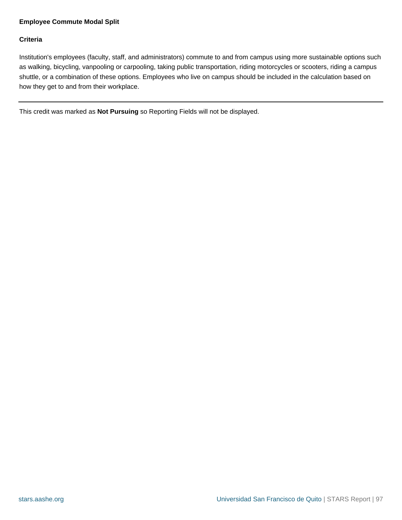#### <span id="page-96-0"></span>**Employee Commute Modal Split**

#### **Criteria**

Institution's employees (faculty, staff, and administrators) commute to and from campus using more sustainable options such as walking, bicycling, vanpooling or carpooling, taking public transportation, riding motorcycles or scooters, riding a campus shuttle, or a combination of these options. Employees who live on campus should be included in the calculation based on how they get to and from their workplace.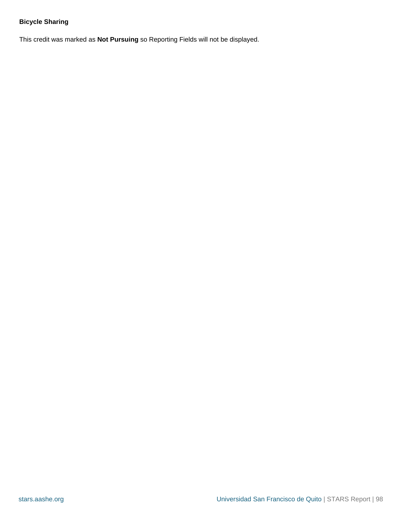# <span id="page-97-0"></span>**Bicycle Sharing**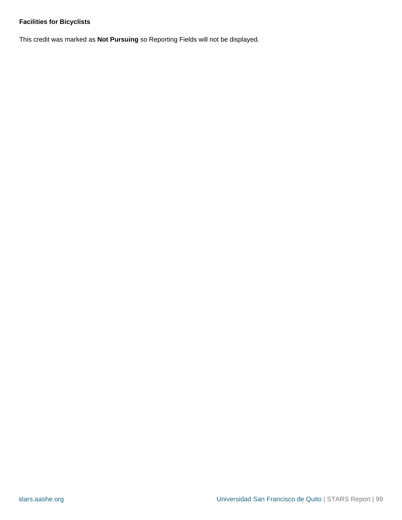# <span id="page-98-0"></span>**Facilities for Bicyclists**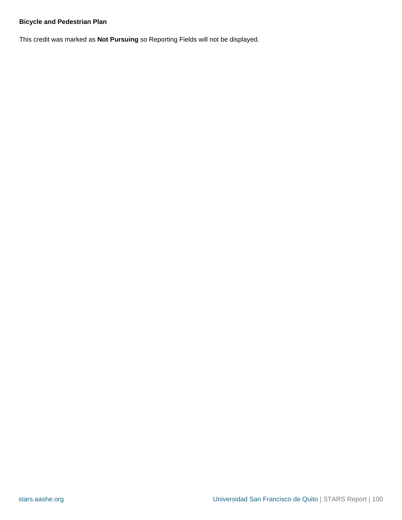#### <span id="page-99-0"></span>**Bicycle and Pedestrian Plan**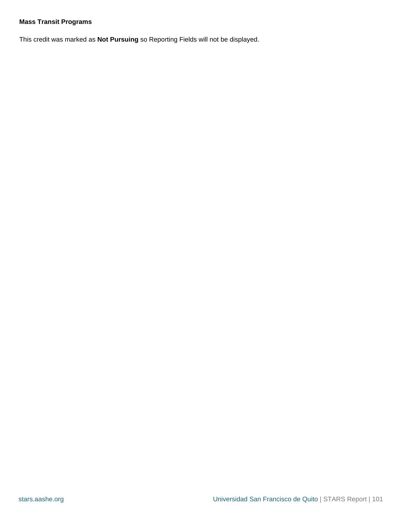## <span id="page-100-0"></span>**Mass Transit Programs**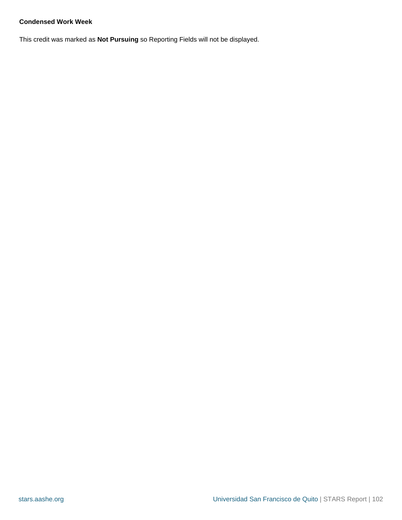### <span id="page-101-0"></span>**Condensed Work Week**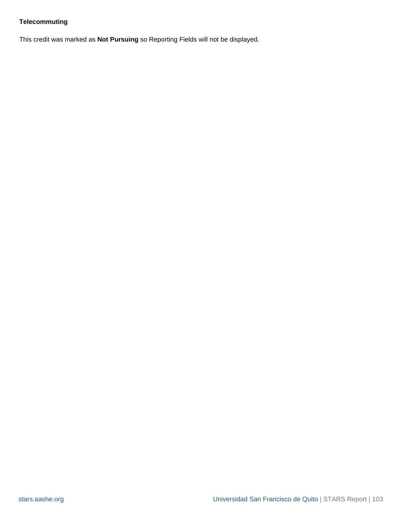# <span id="page-102-0"></span>**Telecommuting**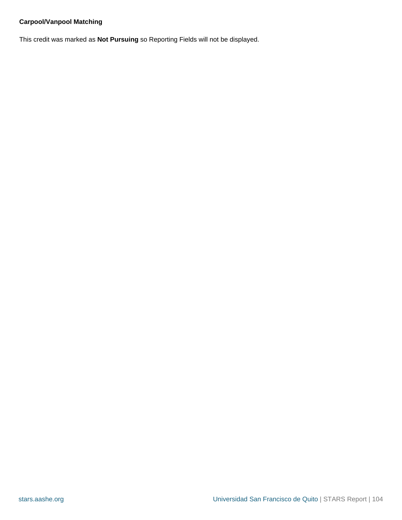# <span id="page-103-0"></span>**Carpool/Vanpool Matching**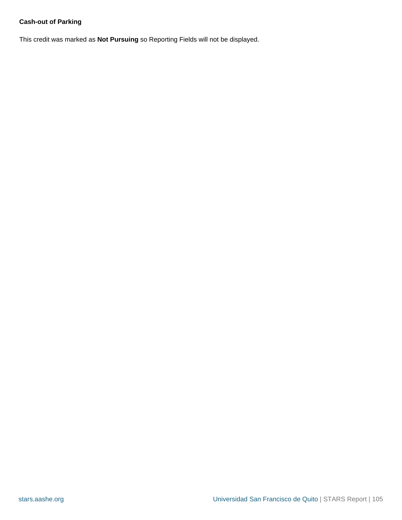# <span id="page-104-0"></span>**Cash-out of Parking**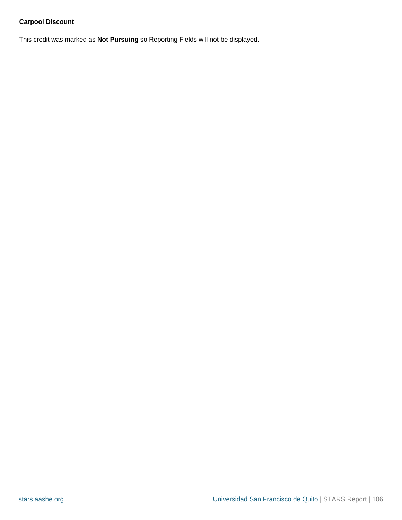# <span id="page-105-0"></span>**Carpool Discount**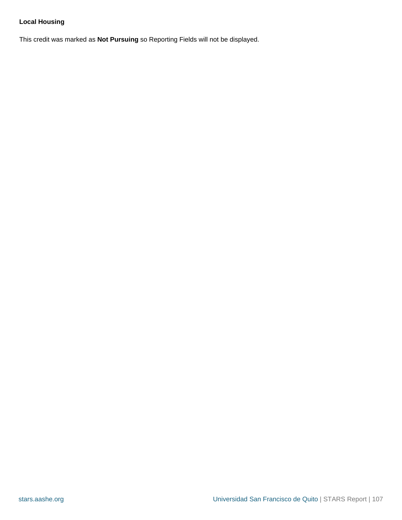# <span id="page-106-0"></span>**Local Housing**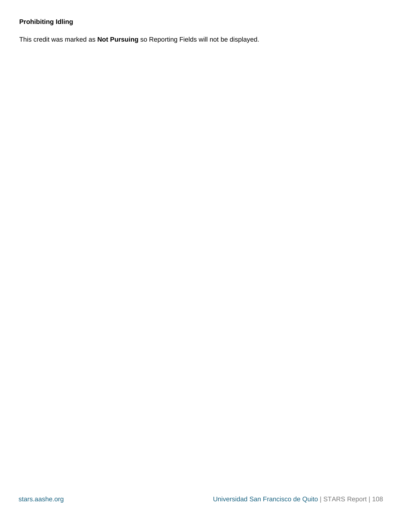# <span id="page-107-0"></span>**Prohibiting Idling**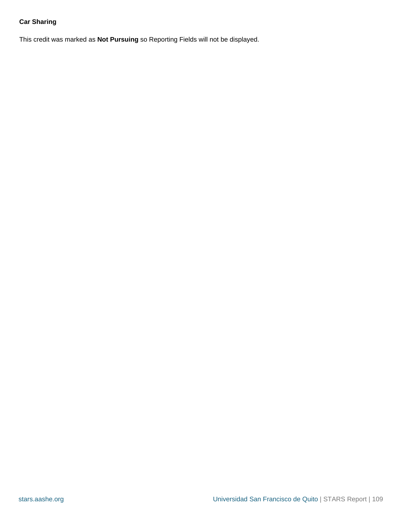# **Car Sharing**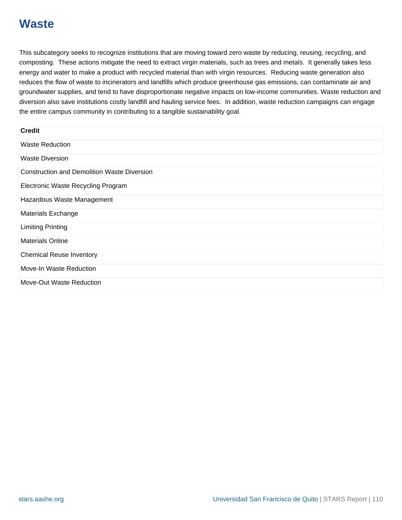# **Waste**

This subcategory seeks to recognize institutions that are moving toward zero waste by reducing, reusing, recycling, and composting. These actions mitigate the need to extract virgin materials, such as trees and metals. It generally takes less energy and water to make a product with recycled material than with virgin resources. Reducing waste generation also reduces the flow of waste to incinerators and landfills which produce greenhouse gas emissions, can contaminate air and groundwater supplies, and tend to have disproportionate negative impacts on low-income communities. Waste reduction and diversion also save institutions costly landfill and hauling service fees. In addition, waste reduction campaigns can engage the entire campus community in contributing to a tangible sustainability goal.

| <b>Credit</b>                                      |
|----------------------------------------------------|
| <b>Waste Reduction</b>                             |
| <b>Waste Diversion</b>                             |
| <b>Construction and Demolition Waste Diversion</b> |
| Electronic Waste Recycling Program                 |
| Hazardous Waste Management                         |
| <b>Materials Exchange</b>                          |
| <b>Limiting Printing</b>                           |
| <b>Materials Online</b>                            |
| <b>Chemical Reuse Inventory</b>                    |
| Move-In Waste Reduction                            |
| Move-Out Waste Reduction                           |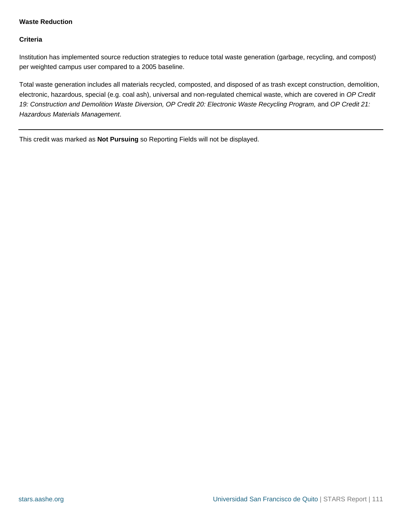#### <span id="page-110-0"></span>**Waste Reduction**

#### **Criteria**

Institution has implemented source reduction strategies to reduce total waste generation (garbage, recycling, and compost) per weighted campus user compared to a 2005 baseline.

Total waste generation includes all materials recycled, composted, and disposed of as trash except construction, demolition, electronic, hazardous, special (e.g. coal ash), universal and non-regulated chemical waste, which are covered in OP Credit 19: Construction and Demolition Waste Diversion, OP Credit 20: Electronic Waste Recycling Program, and OP Credit 21: Hazardous Materials Management.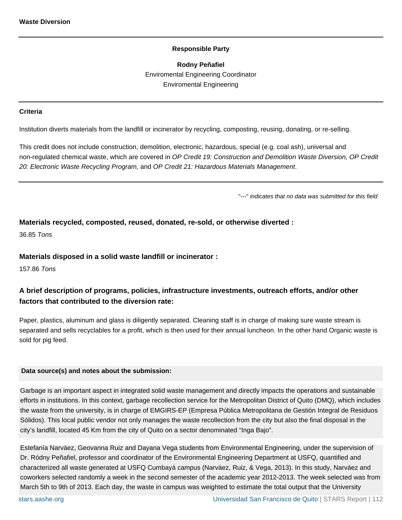**Rodny Peñafiel** Enviromental Engineering Coordinator Enviromental Engineering

#### <span id="page-111-0"></span>**Criteria**

Institution diverts materials from the landfill or incinerator by recycling, composting, reusing, donating, or re-selling.

This credit does not include construction, demolition, electronic, hazardous, special (e.g. coal ash), universal and non-regulated chemical waste, which are covered in OP Credit 19: Construction and Demolition Waste Diversion, OP Credit 20: Electronic Waste Recycling Program, and OP Credit 21: Hazardous Materials Management.

"---" indicates that no data was submitted for this field

#### **Materials recycled, composted, reused, donated, re-sold, or otherwise diverted :**

36.85 Tons

#### **Materials disposed in a solid waste landfill or incinerator :**

157.86 Tons

# **A brief description of programs, policies, infrastructure investments, outreach efforts, and/or other factors that contributed to the diversion rate:**

Paper, plastics, aluminum and glass is diligently separated. Cleaning staff is in charge of making sure waste stream is separated and sells recyclables for a profit, which is then used for their annual luncheon. In the other hand Organic waste is sold for pig feed.

#### **Data source(s) and notes about the submission:**

Garbage is an important aspect in integrated solid waste management and directly impacts the operations and sustainable efforts in institutions. In this context, garbage recollection service for the Metropolitan District of Quito (DMQ), which includes the waste from the university, is in charge of EMGIRS-EP (Empresa Pública Metropolitana de Gestión Integral de Residuos Sólidos). This local public vendor not only manages the waste recollection from the city but also the final disposal in the city's landfill, located 45 Km from the city of Quito on a sector denominated "Inga Bajo".

Estefanía Narváez, Geovanna Ruiz and Dayana Vega students from Environmental Engineering, under the supervision of Dr. Ródny Peñafiel, professor and coordinator of the Environmental Engineering Department at USFQ, quantified and characterized all waste generated at USFQ Cumbayá campus (Narváez, Ruiz, & Vega, 2013). In this study, Narváez and coworkers selected randomly a week in the second semester of the academic year 2012-2013. The week selected was from March 5th to 9th of 2013. Each day, the waste in campus was weighted to estimate the total output that the University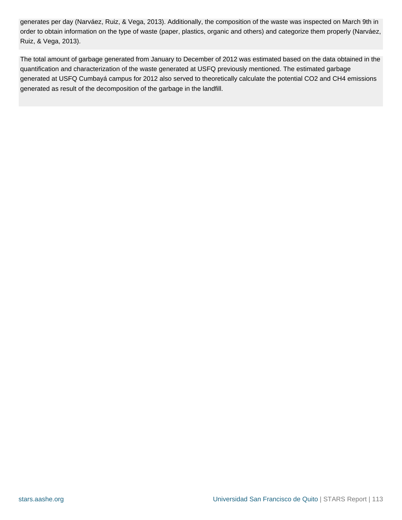generates per day (Narváez, Ruiz, & Vega, 2013). Additionally, the composition of the waste was inspected on March 9th in order to obtain information on the type of waste (paper, plastics, organic and others) and categorize them properly (Narváez, Ruiz, & Vega, 2013).

The total amount of garbage generated from January to December of 2012 was estimated based on the data obtained in the quantification and characterization of the waste generated at USFQ previously mentioned. The estimated garbage generated at USFQ Cumbayá campus for 2012 also served to theoretically calculate the potential CO2 and CH4 emissions generated as result of the decomposition of the garbage in the landfill.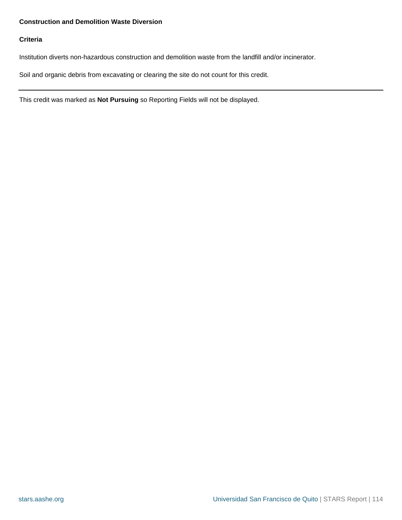### <span id="page-113-0"></span>**Construction and Demolition Waste Diversion**

#### **Criteria**

Institution diverts non-hazardous construction and demolition waste from the landfill and/or incinerator.

Soil and organic debris from excavating or clearing the site do not count for this credit.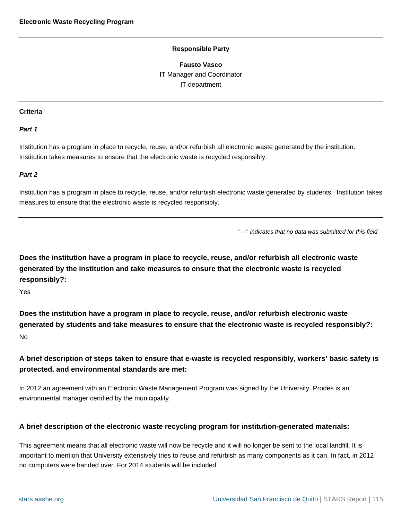**Fausto Vasco** IT Manager and Coordinator IT department

#### <span id="page-114-0"></span>**Criteria**

#### **Part 1**

Institution has a program in place to recycle, reuse, and/or refurbish all electronic waste generated by the institution. Institution takes measures to ensure that the electronic waste is recycled responsibly.

#### **Part 2**

Institution has a program in place to recycle, reuse, and/or refurbish electronic waste generated by students. Institution takes measures to ensure that the electronic waste is recycled responsibly.

"---" indicates that no data was submitted for this field

**Does the institution have a program in place to recycle, reuse, and/or refurbish all electronic waste generated by the institution and take measures to ensure that the electronic waste is recycled responsibly?:**

Yes

**Does the institution have a program in place to recycle, reuse, and/or refurbish electronic waste generated by students and take measures to ensure that the electronic waste is recycled responsibly?:** No

# **A brief description of steps taken to ensure that e-waste is recycled responsibly, workers' basic safety is protected, and environmental standards are met:**

In 2012 an agreement with an Electronic Waste Management Program was signed by the University. Prodes is an environmental manager certified by the municipality.

#### **A brief description of the electronic waste recycling program for institution-generated materials:**

This agreement means that all electronic waste will now be recycle and it will no longer be sent to the local landfill. It is important to mention that University extensively tries to reuse and refurbish as many components as it can. In fact, in 2012 no computers were handed over. For 2014 students will be included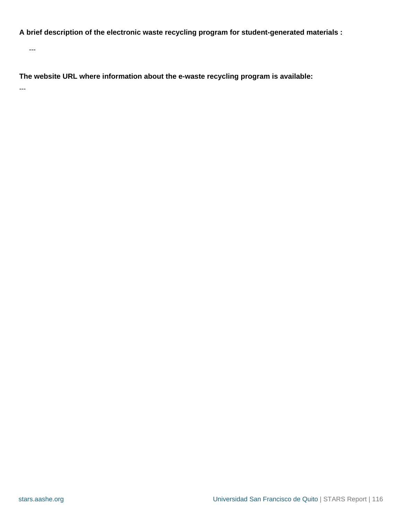**A brief description of the electronic waste recycling program for student-generated materials :**

---

**The website URL where information about the e-waste recycling program is available:**

---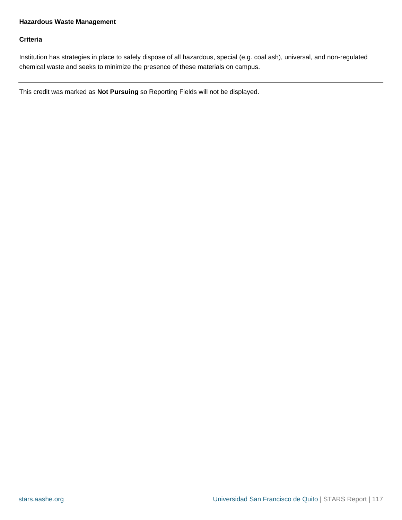# <span id="page-116-0"></span>**Hazardous Waste Management**

#### **Criteria**

Institution has strategies in place to safely dispose of all hazardous, special (e.g. coal ash), universal, and non-regulated chemical waste and seeks to minimize the presence of these materials on campus.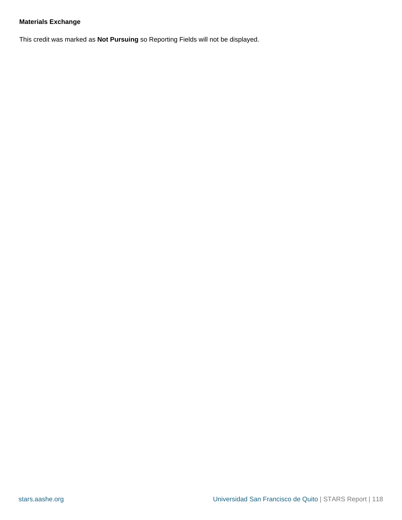# <span id="page-117-0"></span>**Materials Exchange**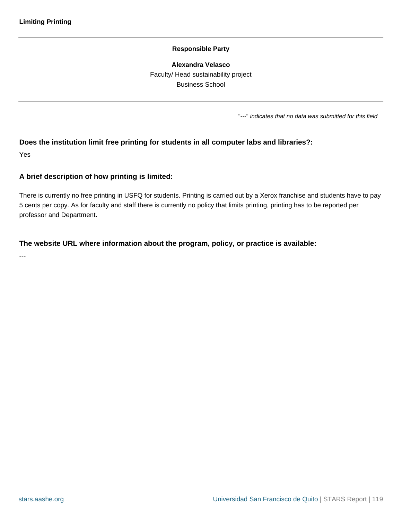**Alexandra Velasco** Faculty/ Head sustainability project Business School

"---" indicates that no data was submitted for this field

#### <span id="page-118-0"></span>**Does the institution limit free printing for students in all computer labs and libraries?:**

Yes

#### **A brief description of how printing is limited:**

There is currently no free printing in USFQ for students. Printing is carried out by a Xerox franchise and students have to pay 5 cents per copy. As for faculty and staff there is currently no policy that limits printing, printing has to be reported per professor and Department.

#### **The website URL where information about the program, policy, or practice is available:**

---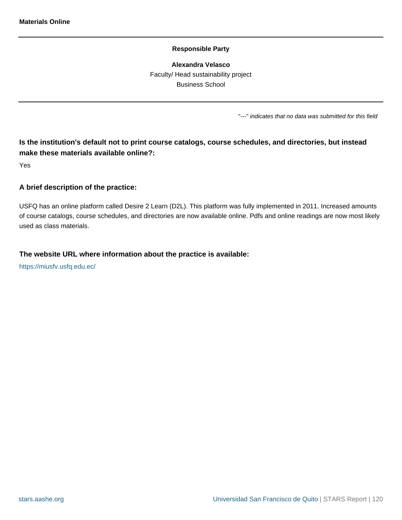**Alexandra Velasco** Faculty/ Head sustainability project Business School

"---" indicates that no data was submitted for this field

# <span id="page-119-0"></span>**Is the institution's default not to print course catalogs, course schedules, and directories, but instead make these materials available online?:**

Yes

#### **A brief description of the practice:**

USFQ has an online platform called Desire 2 Learn (D2L). This platform was fully implemented in 2011. Increased amounts of course catalogs, course schedules, and directories are now available online. Pdfs and online readings are now most likely used as class materials.

#### **The website URL where information about the practice is available:**

<https://miusfv.usfq.edu.ec/>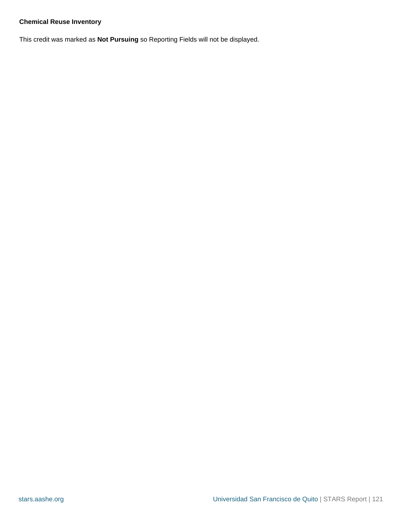### <span id="page-120-0"></span>**Chemical Reuse Inventory**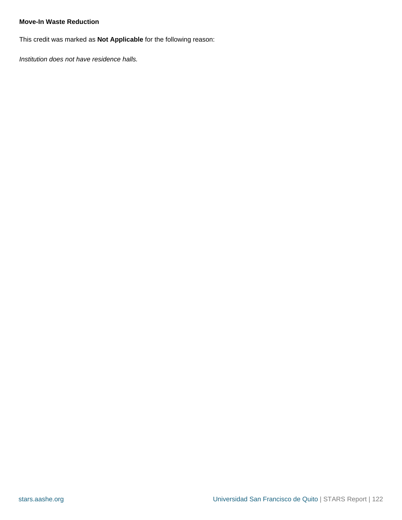#### <span id="page-121-0"></span>**Move-In Waste Reduction**

This credit was marked as **Not Applicable** for the following reason:

Institution does not have residence halls.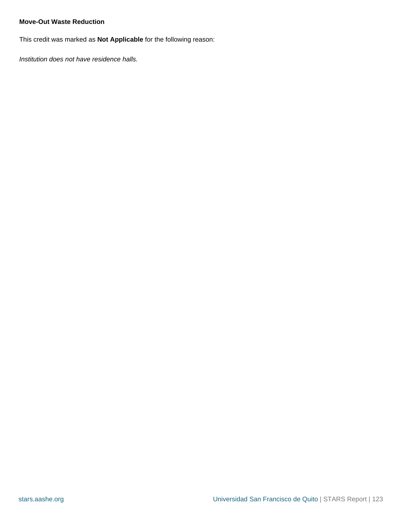#### <span id="page-122-0"></span>**Move-Out Waste Reduction**

This credit was marked as **Not Applicable** for the following reason:

Institution does not have residence halls.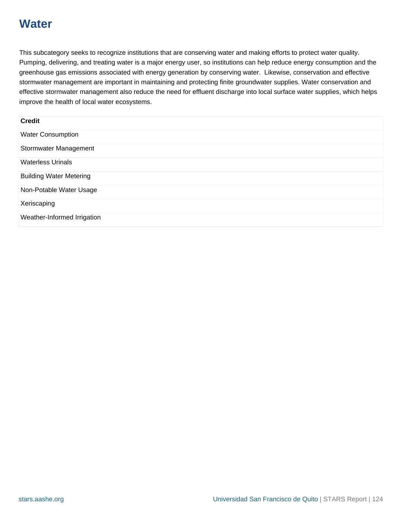# **Water**

This subcategory seeks to recognize institutions that are conserving water and making efforts to protect water quality. Pumping, delivering, and treating water is a major energy user, so institutions can help reduce energy consumption and the greenhouse gas emissions associated with energy generation by conserving water. Likewise, conservation and effective stormwater management are important in maintaining and protecting finite groundwater supplies. Water conservation and effective stormwater management also reduce the need for effluent discharge into local surface water supplies, which helps improve the health of local water ecosystems.

| <b>Credit</b>                  |  |
|--------------------------------|--|
| <b>Water Consumption</b>       |  |
| Stormwater Management          |  |
| <b>Waterless Urinals</b>       |  |
| <b>Building Water Metering</b> |  |
| Non-Potable Water Usage        |  |
| Xeriscaping                    |  |
| Weather-Informed Irrigation    |  |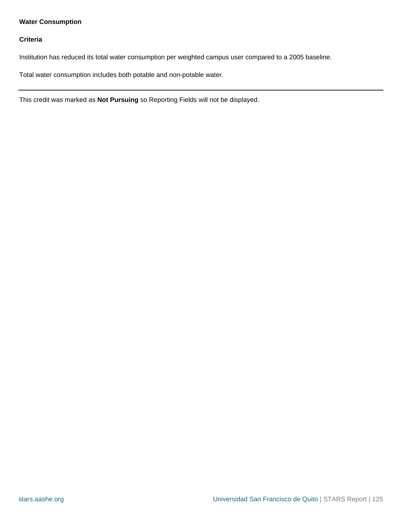# <span id="page-124-0"></span>**Water Consumption**

#### **Criteria**

Institution has reduced its total water consumption per weighted campus user compared to a 2005 baseline.

Total water consumption includes both potable and non-potable water.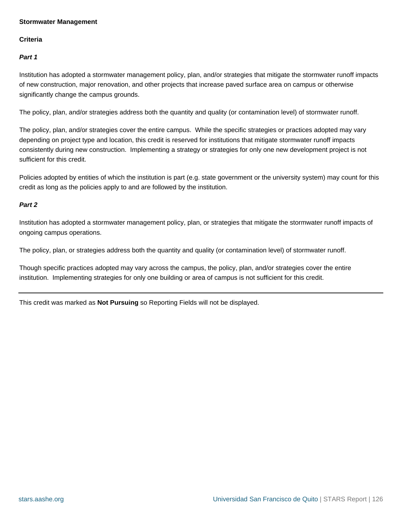#### <span id="page-125-0"></span>**Stormwater Management**

#### **Criteria**

**Part 1**

Institution has adopted a stormwater management policy, plan, and/or strategies that mitigate the stormwater runoff impacts of new construction, major renovation, and other projects that increase paved surface area on campus or otherwise significantly change the campus grounds.

The policy, plan, and/or strategies address both the quantity and quality (or contamination level) of stormwater runoff.

The policy, plan, and/or strategies cover the entire campus. While the specific strategies or practices adopted may vary depending on project type and location, this credit is reserved for institutions that mitigate stormwater runoff impacts consistently during new construction. Implementing a strategy or strategies for only one new development project is not sufficient for this credit.

Policies adopted by entities of which the institution is part (e.g. state government or the university system) may count for this credit as long as the policies apply to and are followed by the institution.

#### **Part 2**

Institution has adopted a stormwater management policy, plan, or strategies that mitigate the stormwater runoff impacts of ongoing campus operations.

The policy, plan, or strategies address both the quantity and quality (or contamination level) of stormwater runoff.

Though specific practices adopted may vary across the campus, the policy, plan, and/or strategies cover the entire institution. Implementing strategies for only one building or area of campus is not sufficient for this credit.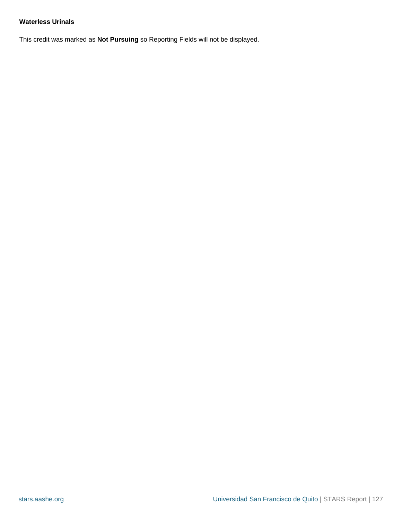### <span id="page-126-0"></span>**Waterless Urinals**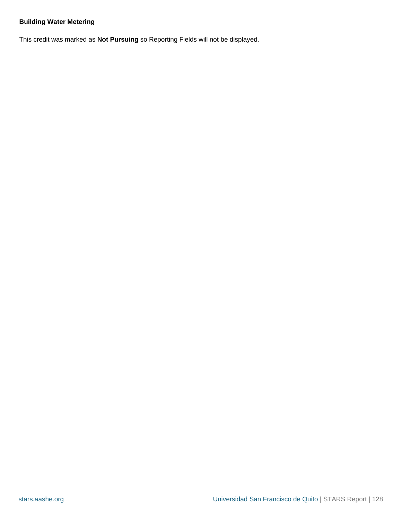# <span id="page-127-0"></span>**Building Water Metering**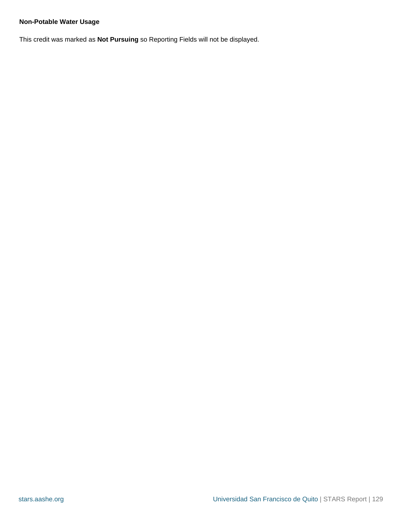# <span id="page-128-0"></span>**Non-Potable Water Usage**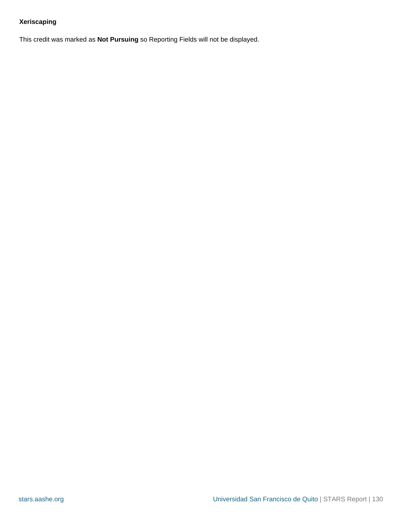# <span id="page-129-0"></span>**Xeriscaping**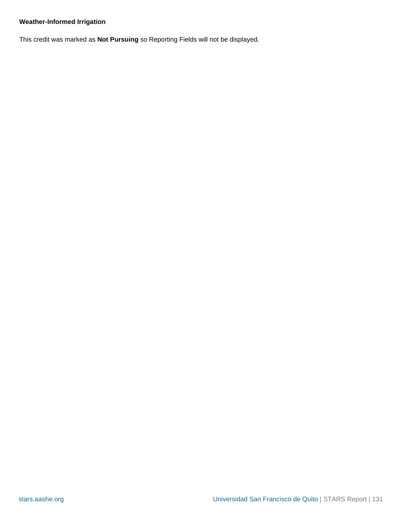# <span id="page-130-0"></span>**Weather-Informed Irrigation**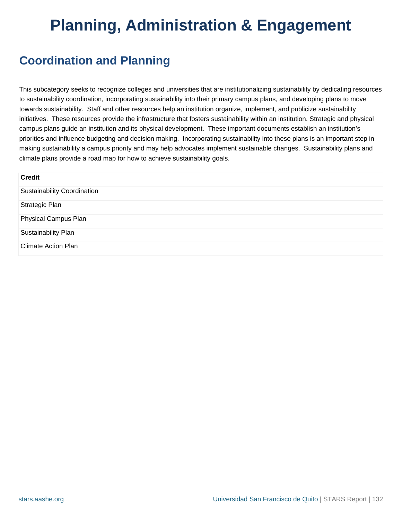# **Planning, Administration & Engagement**

# **Coordination and Planning**

This subcategory seeks to recognize colleges and universities that are institutionalizing sustainability by dedicating resources to sustainability coordination, incorporating sustainability into their primary campus plans, and developing plans to move towards sustainability. Staff and other resources help an institution organize, implement, and publicize sustainability initiatives. These resources provide the infrastructure that fosters sustainability within an institution. Strategic and physical campus plans guide an institution and its physical development. These important documents establish an institution's priorities and influence budgeting and decision making. Incorporating sustainability into these plans is an important step in making sustainability a campus priority and may help advocates implement sustainable changes. Sustainability plans and climate plans provide a road map for how to achieve sustainability goals.

| <b>Credit</b>                      |
|------------------------------------|
| <b>Sustainability Coordination</b> |
| <b>Strategic Plan</b>              |
| <b>Physical Campus Plan</b>        |
| Sustainability Plan                |
| <b>Climate Action Plan</b>         |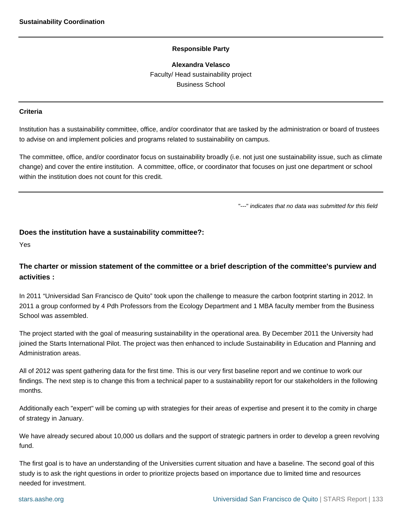**Alexandra Velasco** Faculty/ Head sustainability project Business School

#### <span id="page-132-0"></span>**Criteria**

Institution has a sustainability committee, office, and/or coordinator that are tasked by the administration or board of trustees to advise on and implement policies and programs related to sustainability on campus.

The committee, office, and/or coordinator focus on sustainability broadly (i.e. not just one sustainability issue, such as climate change) and cover the entire institution. A committee, office, or coordinator that focuses on just one department or school within the institution does not count for this credit.

"---" indicates that no data was submitted for this field

#### **Does the institution have a sustainability committee?:**

Yes

# **The charter or mission statement of the committee or a brief description of the committee's purview and activities :**

In 2011 "Universidad San Francisco de Quito" took upon the challenge to measure the carbon footprint starting in 2012. In 2011 a group conformed by 4 Pdh Professors from the Ecology Department and 1 MBA faculty member from the Business School was assembled.

The project started with the goal of measuring sustainability in the operational area. By December 2011 the University had joined the Starts International Pilot. The project was then enhanced to include Sustainability in Education and Planning and Administration areas.

All of 2012 was spent gathering data for the first time. This is our very first baseline report and we continue to work our findings. The next step is to change this from a technical paper to a sustainability report for our stakeholders in the following months.

Additionally each "expert" will be coming up with strategies for their areas of expertise and present it to the comity in charge of strategy in January.

We have already secured about 10,000 us dollars and the support of strategic partners in order to develop a green revolving fund.

The first goal is to have an understanding of the Universities current situation and have a baseline. The second goal of this study is to ask the right questions in order to prioritize projects based on importance due to limited time and resources needed for investment.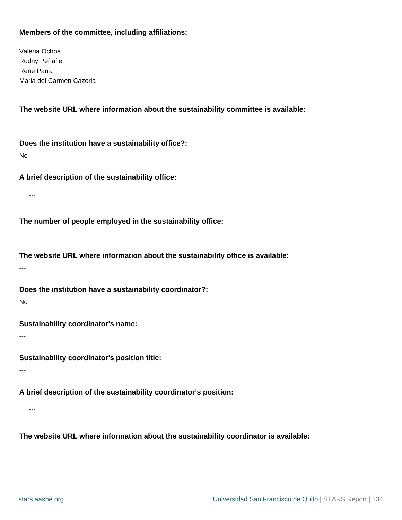# **Members of the committee, including affiliations:**

Valeria Ochoa Rodny Peñafiel Rene Parra Maria del Carmen Cazorla

**The website URL where information about the sustainability committee is available:** ---

**Does the institution have a sustainability office?:**

No

**A brief description of the sustainability office:**

---

**The number of people employed in the sustainability office:**

---

**The website URL where information about the sustainability office is available:** ---

**Does the institution have a sustainability coordinator?:**

No

**Sustainability coordinator's name:**

---

**Sustainability coordinator's position title:**

---

**A brief description of the sustainability coordinator's position:**

---

**The website URL where information about the sustainability coordinator is available:**

---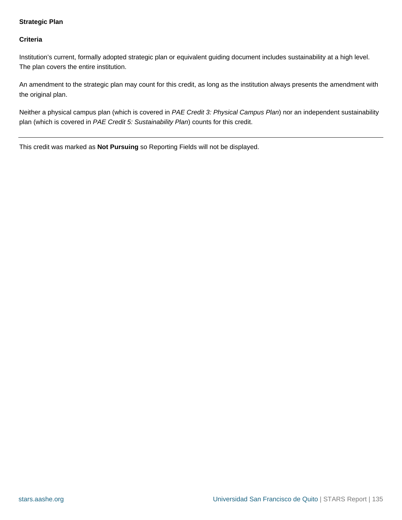### <span id="page-134-0"></span>**Strategic Plan**

#### **Criteria**

Institution's current, formally adopted strategic plan or equivalent guiding document includes sustainability at a high level. The plan covers the entire institution.

An amendment to the strategic plan may count for this credit, as long as the institution always presents the amendment with the original plan.

Neither a physical campus plan (which is covered in PAE Credit 3: Physical Campus Plan) nor an independent sustainability plan (which is covered in PAE Credit 5: Sustainability Plan) counts for this credit.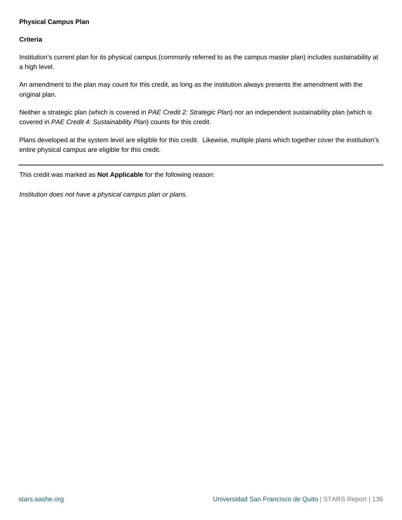#### <span id="page-135-0"></span>**Physical Campus Plan**

#### **Criteria**

Institution's current plan for its physical campus (commonly referred to as the campus master plan) includes sustainability at a high level.

An amendment to the plan may count for this credit, as long as the institution always presents the amendment with the original plan.

Neither a strategic plan (which is covered in PAE Credit 2: Strategic Plan) nor an independent sustainability plan (which is covered in PAE Credit 4: Sustainability Plan) counts for this credit.

Plans developed at the system level are eligible for this credit. Likewise, multiple plans which together cover the institution's entire physical campus are eligible for this credit.

This credit was marked as **Not Applicable** for the following reason:

Institution does not have a physical campus plan or plans.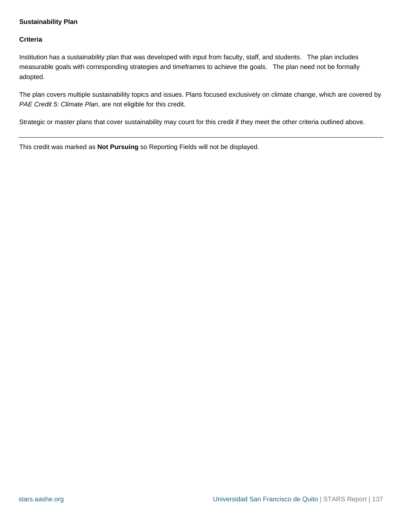#### <span id="page-136-0"></span>**Sustainability Plan**

#### **Criteria**

Institution has a sustainability plan that was developed with input from faculty, staff, and students. The plan includes measurable goals with corresponding strategies and timeframes to achieve the goals. The plan need not be formally adopted.

The plan covers multiple sustainability topics and issues. Plans focused exclusively on climate change, which are covered by PAE Credit 5: Climate Plan, are not eligible for this credit.

Strategic or master plans that cover sustainability may count for this credit if they meet the other criteria outlined above.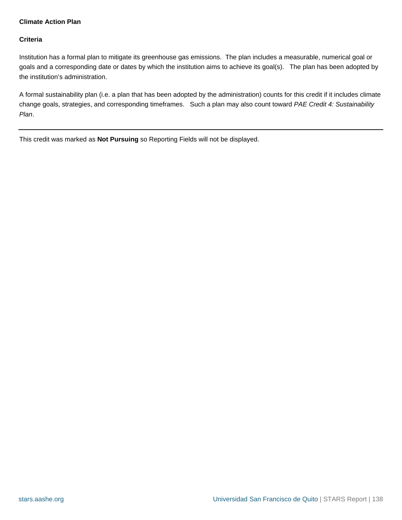### <span id="page-137-0"></span>**Climate Action Plan**

#### **Criteria**

Institution has a formal plan to mitigate its greenhouse gas emissions. The plan includes a measurable, numerical goal or goals and a corresponding date or dates by which the institution aims to achieve its goal(s). The plan has been adopted by the institution's administration.

A formal sustainability plan (i.e. a plan that has been adopted by the administration) counts for this credit if it includes climate change goals, strategies, and corresponding timeframes. Such a plan may also count toward PAE Credit 4: Sustainability Plan.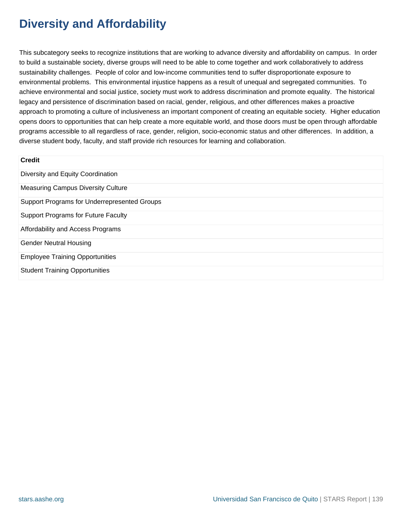# **Diversity and Affordability**

This subcategory seeks to recognize institutions that are working to advance diversity and affordability on campus. In order to build a sustainable society, diverse groups will need to be able to come together and work collaboratively to address sustainability challenges. People of color and low-income communities tend to suffer disproportionate exposure to environmental problems. This environmental injustice happens as a result of unequal and segregated communities. To achieve environmental and social justice, society must work to address discrimination and promote equality. The historical legacy and persistence of discrimination based on racial, gender, religious, and other differences makes a proactive approach to promoting a culture of inclusiveness an important component of creating an equitable society. Higher education opens doors to opportunities that can help create a more equitable world, and those doors must be open through affordable programs accessible to all regardless of race, gender, religion, socio-economic status and other differences. In addition, a diverse student body, faculty, and staff provide rich resources for learning and collaboration.

| <b>Credit</b>                                |
|----------------------------------------------|
| Diversity and Equity Coordination            |
| <b>Measuring Campus Diversity Culture</b>    |
| Support Programs for Underrepresented Groups |
| <b>Support Programs for Future Faculty</b>   |
| Affordability and Access Programs            |
| <b>Gender Neutral Housing</b>                |
| <b>Employee Training Opportunities</b>       |
| <b>Student Training Opportunities</b>        |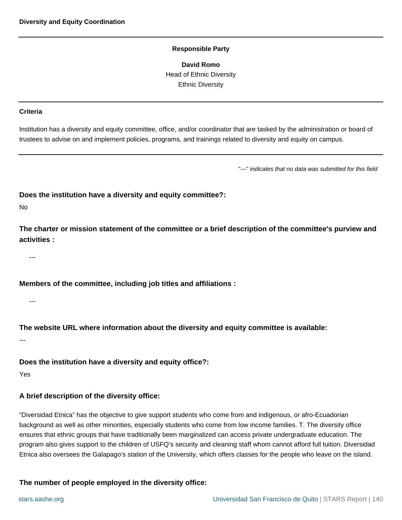**David Romo** Head of Ethnic Diversity Ethnic Diversity

#### <span id="page-139-0"></span>**Criteria**

Institution has a diversity and equity committee, office, and/or coordinator that are tasked by the administration or board of trustees to advise on and implement policies, programs, and trainings related to diversity and equity on campus.

"---" indicates that no data was submitted for this field

**Does the institution have a diversity and equity committee?:**

#### No

**The charter or mission statement of the committee or a brief description of the committee's purview and activities :**

---

**Members of the committee, including job titles and affiliations :**

---

**The website URL where information about the diversity and equity committee is available:**

---

**Does the institution have a diversity and equity office?:**

Yes

# **A brief description of the diversity office:**

"Diversidad Etnica" has the objective to give support students who come from and indigenous, or afro-Ecuadorian background as well as other minorities, especially students who come from low income families. T. The diversity office ensures that ethnic groups that have traditionally been marginalized can access private undergraduate education. The program also gives support to the children of USFQ's security and cleaning staff whom cannot afford full tuition. Diversidad Etnica also oversees the Galapago's station of the University, which offers classes for the people who leave on the island.

#### **The number of people employed in the diversity office:**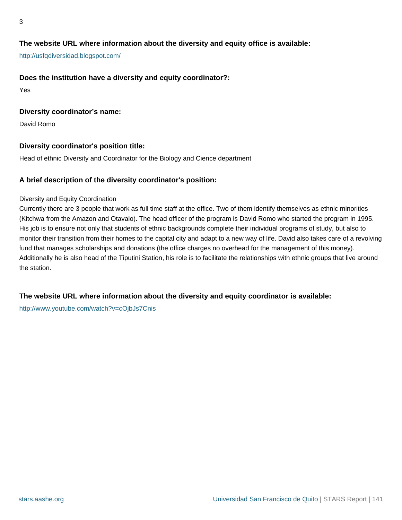# **The website URL where information about the diversity and equity office is available:**

<http://usfqdiversidad.blogspot.com/>

#### **Does the institution have a diversity and equity coordinator?:**

Yes

#### **Diversity coordinator's name:**

David Romo

### **Diversity coordinator's position title:**

Head of ethnic Diversity and Coordinator for the Biology and Cience department

#### **A brief description of the diversity coordinator's position:**

#### Diversity and Equity Coordination

Currently there are 3 people that work as full time staff at the office. Two of them identify themselves as ethnic minorities (Kitchwa from the Amazon and Otavalo). The head officer of the program is David Romo who started the program in 1995. His job is to ensure not only that students of ethnic backgrounds complete their individual programs of study, but also to monitor their transition from their homes to the capital city and adapt to a new way of life. David also takes care of a revolving fund that manages scholarships and donations (the office charges no overhead for the management of this money). Additionally he is also head of the Tiputini Station, his role is to facilitate the relationships with ethnic groups that live around the station.

#### **The website URL where information about the diversity and equity coordinator is available:**

<http://www.youtube.com/watch?v=cOjbJs7Cnis>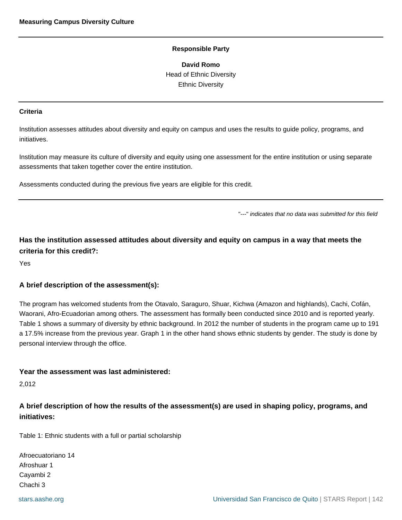**David Romo** Head of Ethnic Diversity Ethnic Diversity

#### <span id="page-141-0"></span>**Criteria**

Institution assesses attitudes about diversity and equity on campus and uses the results to guide policy, programs, and initiatives.

Institution may measure its culture of diversity and equity using one assessment for the entire institution or using separate assessments that taken together cover the entire institution.

Assessments conducted during the previous five years are eligible for this credit.

"---" indicates that no data was submitted for this field

**Has the institution assessed attitudes about diversity and equity on campus in a way that meets the criteria for this credit?:**

Yes

#### **A brief description of the assessment(s):**

The program has welcomed students from the Otavalo, Saraguro, Shuar, Kichwa (Amazon and highlands), Cachi, Cofán, Waorani, Afro-Ecuadorian among others. The assessment has formally been conducted since 2010 and is reported yearly. Table 1 shows a summary of diversity by ethnic background. In 2012 the number of students in the program came up to 191 a 17.5% increase from the previous year. Graph 1 in the other hand shows ethnic students by gender. The study is done by personal interview through the office.

#### **Year the assessment was last administered:**

2,012

**A brief description of how the results of the assessment(s) are used in shaping policy, programs, and initiatives:**

Table 1: Ethnic students with a full or partial scholarship

Afroecuatoriano 14 Afroshuar 1 Cayambi 2 Chachi 3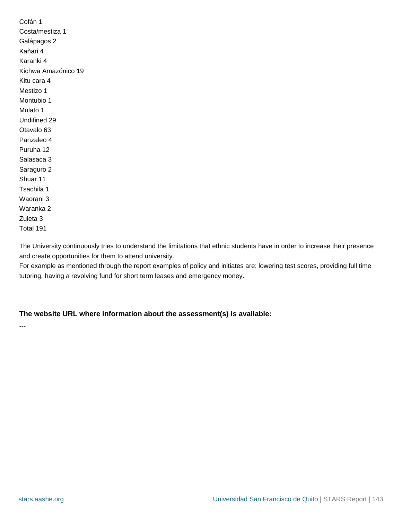Cofán 1 Costa/mestiza 1 Galápagos 2 Kañari 4 Karanki 4 Kichwa Amazónico 19 Kitu cara 4 Mestizo 1 Montubio 1 Mulato 1 Undifined 29 Otavalo 63 Panzaleo 4 Puruha 12 Salasaca 3 Saraguro 2 Shuar 11 Tsachila 1 Waorani 3 Waranka 2 Zuleta 3 Total 191

The University continuously tries to understand the limitations that ethnic students have in order to increase their presence and create opportunities for them to attend university.

For example as mentioned through the report examples of policy and initiates are: lowering test scores, providing full time tutoring, having a revolving fund for short term leases and emergency money.

#### **The website URL where information about the assessment(s) is available:**

---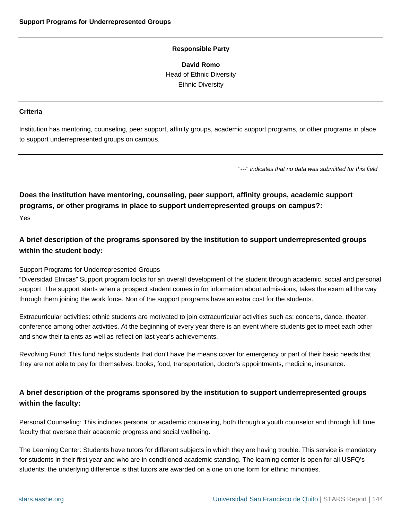**David Romo** Head of Ethnic Diversity Ethnic Diversity

#### <span id="page-143-0"></span>**Criteria**

Institution has mentoring, counseling, peer support, affinity groups, academic support programs, or other programs in place to support underrepresented groups on campus.

"---" indicates that no data was submitted for this field

**Does the institution have mentoring, counseling, peer support, affinity groups, academic support programs, or other programs in place to support underrepresented groups on campus?:** Yes

# **A brief description of the programs sponsored by the institution to support underrepresented groups within the student body:**

#### Support Programs for Underrepresented Groups

"Diversidad Etnicas" Support program looks for an overall development of the student through academic, social and personal support. The support starts when a prospect student comes in for information about admissions, takes the exam all the way through them joining the work force. Non of the support programs have an extra cost for the students.

Extracurricular activities: ethnic students are motivated to join extracurricular activities such as: concerts, dance, theater, conference among other activities. At the beginning of every year there is an event where students get to meet each other and show their talents as well as reflect on last year's achievements.

Revolving Fund: This fund helps students that don't have the means cover for emergency or part of their basic needs that they are not able to pay for themselves: books, food, transportation, doctor's appointments, medicine, insurance.

# **A brief description of the programs sponsored by the institution to support underrepresented groups within the faculty:**

Personal Counseling: This includes personal or academic counseling, both through a youth counselor and through full time faculty that oversee their academic progress and social wellbeing.

The Learning Center: Students have tutors for different subjects in which they are having trouble. This service is mandatory for students in their first year and who are in conditioned academic standing. The learning center is open for all USFQ's students; the underlying difference is that tutors are awarded on a one on one form for ethnic minorities.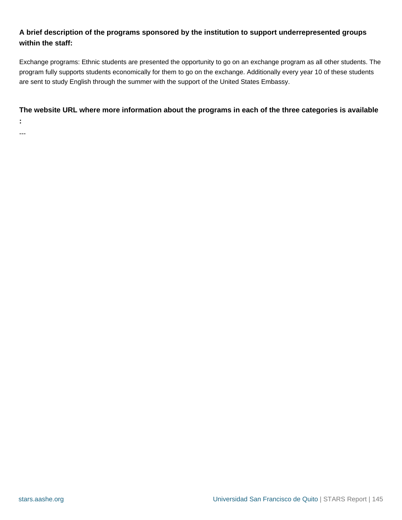# **A brief description of the programs sponsored by the institution to support underrepresented groups within the staff:**

Exchange programs: Ethnic students are presented the opportunity to go on an exchange program as all other students. The program fully supports students economically for them to go on the exchange. Additionally every year 10 of these students are sent to study English through the summer with the support of the United States Embassy.

# **The website URL where more information about the programs in each of the three categories is available**

**:**

---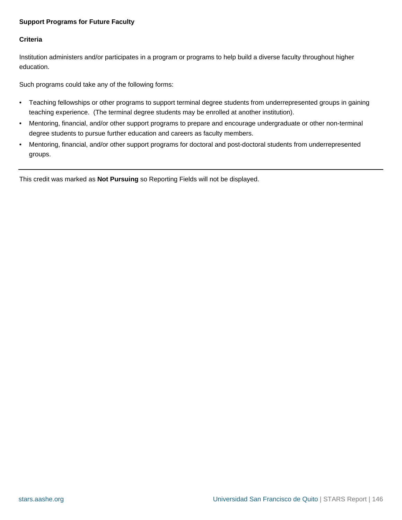# **Support Programs for Future Faculty**

# **Criteria**

Institution administers and/or participates in a program or programs to help build a diverse faculty throughout higher education.

Such programs could take any of the following forms:

- Teaching fellowships or other programs to support terminal degree students from underrepresented groups in gaining teaching experience. (The terminal degree students may be enrolled at another institution).
- Mentoring, financial, and/or other support programs to prepare and encourage undergraduate or other non-terminal degree students to pursue further education and careers as faculty members.
- Mentoring, financial, and/or other support programs for doctoral and post-doctoral students from underrepresented groups.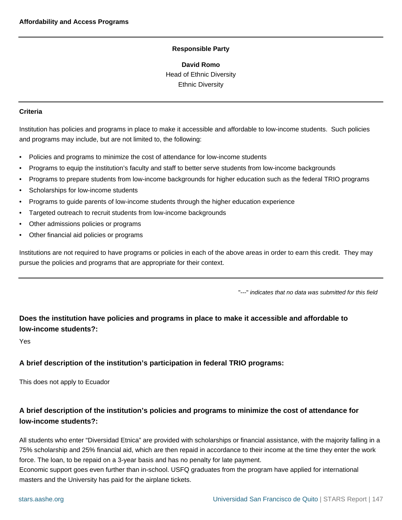**David Romo** Head of Ethnic Diversity Ethnic Diversity

#### **Criteria**

Institution has policies and programs in place to make it accessible and affordable to low-income students. Such policies and programs may include, but are not limited to, the following:

- Policies and programs to minimize the cost of attendance for low-income students
- Programs to equip the institution's faculty and staff to better serve students from low-income backgrounds
- Programs to prepare students from low-income backgrounds for higher education such as the federal TRIO programs
- Scholarships for low-income students
- Programs to guide parents of low-income students through the higher education experience
- Targeted outreach to recruit students from low-income backgrounds
- Other admissions policies or programs
- Other financial aid policies or programs

Institutions are not required to have programs or policies in each of the above areas in order to earn this credit. They may pursue the policies and programs that are appropriate for their context.

"---" indicates that no data was submitted for this field

# **Does the institution have policies and programs in place to make it accessible and affordable to low-income students?:**

Yes

# **A brief description of the institution's participation in federal TRIO programs:**

This does not apply to Ecuador

# **A brief description of the institution's policies and programs to minimize the cost of attendance for low-income students?:**

All students who enter "Diversidad Etnica" are provided with scholarships or financial assistance, with the majority falling in a 75% scholarship and 25% financial aid, which are then repaid in accordance to their income at the time they enter the work force. The loan, to be repaid on a 3-year basis and has no penalty for late payment.

Economic support goes even further than in-school. USFQ graduates from the program have applied for international masters and the University has paid for the airplane tickets.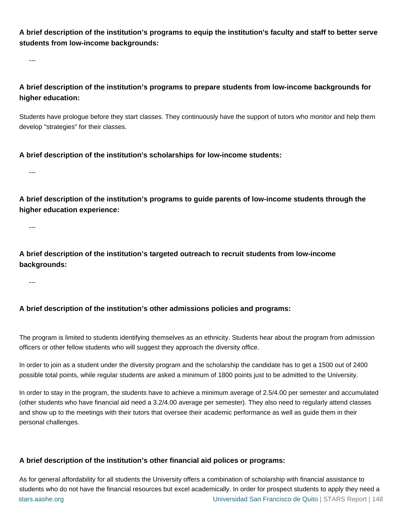**A brief description of the institution's programs to equip the institution's faculty and staff to better serve students from low-income backgrounds:**

---

**A brief description of the institution's programs to prepare students from low-income backgrounds for higher education:**

Students have prologue before they start classes. They continuously have the support of tutors who monitor and help them develop "strategies" for their classes.

**A brief description of the institution's scholarships for low-income students:**

**A brief description of the institution's programs to guide parents of low-income students through the higher education experience:**

---

---

**A brief description of the institution's targeted outreach to recruit students from low-income backgrounds:**

---

# **A brief description of the institution's other admissions policies and programs:**

The program is limited to students identifying themselves as an ethnicity. Students hear about the program from admission officers or other fellow students who will suggest they approach the diversity office.

In order to join as a student under the diversity program and the scholarship the candidate has to get a 1500 out of 2400 possible total points, while regular students are asked a minimum of 1800 points just to be admitted to the University.

In order to stay in the program, the students have to achieve a minimum average of 2.5/4.00 per semester and accumulated (other students who have financial aid need a 3.2/4.00 average per semester). They also need to regularly attend classes and show up to the meetings with their tutors that oversee their academic performance as well as guide them in their personal challenges.

# **A brief description of the institution's other financial aid polices or programs:**

[stars.aashe.org](http://stars.aashe.org) [Universidad San Francisco de Quito](http://stars.aashe.org/institutions/universidad-san-francisco-de-quito/report/2013-12-25/) | STARS Report | 148 As for general affordability for all students the University offers a combination of scholarship with financial assistance to students who do not have the financial resources but excel academically. In order for prospect students to apply they need a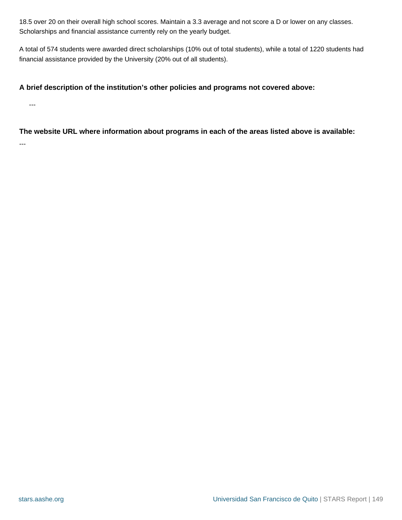18.5 over 20 on their overall high school scores. Maintain a 3.3 average and not score a D or lower on any classes. Scholarships and financial assistance currently rely on the yearly budget.

A total of 574 students were awarded direct scholarships (10% out of total students), while a total of 1220 students had financial assistance provided by the University (20% out of all students).

# **A brief description of the institution's other policies and programs not covered above:**

---

**The website URL where information about programs in each of the areas listed above is available:**

---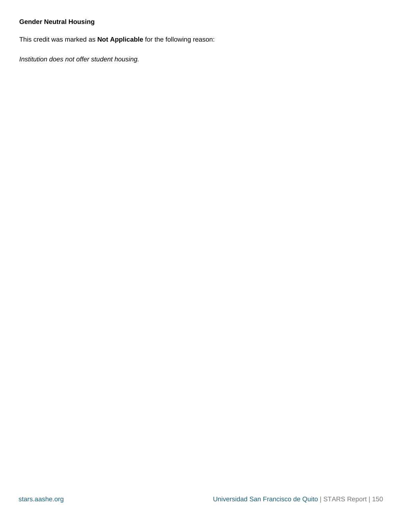# **Gender Neutral Housing**

This credit was marked as **Not Applicable** for the following reason:

Institution does not offer student housing.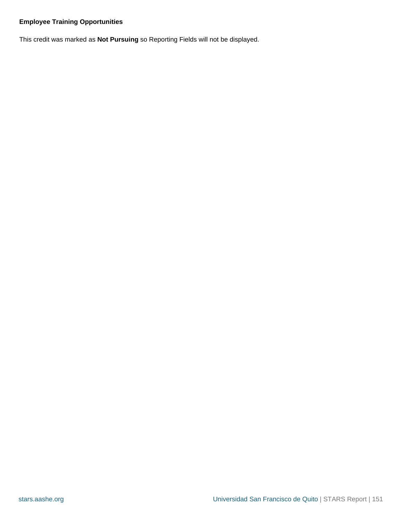# **Employee Training Opportunities**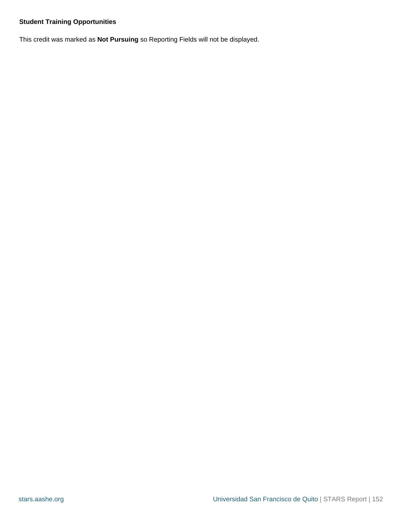# **Student Training Opportunities**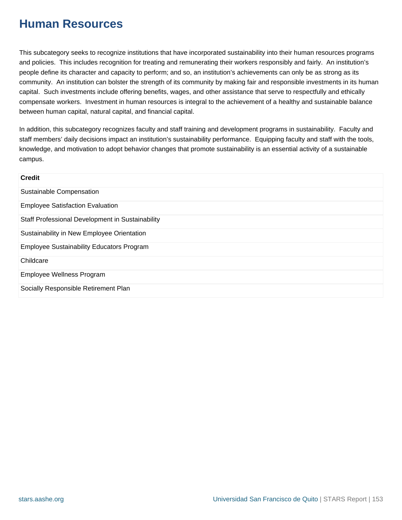# **Human Resources**

This subcategory seeks to recognize institutions that have incorporated sustainability into their human resources programs and policies. This includes recognition for treating and remunerating their workers responsibly and fairly. An institution's people define its character and capacity to perform; and so, an institution's achievements can only be as strong as its community. An institution can bolster the strength of its community by making fair and responsible investments in its human capital. Such investments include offering benefits, wages, and other assistance that serve to respectfully and ethically compensate workers. Investment in human resources is integral to the achievement of a healthy and sustainable balance between human capital, natural capital, and financial capital.

In addition, this subcategory recognizes faculty and staff training and development programs in sustainability. Faculty and staff members' daily decisions impact an institution's sustainability performance. Equipping faculty and staff with the tools, knowledge, and motivation to adopt behavior changes that promote sustainability is an essential activity of a sustainable campus.

| <b>Credit</b>                                    |
|--------------------------------------------------|
| Sustainable Compensation                         |
| <b>Employee Satisfaction Evaluation</b>          |
| Staff Professional Development in Sustainability |
| Sustainability in New Employee Orientation       |
| <b>Employee Sustainability Educators Program</b> |
| Childcare                                        |
| Employee Wellness Program                        |
| Socially Responsible Retirement Plan             |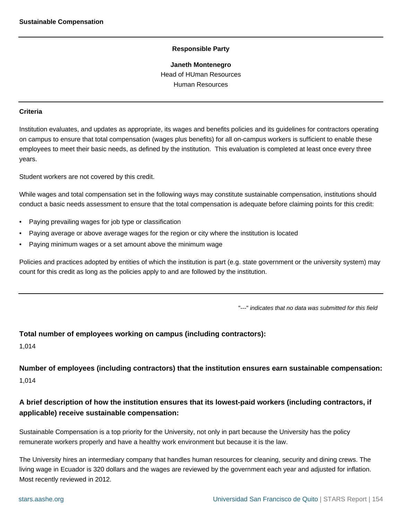#### **Janeth Montenegro**

Head of HUman Resources Human Resources

#### <span id="page-153-0"></span>**Criteria**

Institution evaluates, and updates as appropriate, its wages and benefits policies and its guidelines for contractors operating on campus to ensure that total compensation (wages plus benefits) for all on-campus workers is sufficient to enable these employees to meet their basic needs, as defined by the institution. This evaluation is completed at least once every three years.

Student workers are not covered by this credit.

While wages and total compensation set in the following ways may constitute sustainable compensation, institutions should conduct a basic needs assessment to ensure that the total compensation is adequate before claiming points for this credit:

- Paying prevailing wages for job type or classification
- Paying average or above average wages for the region or city where the institution is located
- Paying minimum wages or a set amount above the minimum wage

Policies and practices adopted by entities of which the institution is part (e.g. state government or the university system) may count for this credit as long as the policies apply to and are followed by the institution.

"---" indicates that no data was submitted for this field

# **Total number of employees working on campus (including contractors):**

1,014

**Number of employees (including contractors) that the institution ensures earn sustainable compensation:** 1,014

# **A brief description of how the institution ensures that its lowest-paid workers (including contractors, if applicable) receive sustainable compensation:**

Sustainable Compensation is a top priority for the University, not only in part because the University has the policy remunerate workers properly and have a healthy work environment but because it is the law.

The University hires an intermediary company that handles human resources for cleaning, security and dining crews. The living wage in Ecuador is 320 dollars and the wages are reviewed by the government each year and adjusted for inflation. Most recently reviewed in 2012.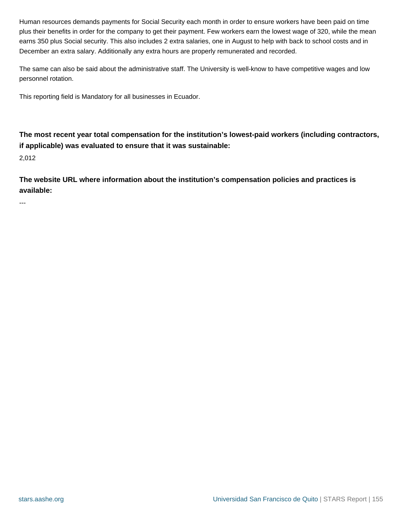Human resources demands payments for Social Security each month in order to ensure workers have been paid on time plus their benefits in order for the company to get their payment. Few workers earn the lowest wage of 320, while the mean earns 350 plus Social security. This also includes 2 extra salaries, one in August to help with back to school costs and in December an extra salary. Additionally any extra hours are properly remunerated and recorded.

The same can also be said about the administrative staff. The University is well-know to have competitive wages and low personnel rotation.

This reporting field is Mandatory for all businesses in Ecuador.

**The most recent year total compensation for the institution's lowest-paid workers (including contractors, if applicable) was evaluated to ensure that it was sustainable:**

2,012

**The website URL where information about the institution's compensation policies and practices is available:**

---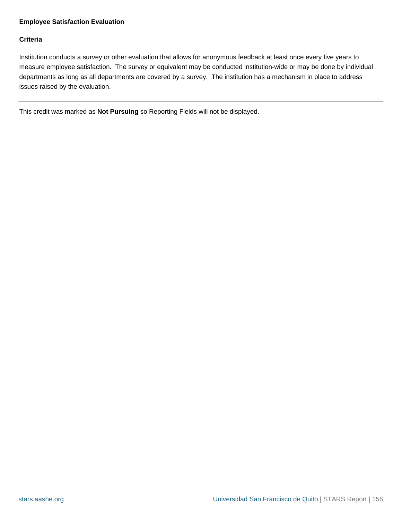## <span id="page-155-0"></span>**Employee Satisfaction Evaluation**

## **Criteria**

Institution conducts a survey or other evaluation that allows for anonymous feedback at least once every five years to measure employee satisfaction. The survey or equivalent may be conducted institution-wide or may be done by individual departments as long as all departments are covered by a survey. The institution has a mechanism in place to address issues raised by the evaluation.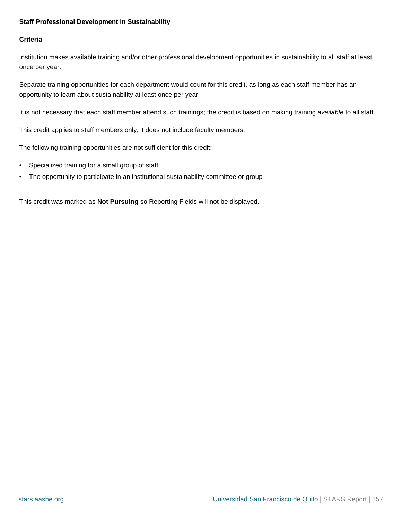## <span id="page-156-0"></span>**Staff Professional Development in Sustainability**

## **Criteria**

Institution makes available training and/or other professional development opportunities in sustainability to all staff at least once per year.

Separate training opportunities for each department would count for this credit, as long as each staff member has an opportunity to learn about sustainability at least once per year.

It is not necessary that each staff member attend such trainings; the credit is based on making training available to all staff.

This credit applies to staff members only; it does not include faculty members.

The following training opportunities are not sufficient for this credit:

- Specialized training for a small group of staff
- The opportunity to participate in an institutional sustainability committee or group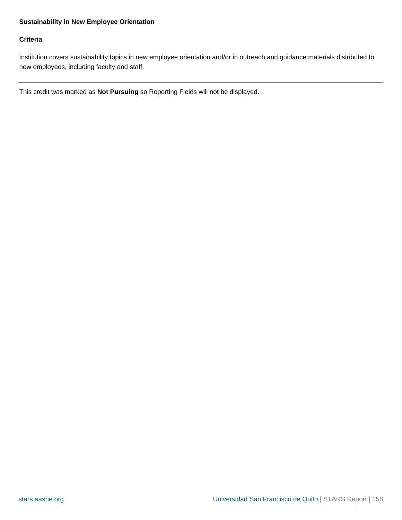# <span id="page-157-0"></span>**Criteria**

Institution covers sustainability topics in new employee orientation and/or in outreach and guidance materials distributed to new employees, including faculty and staff.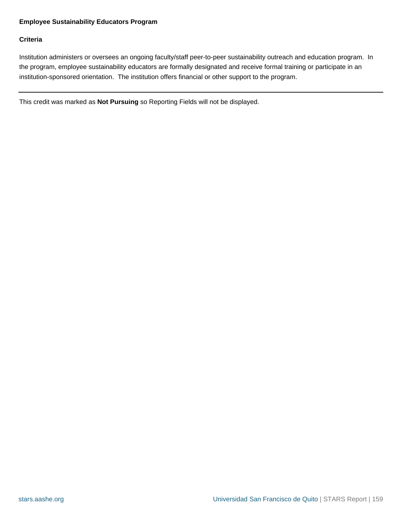# <span id="page-158-0"></span>**Employee Sustainability Educators Program**

# **Criteria**

Institution administers or oversees an ongoing faculty/staff peer-to-peer sustainability outreach and education program. In the program, employee sustainability educators are formally designated and receive formal training or participate in an institution-sponsored orientation. The institution offers financial or other support to the program.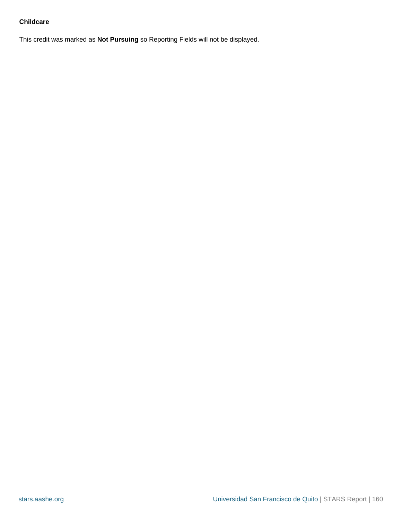# <span id="page-159-0"></span>**Childcare**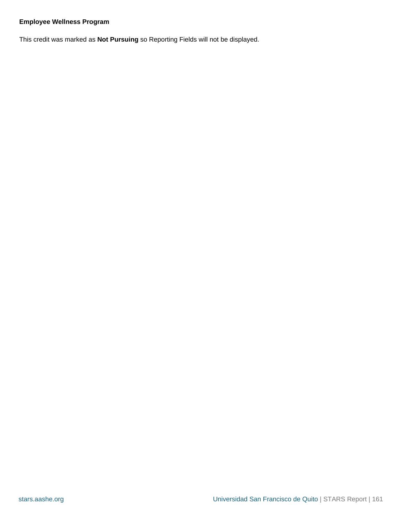# <span id="page-160-0"></span>**Employee Wellness Program**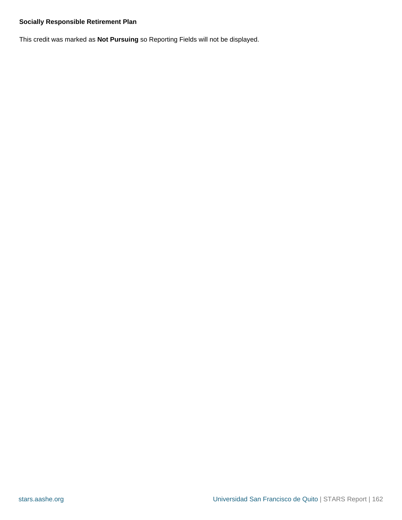# <span id="page-161-0"></span>**Socially Responsible Retirement Plan**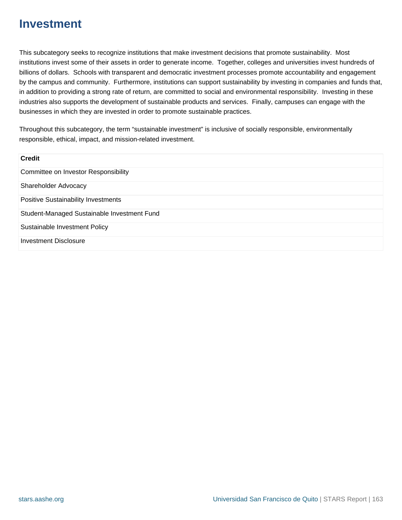# **Investment**

This subcategory seeks to recognize institutions that make investment decisions that promote sustainability. Most institutions invest some of their assets in order to generate income. Together, colleges and universities invest hundreds of billions of dollars. Schools with transparent and democratic investment processes promote accountability and engagement by the campus and community. Furthermore, institutions can support sustainability by investing in companies and funds that, in addition to providing a strong rate of return, are committed to social and environmental responsibility. Investing in these industries also supports the development of sustainable products and services. Finally, campuses can engage with the businesses in which they are invested in order to promote sustainable practices.

Throughout this subcategory, the term "sustainable investment" is inclusive of socially responsible, environmentally responsible, ethical, impact, and mission-related investment.

| <b>Credit</b>                               |  |
|---------------------------------------------|--|
| Committee on Investor Responsibility        |  |
| Shareholder Advocacy                        |  |
| <b>Positive Sustainability Investments</b>  |  |
| Student-Managed Sustainable Investment Fund |  |
| Sustainable Investment Policy               |  |
| <b>Investment Disclosure</b>                |  |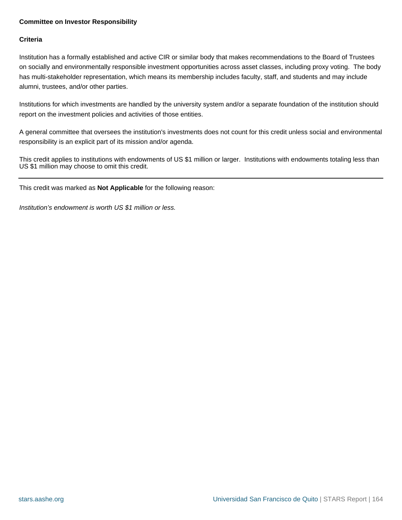# <span id="page-163-0"></span>**Committee on Investor Responsibility**

# **Criteria**

Institution has a formally established and active CIR or similar body that makes recommendations to the Board of Trustees on socially and environmentally responsible investment opportunities across asset classes, including proxy voting. The body has multi-stakeholder representation, which means its membership includes faculty, staff, and students and may include alumni, trustees, and/or other parties.

Institutions for which investments are handled by the university system and/or a separate foundation of the institution should report on the investment policies and activities of those entities.

A general committee that oversees the institution's investments does not count for this credit unless social and environmental responsibility is an explicit part of its mission and/or agenda.

This credit applies to institutions with endowments of US \$1 million or larger. Institutions with endowments totaling less than US \$1 million may choose to omit this credit.

This credit was marked as **Not Applicable** for the following reason:

Institution's endowment is worth US \$1 million or less.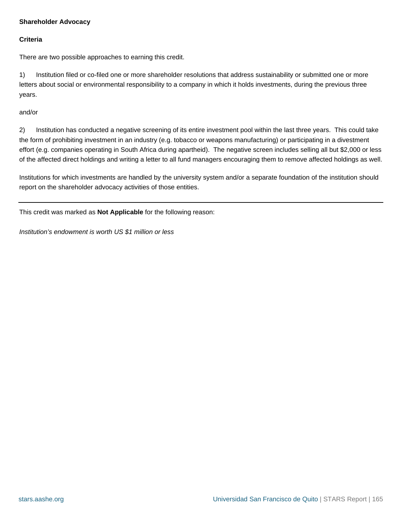# <span id="page-164-0"></span>**Shareholder Advocacy**

## **Criteria**

There are two possible approaches to earning this credit.

1) Institution filed or co-filed one or more shareholder resolutions that address sustainability or submitted one or more letters about social or environmental responsibility to a company in which it holds investments, during the previous three years.

and/or

2) Institution has conducted a negative screening of its entire investment pool within the last three years. This could take the form of prohibiting investment in an industry (e.g. tobacco or weapons manufacturing) or participating in a divestment effort (e.g. companies operating in South Africa during apartheid). The negative screen includes selling all but \$2,000 or less of the affected direct holdings and writing a letter to all fund managers encouraging them to remove affected holdings as well.

Institutions for which investments are handled by the university system and/or a separate foundation of the institution should report on the shareholder advocacy activities of those entities.

This credit was marked as **Not Applicable** for the following reason:

Institution's endowment is worth US \$1 million or less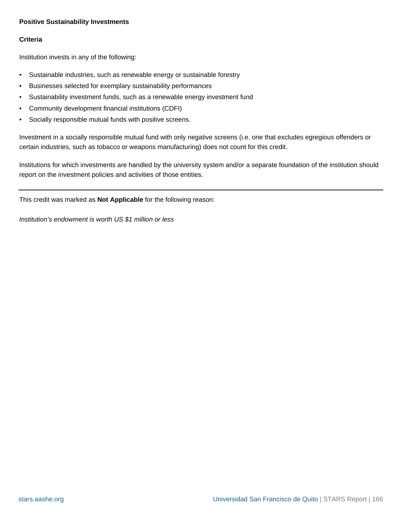## <span id="page-165-0"></span>**Positive Sustainability Investments**

## **Criteria**

Institution invests in any of the following:

- Sustainable industries, such as renewable energy or sustainable forestry
- Businesses selected for exemplary sustainability performances
- Sustainability investment funds, such as a renewable energy investment fund
- Community development financial institutions (CDFI)
- Socially responsible mutual funds with positive screens.

Investment in a socially responsible mutual fund with only negative screens (i.e. one that excludes egregious offenders or certain industries, such as tobacco or weapons manufacturing) does not count for this credit.

Institutions for which investments are handled by the university system and/or a separate foundation of the institution should report on the investment policies and activities of those entities.

This credit was marked as **Not Applicable** for the following reason:

Institution's endowment is worth US \$1 million or less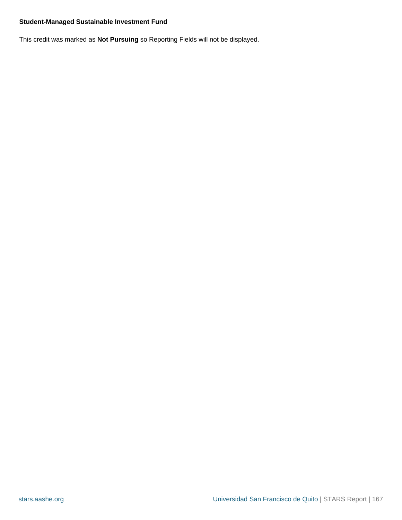# <span id="page-166-0"></span>**Student-Managed Sustainable Investment Fund**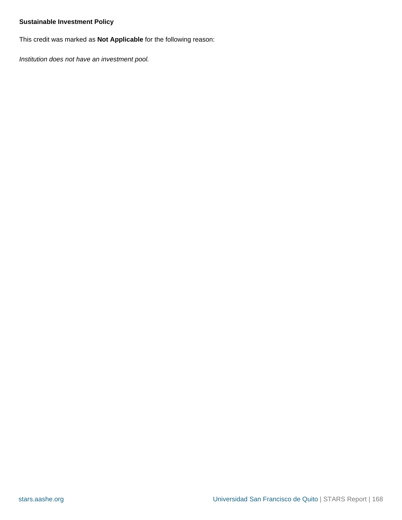# <span id="page-167-0"></span>**Sustainable Investment Policy**

This credit was marked as **Not Applicable** for the following reason:

Institution does not have an investment pool.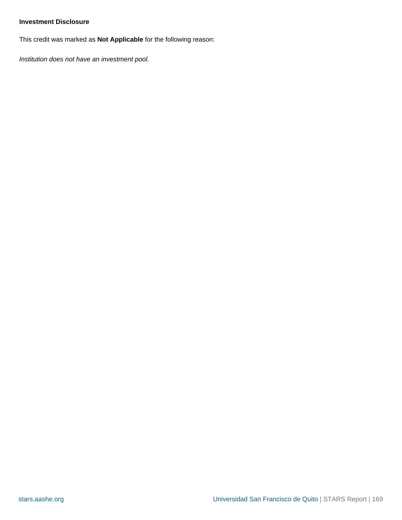# <span id="page-168-0"></span>**Investment Disclosure**

This credit was marked as **Not Applicable** for the following reason:

Institution does not have an investment pool.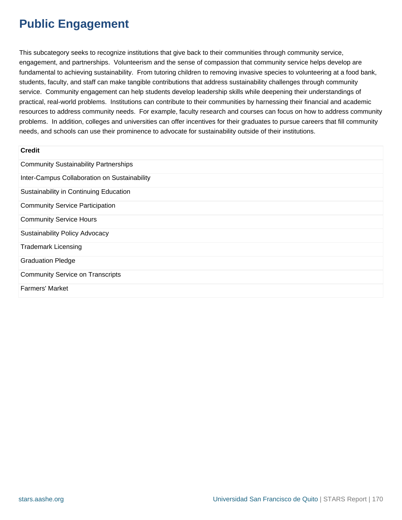# **Public Engagement**

This subcategory seeks to recognize institutions that give back to their communities through community service, engagement, and partnerships. Volunteerism and the sense of compassion that community service helps develop are fundamental to achieving sustainability. From tutoring children to removing invasive species to volunteering at a food bank, students, faculty, and staff can make tangible contributions that address sustainability challenges through community service. Community engagement can help students develop leadership skills while deepening their understandings of practical, real-world problems. Institutions can contribute to their communities by harnessing their financial and academic resources to address community needs. For example, faculty research and courses can focus on how to address community problems. In addition, colleges and universities can offer incentives for their graduates to pursue careers that fill community needs, and schools can use their prominence to advocate for sustainability outside of their institutions.

| <b>Credit</b>                                |
|----------------------------------------------|
| <b>Community Sustainability Partnerships</b> |
| Inter-Campus Collaboration on Sustainability |
| Sustainability in Continuing Education       |
| <b>Community Service Participation</b>       |
| <b>Community Service Hours</b>               |
| <b>Sustainability Policy Advocacy</b>        |
| <b>Trademark Licensing</b>                   |
| <b>Graduation Pledge</b>                     |
| <b>Community Service on Transcripts</b>      |
| <b>Farmers' Market</b>                       |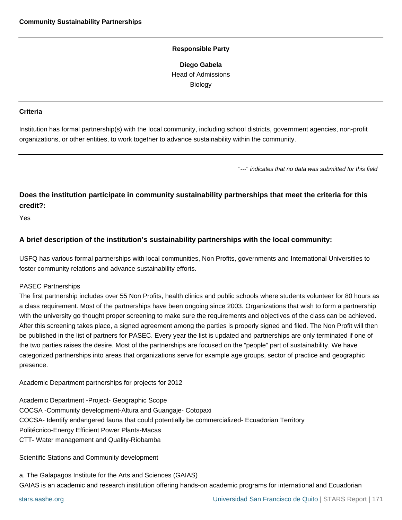**Diego Gabela** Head of Admissions Biology

#### <span id="page-170-0"></span>**Criteria**

Institution has formal partnership(s) with the local community, including school districts, government agencies, non-profit organizations, or other entities, to work together to advance sustainability within the community.

"---" indicates that no data was submitted for this field

# **Does the institution participate in community sustainability partnerships that meet the criteria for this credit?:**

Yes

# **A brief description of the institution's sustainability partnerships with the local community:**

USFQ has various formal partnerships with local communities, Non Profits, governments and International Universities to foster community relations and advance sustainability efforts.

#### PASEC Partnerships

The first partnership includes over 55 Non Profits, health clinics and public schools where students volunteer for 80 hours as a class requirement. Most of the partnerships have been ongoing since 2003. Organizations that wish to form a partnership with the university go thought proper screening to make sure the requirements and objectives of the class can be achieved. After this screening takes place, a signed agreement among the parties is properly signed and filed. The Non Profit will then be published in the list of partners for PASEC. Every year the list is updated and partnerships are only terminated if one of the two parties raises the desire. Most of the partnerships are focused on the "people" part of sustainability. We have categorized partnerships into areas that organizations serve for example age groups, sector of practice and geographic presence.

Academic Department partnerships for projects for 2012

Academic Department -Project- Geographic Scope COCSA -Community development-Altura and Guangaje- Cotopaxi COCSA- Identify endangered fauna that could potentially be commercialized- Ecuadorian Territory Politécnico-Energy Efficient Power Plants-Macas CTT- Water management and Quality-Riobamba

Scientific Stations and Community development

a. The Galapagos Institute for the Arts and Sciences (GAIAS) GAIAS is an academic and research institution offering hands-on academic programs for international and Ecuadorian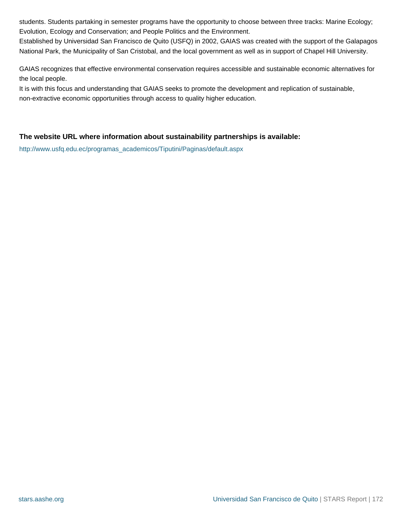students. Students partaking in semester programs have the opportunity to choose between three tracks: Marine Ecology; Evolution, Ecology and Conservation; and People Politics and the Environment.

Established by Universidad San Francisco de Quito (USFQ) in 2002, GAIAS was created with the support of the Galapagos National Park, the Municipality of San Cristobal, and the local government as well as in support of Chapel Hill University.

GAIAS recognizes that effective environmental conservation requires accessible and sustainable economic alternatives for the local people.

It is with this focus and understanding that GAIAS seeks to promote the development and replication of sustainable, non-extractive economic opportunities through access to quality higher education.

# **The website URL where information about sustainability partnerships is available:**

[http://www.usfq.edu.ec/programas\\_academicos/Tiputini/Paginas/default.aspx](http://www.usfq.edu.ec/programas_academicos/Tiputini/Paginas/default.aspx)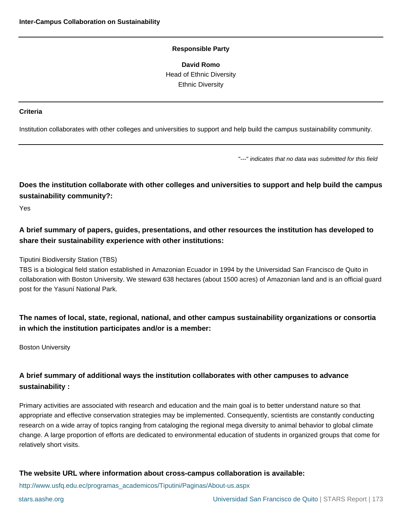**David Romo** Head of Ethnic Diversity Ethnic Diversity

#### <span id="page-172-0"></span>**Criteria**

Institution collaborates with other colleges and universities to support and help build the campus sustainability community.

"---" indicates that no data was submitted for this field

**Does the institution collaborate with other colleges and universities to support and help build the campus sustainability community?:**

Yes

**A brief summary of papers, guides, presentations, and other resources the institution has developed to share their sustainability experience with other institutions:**

Tiputini Biodiversity Station (TBS)

TBS is a biological field station established in Amazonian Ecuador in 1994 by the Universidad San Francisco de Quito in collaboration with Boston University. We steward 638 hectares (about 1500 acres) of Amazonian land and is an official guard post for the Yasuní National Park.

**The names of local, state, regional, national, and other campus sustainability organizations or consortia in which the institution participates and/or is a member:**

Boston University

# **A brief summary of additional ways the institution collaborates with other campuses to advance sustainability :**

Primary activities are associated with research and education and the main goal is to better understand nature so that appropriate and effective conservation strategies may be implemented. Consequently, scientists are constantly conducting research on a wide array of topics ranging from cataloging the regional mega diversity to animal behavior to global climate change. A large proportion of efforts are dedicated to environmental education of students in organized groups that come for relatively short visits.

#### **The website URL where information about cross-campus collaboration is available:**

[http://www.usfq.edu.ec/programas\\_academicos/Tiputini/Paginas/About-us.aspx](http://www.usfq.edu.ec/programas_academicos/Tiputini/Paginas/About-us.aspx)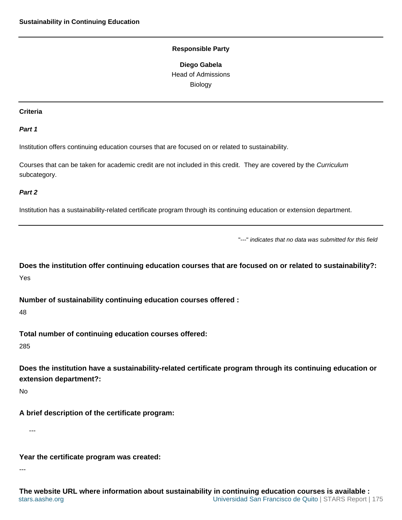**Diego Gabela** Head of Admissions Biology

#### <span id="page-174-0"></span>**Criteria**

#### **Part 1**

Institution offers continuing education courses that are focused on or related to sustainability.

Courses that can be taken for academic credit are not included in this credit. They are covered by the Curriculum subcategory.

#### **Part 2**

Institution has a sustainability-related certificate program through its continuing education or extension department.

"---" indicates that no data was submitted for this field

**Does the institution offer continuing education courses that are focused on or related to sustainability?:** Yes

**Number of sustainability continuing education courses offered :**

48

**Total number of continuing education courses offered:**

285

**Does the institution have a sustainability-related certificate program through its continuing education or extension department?:**

No

**A brief description of the certificate program:**

---

**Year the certificate program was created:**

---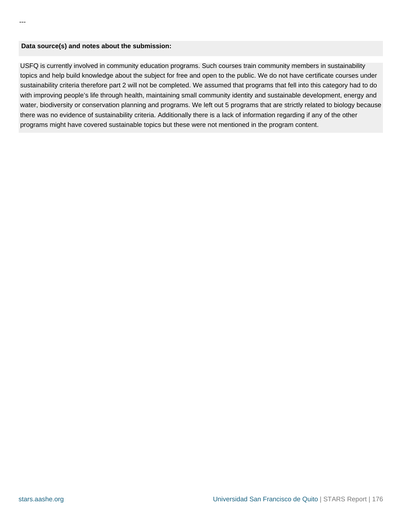#### **Data source(s) and notes about the submission:**

USFQ is currently involved in community education programs. Such courses train community members in sustainability topics and help build knowledge about the subject for free and open to the public. We do not have certificate courses under sustainability criteria therefore part 2 will not be completed. We assumed that programs that fell into this category had to do with improving people's life through health, maintaining small community identity and sustainable development, energy and water, biodiversity or conservation planning and programs. We left out 5 programs that are strictly related to biology because there was no evidence of sustainability criteria. Additionally there is a lack of information regarding if any of the other programs might have covered sustainable topics but these were not mentioned in the program content.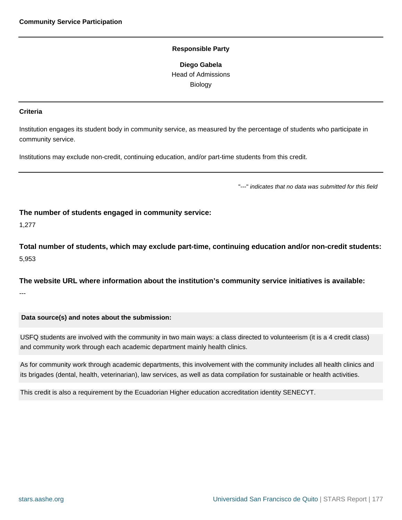**Diego Gabela** Head of Admissions Biology

#### <span id="page-176-0"></span>**Criteria**

Institution engages its student body in community service, as measured by the percentage of students who participate in community service.

Institutions may exclude non-credit, continuing education, and/or part-time students from this credit.

"---" indicates that no data was submitted for this field

**The number of students engaged in community service:**

1,277

**Total number of students, which may exclude part-time, continuing education and/or non-credit students:** 5,953

**The website URL where information about the institution's community service initiatives is available:** ---

#### **Data source(s) and notes about the submission:**

USFQ students are involved with the community in two main ways: a class directed to volunteerism (it is a 4 credit class) and community work through each academic department mainly health clinics.

As for community work through academic departments, this involvement with the community includes all health clinics and its brigades (dental, health, veterinarian), law services, as well as data compilation for sustainable or health activities.

This credit is also a requirement by the Ecuadorian Higher education accreditation identity SENECYT.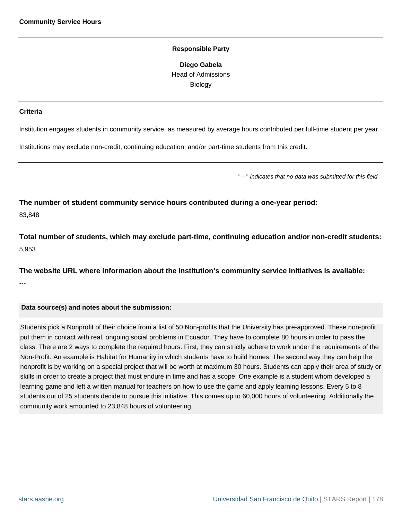**Diego Gabela** Head of Admissions Biology

#### <span id="page-177-0"></span>**Criteria**

Institution engages students in community service, as measured by average hours contributed per full-time student per year.

Institutions may exclude non-credit, continuing education, and/or part-time students from this credit.

"---" indicates that no data was submitted for this field

**The number of student community service hours contributed during a one-year period:** 83,848

**Total number of students, which may exclude part-time, continuing education and/or non-credit students:** 5,953

**The website URL where information about the institution's community service initiatives is available:** ---

#### **Data source(s) and notes about the submission:**

Students pick a Nonprofit of their choice from a list of 50 Non-profits that the University has pre-approved. These non-profit put them in contact with real, ongoing social problems in Ecuador. They have to complete 80 hours in order to pass the class. There are 2 ways to complete the required hours. First, they can strictly adhere to work under the requirements of the Non-Profit. An example is Habitat for Humanity in which students have to build homes. The second way they can help the nonprofit is by working on a special project that will be worth at maximum 30 hours. Students can apply their area of study or skills in order to create a project that must endure in time and has a scope. One example is a student whom developed a learning game and left a written manual for teachers on how to use the game and apply learning lessons. Every 5 to 8 students out of 25 students decide to pursue this initiative. This comes up to 60,000 hours of volunteering. Additionally the community work amounted to 23,848 hours of volunteering.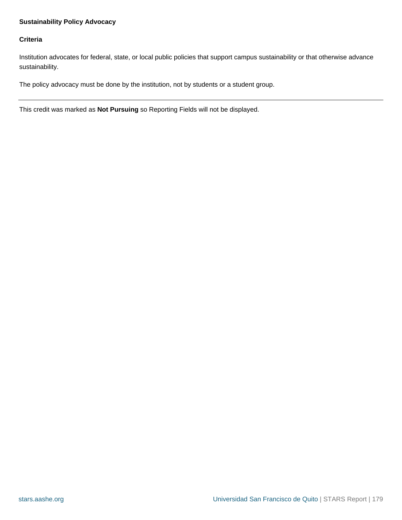# <span id="page-178-0"></span>**Sustainability Policy Advocacy**

## **Criteria**

Institution advocates for federal, state, or local public policies that support campus sustainability or that otherwise advance sustainability.

The policy advocacy must be done by the institution, not by students or a student group.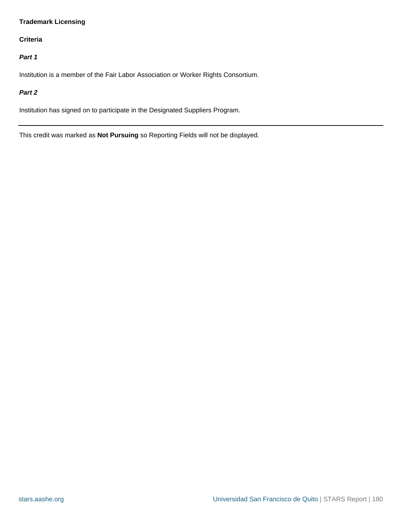# <span id="page-179-0"></span>**Trademark Licensing**

# **Criteria**

# **Part 1**

Institution is a member of the Fair Labor Association or Worker Rights Consortium.

## **Part 2**

Institution has signed on to participate in the Designated Suppliers Program.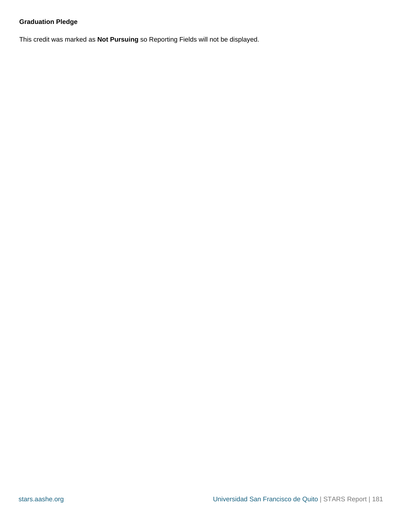### **Graduation Pledge**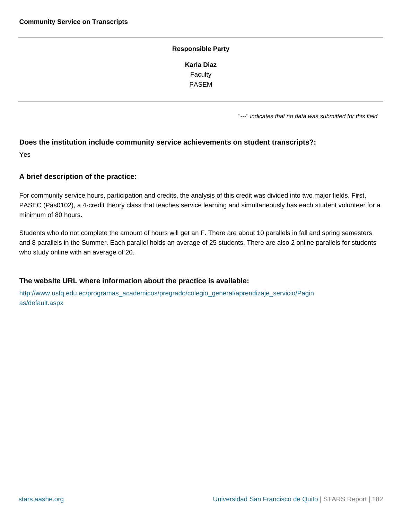### **Responsible Party Karla Diaz** Faculty PASEM

"---" indicates that no data was submitted for this field

### **Does the institution include community service achievements on student transcripts?:**

Yes

### **A brief description of the practice:**

For community service hours, participation and credits, the analysis of this credit was divided into two major fields. First, PASEC (Pas0102), a 4-credit theory class that teaches service learning and simultaneously has each student volunteer for a minimum of 80 hours.

Students who do not complete the amount of hours will get an F. There are about 10 parallels in fall and spring semesters and 8 parallels in the Summer. Each parallel holds an average of 25 students. There are also 2 online parallels for students who study online with an average of 20.

### **The website URL where information about the practice is available:**

[http://www.usfq.edu.ec/programas\\_academicos/pregrado/colegio\\_general/aprendizaje\\_servicio/Pagin](http://www.usfq.edu.ec/programas_academicos/pregrado/colegio_general/aprendizaje_servicio/Paginas/default.aspx) [as/default.aspx](http://www.usfq.edu.ec/programas_academicos/pregrado/colegio_general/aprendizaje_servicio/Paginas/default.aspx)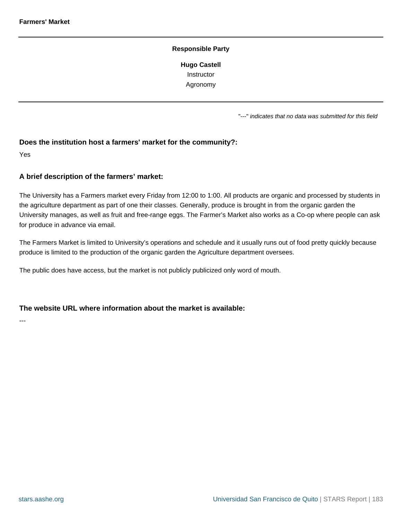#### **Responsible Party**

**Hugo Castell Instructor** Agronomy

"---" indicates that no data was submitted for this field

### **Does the institution host a farmers' market for the community?:**

Yes

### **A brief description of the farmers' market:**

The University has a Farmers market every Friday from 12:00 to 1:00. All products are organic and processed by students in the agriculture department as part of one their classes. Generally, produce is brought in from the organic garden the University manages, as well as fruit and free-range eggs. The Farmer's Market also works as a Co-op where people can ask for produce in advance via email.

The Farmers Market is limited to University's operations and schedule and it usually runs out of food pretty quickly because produce is limited to the production of the organic garden the Agriculture department oversees.

The public does have access, but the market is not publicly publicized only word of mouth.

### **The website URL where information about the market is available:**

---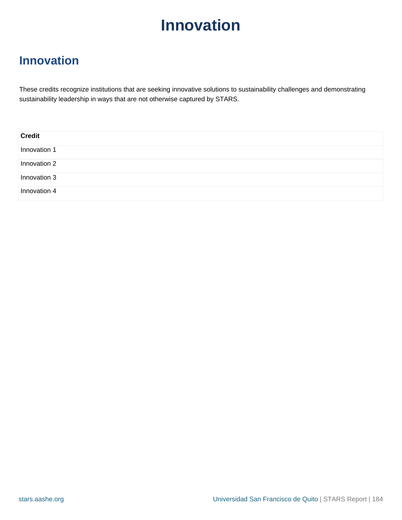## **Innovation**

These credits recognize institutions that are seeking innovative solutions to sustainability challenges and demonstrating sustainability leadership in ways that are not otherwise captured by STARS.

| <b>Credit</b> |  |
|---------------|--|
| Innovation 1  |  |
| Innovation 2  |  |
| Innovation 3  |  |
| Innovation 4  |  |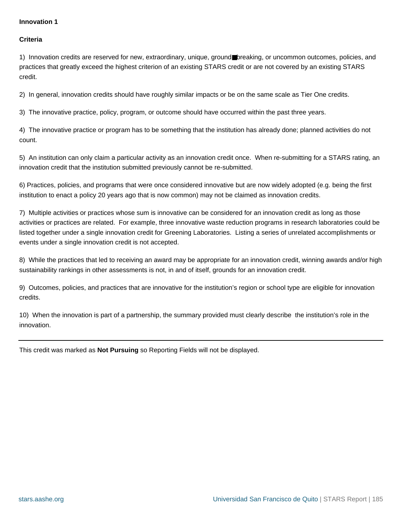### <span id="page-184-0"></span>**Criteria**

1) Innovation credits are reserved for new, extraordinary, unique, ground■breaking, or uncommon outcomes, policies, and practices that greatly exceed the highest criterion of an existing STARS credit or are not covered by an existing STARS credit.

2) In general, innovation credits should have roughly similar impacts or be on the same scale as Tier One credits.

3) The innovative practice, policy, program, or outcome should have occurred within the past three years.

4) The innovative practice or program has to be something that the institution has already done; planned activities do not count.

5) An institution can only claim a particular activity as an innovation credit once. When re-submitting for a STARS rating, an innovation credit that the institution submitted previously cannot be re-submitted.

6) Practices, policies, and programs that were once considered innovative but are now widely adopted (e.g. being the first institution to enact a policy 20 years ago that is now common) may not be claimed as innovation credits.

7) Multiple activities or practices whose sum is innovative can be considered for an innovation credit as long as those activities or practices are related. For example, three innovative waste reduction programs in research laboratories could be listed together under a single innovation credit for Greening Laboratories. Listing a series of unrelated accomplishments or events under a single innovation credit is not accepted.

8) While the practices that led to receiving an award may be appropriate for an innovation credit, winning awards and/or high sustainability rankings in other assessments is not, in and of itself, grounds for an innovation credit.

9) Outcomes, policies, and practices that are innovative for the institution's region or school type are eligible for innovation credits.

10) When the innovation is part of a partnership, the summary provided must clearly describe the institution's role in the innovation.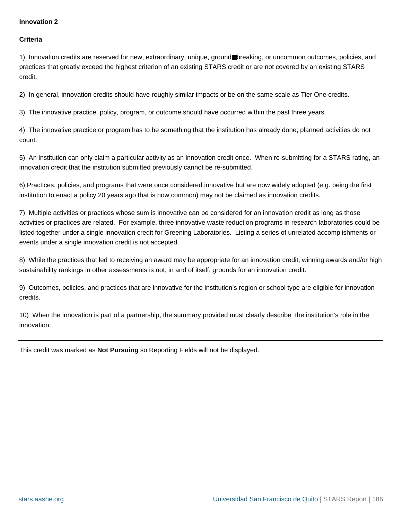### <span id="page-185-0"></span>**Criteria**

1) Innovation credits are reserved for new, extraordinary, unique, ground■breaking, or uncommon outcomes, policies, and practices that greatly exceed the highest criterion of an existing STARS credit or are not covered by an existing STARS credit.

2) In general, innovation credits should have roughly similar impacts or be on the same scale as Tier One credits.

3) The innovative practice, policy, program, or outcome should have occurred within the past three years.

4) The innovative practice or program has to be something that the institution has already done; planned activities do not count.

5) An institution can only claim a particular activity as an innovation credit once. When re-submitting for a STARS rating, an innovation credit that the institution submitted previously cannot be re-submitted.

6) Practices, policies, and programs that were once considered innovative but are now widely adopted (e.g. being the first institution to enact a policy 20 years ago that is now common) may not be claimed as innovation credits.

7) Multiple activities or practices whose sum is innovative can be considered for an innovation credit as long as those activities or practices are related. For example, three innovative waste reduction programs in research laboratories could be listed together under a single innovation credit for Greening Laboratories. Listing a series of unrelated accomplishments or events under a single innovation credit is not accepted.

8) While the practices that led to receiving an award may be appropriate for an innovation credit, winning awards and/or high sustainability rankings in other assessments is not, in and of itself, grounds for an innovation credit.

9) Outcomes, policies, and practices that are innovative for the institution's region or school type are eligible for innovation credits.

10) When the innovation is part of a partnership, the summary provided must clearly describe the institution's role in the innovation.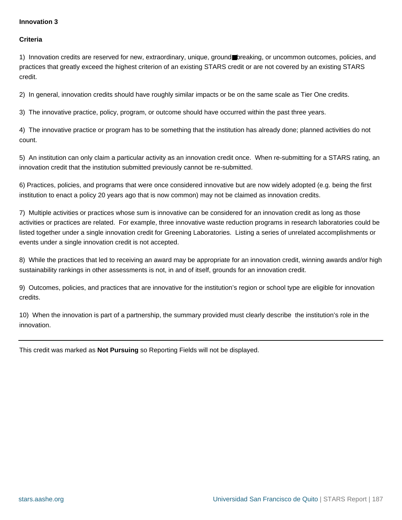### <span id="page-186-0"></span>**Criteria**

1) Innovation credits are reserved for new, extraordinary, unique, ground■breaking, or uncommon outcomes, policies, and practices that greatly exceed the highest criterion of an existing STARS credit or are not covered by an existing STARS credit.

2) In general, innovation credits should have roughly similar impacts or be on the same scale as Tier One credits.

3) The innovative practice, policy, program, or outcome should have occurred within the past three years.

4) The innovative practice or program has to be something that the institution has already done; planned activities do not count.

5) An institution can only claim a particular activity as an innovation credit once. When re-submitting for a STARS rating, an innovation credit that the institution submitted previously cannot be re-submitted.

6) Practices, policies, and programs that were once considered innovative but are now widely adopted (e.g. being the first institution to enact a policy 20 years ago that is now common) may not be claimed as innovation credits.

7) Multiple activities or practices whose sum is innovative can be considered for an innovation credit as long as those activities or practices are related. For example, three innovative waste reduction programs in research laboratories could be listed together under a single innovation credit for Greening Laboratories. Listing a series of unrelated accomplishments or events under a single innovation credit is not accepted.

8) While the practices that led to receiving an award may be appropriate for an innovation credit, winning awards and/or high sustainability rankings in other assessments is not, in and of itself, grounds for an innovation credit.

9) Outcomes, policies, and practices that are innovative for the institution's region or school type are eligible for innovation credits.

10) When the innovation is part of a partnership, the summary provided must clearly describe the institution's role in the innovation.